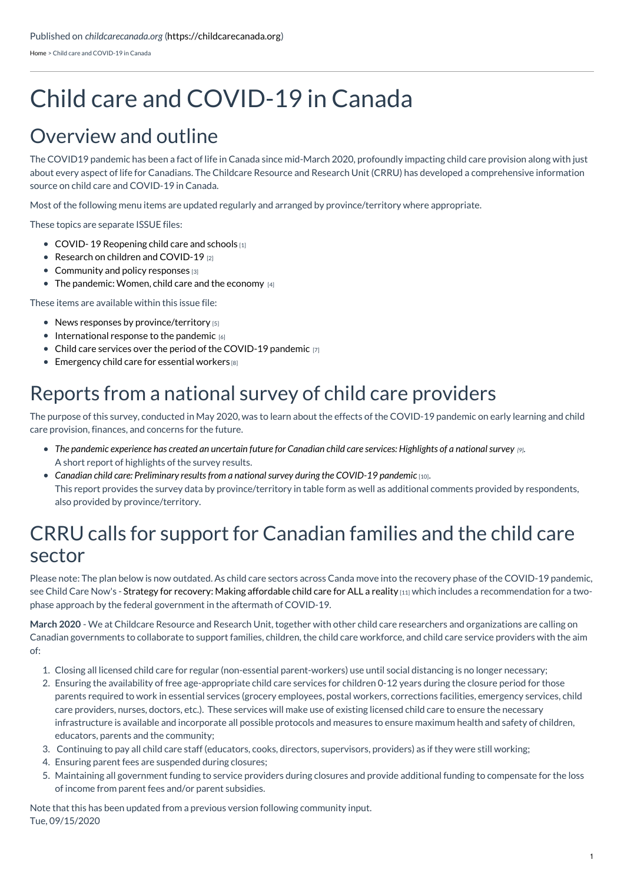[Home](https://childcarecanada.org/) > Child care and COVID-19 in Canada

# Child care and COVID-19 in Canada

### Overview and outline

The COVID19 pandemic has been a fact of life in Canada since mid-March 2020, profoundly impacting child care provision along with just about every aspect of life for Canadians. The Childcare Resource and Research Unit (CRRU) has developed a comprehensive information source on child care and COVID-19 in Canada.

Most of the following menu items are updated regularly and arranged by province/territory where appropriate.

These topics are separate ISSUE files:

- COVID-19 [Reopening](https://childcarecanada.org/resources/issue-files/covid-19-reopening-child-care-and-schools) child care and schools [1]
- $\bullet$  Research on children and [COVID-19](https://childcarecanada.org/resources/issue-files/research-children-and-covid-19) [2]
- $\bullet$  [Community](https://childcarecanada.org/resources/issue-files/covid-19-policy-and-community-responses) and policy responses [3]
- $\bullet$  The [pandemic:](https://childcarecanada.org/resources/issue-files/pandemic-women-child-care-and-economy) Women, child care and the economy  $\frac{1}{4}$

These items are available within this issue file:

- $\bullet$  News responses by [province/territory](https://childcarecanada.org/resources/issue-files/child-care-and-covid-19-canada/child-care-and-covid-19-news-responses) [5]
- $\bullet$  [International](https://childcarecanada.org/resources/issue-files/child-care-and-covid-19-canada/international-responses-pandemic) response to the pandemic [6]
- $\bullet$  Child care services over the period of the [COVID-19](https://childcarecanada.org/resources/issue-files/child-care-and-covid-19-canada/child-care-services-over-period-pandemic) pandemic [7]
- $\bullet$  [Emergency](https://childcarecanada.org/resources/issue-files/child-care-and-covid-19-canada/emergency-child-care-essential-workers) child care for essential workers  $[8]$

### Reports from a national survey of child care providers

The purpose of this survey, conducted in May 2020, was to learn about the effects of the COVID-19 pandemic on early learning and child care provision, finances, and concerns for the future.

- The pandemic [experience](https://childcarecanada.org/publications/other-publications/20/06/pandemic-experience-has-created-uncertain-future-canadian) has created an uncertain future for Canadian child care services: Highlights of a national survey  $\varrho$ . A short report of highlights of the survey results.
- *Canadian child care: [Preliminary](https://childcarecanada.org/publications/other-publications/20/07/canadian-child-care-preliminary-results-national-survey-during) results from a national survey during the COVID-19 pandemic* [10]. This report provides the survey data by province/territory in table form as well as additional comments provided by respondents, also provided by province/territory.

### CRRU calls for support for Canadian families and the child care sector

Please note: The plan below is now outdated. As child care sectors across Canda move into the recovery phase of the COVID-19 pandemic, see Child Care Now's - Strategy for recovery: Making [affordable](https://childcarecanada.org/documents/research-policy-practice/20/07/strategy-recovery-making-affordable-child-care-all-reality) child care for ALL a reality [11] which includes a recommendation for a twophase approach by the federal government in the aftermath of COVID-19.

**March 2020** - We at Childcare Resource and Research Unit, together with other child care researchers and organizations are calling on Canadian governments to collaborate to support families, children, the child care workforce, and child care service providers with the aim of:

- 1. Closing all licensed child care for regular (non-essential parent-workers) use until social distancing is no longer necessary;
- 2. Ensuring the availability of free age-appropriate child care services for children 0-12 years during the closure period for those parents required to work in essential services (grocery employees, postal workers, corrections facilities, emergency services, child care providers, nurses, doctors, etc.). These services will make use of existing licensed child care to ensure the necessary infrastructure is available and incorporate all possible protocols and measures to ensure maximum health and safety of children, educators, parents and the community;
- 3. Continuing to pay all child care staff (educators, cooks, directors, supervisors, providers) as if they were still working;
- 4. Ensuring parent fees are suspended during closures;
- 5. Maintaining all government funding to service providers during closures and provide additional funding to compensate for the loss of income from parent fees and/or parent subsidies.

Note that this has been updated from a previous version following community input. Tue, 09/15/2020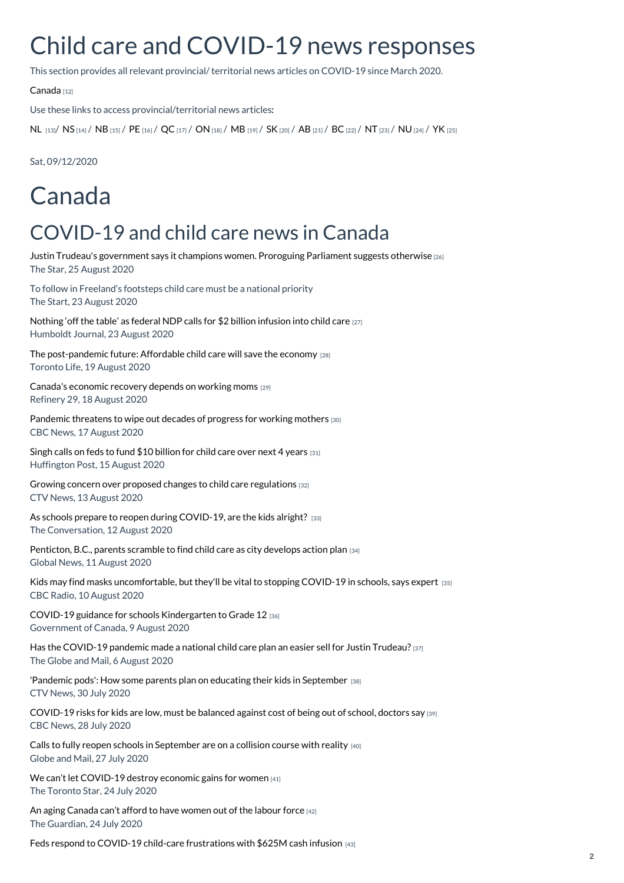# Child care and COVID-19 news responses

This section provides all relevant provincial/ territorial news articles on COVID-19 since March 2020.

[Canada](https://childcarecanada.org/resources/issue-files/child-care-and-covid-19-canada/child-care-and-covid-19-news-responses/canada) [12]

Use these links to access provincial/territorial news articles**:**

[NL](https://childcarecanada.org/resources/issue-files/child-care-and-covid-19-canada/news-articles-Newfoundland) [13]/ [NS](https://childcarecanada.org/resources/issue-files/child-care-and-covid-19-canada/news-articles-news-articles-Nova-Scotia) [14] / [NB](https://childcarecanada.org/resources/issue-files/child-care-and-covid-19-canada/child-care-news-and-covid-19-new-brunswick) [15] / [PE](https://childcarecanada.org/resources/issue-files/child-care-and-covid-19-canada/child-care-news-prince-edward-island) [16] / [QC](https://childcarecanada.org/resources/issue-files/child-care-and-covid-19-canada/child-care-news-and-covid-19-canada/quebec) [17] / [ON](https://childcarecanada.org/resources/issue-files/child-care-and-covid-19-canada/child-care-news-and-covid-19-canada/ontario) [18] / [MB](https://childcarecanada.org/resources/issue-files/child-care-and-covid-19-canada/child-care-and-covid-19-news-responses/manitoba) [19] / [SK](https://childcarecanada.org/resources/issue-files/child-care-and-covid-19-canada/news-responses-saskatchewan) [20] / [AB](https://childcarecanada.org/resources/issue-files/child-care-and-covid-19-canada/news-responses-alberta) [21] / [BC](https://childcarecanada.org/resources/issue-files/child-care-and-covid-19-canada/news-responses-british-columbia) [22] / [NT](https://childcarecanada.org/resources/issue-files/child-care-and-covid-19-canada/news-responses-northwest-territories) [23] / [NU](https://childcarecanada.org/resources/issue-files/child-care-and-covid-19-canada/news-responses-nunavut) [24] / [YK](https://childcarecanada.org/resources/issue-files/child-care-and-covid-19-canada/news-responses-yukon) [25]

Sat, 09/12/2020

# Canada

### COVID-19 and child care news in Canada

Justin Trudeau's [government](https://www.childcarecanada.org/documents/child-care-news/20/08/justin-trudeaus-government-says-it-champions-women-proroguing-parlia) says it champions women. Proroguing Parliament suggests otherwise [26] The Star, 25 August 2020

To follow in Freeland's footsteps child care must be a national priority The Start, 23 August 2020

[Nothing](https://www.childcarecanada.org/documents/child-care-news/20/08/nothing-table-federal-ndp-calls-2-billion-infusion-child-care) 'off the table' as federal NDP calls for \$2 billion infusion into child care [27] Humboldt Journal, 23 August 2020

The [post-pandemic](https://www.childcarecanada.org/documents/child-care-news/20/08/post-pandemic-future-affordable-child-care-will-save-economy) future: Affordable child care will save the economy [28] Toronto Life, 19 August 2020

Canada's [economic](https://www.childcarecanada.org/documents/child-care-news/20/08/canadas-economic-recovery-depends-working-moms) recovery depends on working moms [29] Refinery 29, 18 August 2020

[Pandemic](https://www.childcarecanada.org/documents/child-care-news/20/08/pandemic-threatens-wipe-out-decades-progress-working-mothers) threatens to wipe out decades of progress for working mothers [30] CBC News, 17 August 2020

Singh calls on feds to fund \$10 [billion](https://www.childcarecanada.org/documents/child-care-news/20/08/singh-calls-feds-fund-10-billion-child-care-over-next-4-years) for child care over next 4 years [31] Huffington Post, 15 August 2020

Growing concern over proposed changes to child care [regulations](https://www.childcarecanada.org/documents/child-care-news/20/08/growing-concern-over-proposed-changes-child-care-regulations) [32] CTV News, 13 August 2020

As schools prepare to reopen during [COVID-19,](https://www.childcarecanada.org/documents/child-care-news/20/08/schools-prepare-reopen-during-covid-19-are-kids-alright) are the kids alright? [33] The Conversation, 12 August 2020

[Penticton,](https://www.childcarecanada.org/documents/child-care-news/20/08/penticton-bc-parents-scramble-find-child-care-city-develops-action-p) B.C., parents scramble to find child care as city develops action plan [34] Global News, 11 August 2020

Kids may find masks [uncomfortable,](https://www.childcarecanada.org/documents/child-care-news/20/08/kids-may-find-masks-uncomfortable-theyll-be-vital-stopping-covid-19-) but they'll be vital to stopping COVID-19 in schools, says expert [35] CBC Radio, 10 August 2020

COVID-19 guidance for schools [Kindergarten](https://www.childcarecanada.org/documents/research-policy-practice/20/08/covid-19-guidance-schools-kindergarten-grade-12) to Grade 12 [36] Government of Canada, 9 August 2020

Has the [COVID-19](https://www.childcarecanada.org/documents/child-care-news/20/08/has-covid-19-pandemic-made-national-child-care-plan-easier-sell-just) pandemic made a national child care plan an easier sell for Justin Trudeau? [37] The Globe and Mail, 6 August 2020

'Pandemic pods': How some parents plan on educating their kids in [September](https://www.childcarecanada.org/documents/child-care-news/20/08/pandemic-pods-how-some-parents-plan-educating-their-kids-september) [38] CTV News, 30 July 2020

[COVID-19](https://www.childcarecanada.org/documents/child-care-news/20/07/covid-19-risks-kids-are-low-must-be-balanced-against-cost-being-out-) risks for kids are low, must be balanced against cost of being out of school, doctors say [39] CBC News, 28 July 2020

Calls to fully reopen schools in [September](https://www.childcarecanada.org/documents/child-care-news/20/07/calls-fully-reopen-schools-september-are-collision-course-reality) are on a collision course with reality [40] Globe and Mail, 27 July 2020

We can't let [COVID-19](https://www.childcarecanada.org/documents/child-care-news/20/07/we-can%25E2%2580%2599t-let-covid-19-destroy-economic-gains-women) destroy economic gains for women [41] The Toronto Star, 24 July 2020

An aging [Canada](https://www.childcarecanada.org/documents/child-care-news/20/07/aging-canada-cant-afford-have-women-out-labour-force) can't afford to have women out of the labour force [42] The Guardian, 24 July 2020

Feds respond to COVID-19 child-care [frustrations](https://www.childcarecanada.org/documents/child-care-news/20/07/feds-respond-covid-19-child-care-frustrations-625m-cash-infusion) with \$625M cash infusion [43]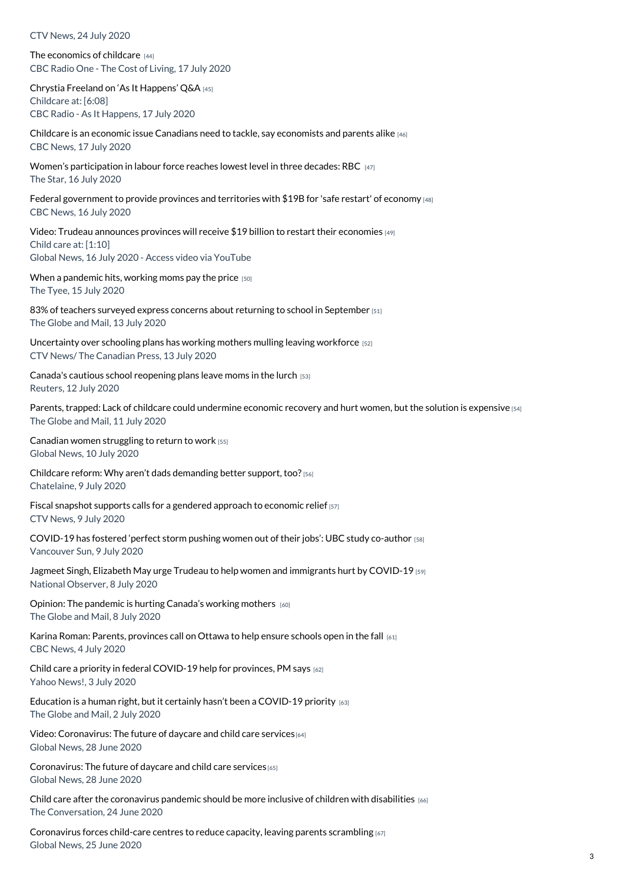CTV News, 24 July 2020

The [economics](https://www.childcarecanada.org/documents/child-care-news/20/07/economics-childcared) of childcare [44] CBC Radio One - The Cost of Living, 17 July 2020

Chrystia Freeland on 'As It [Happens'](https://www.cbc.ca/radio/asithappens/as-it-happens-the-friday-edition-1.5652161/chrystia-freeland-personally-apologizes-for-we-charity-scandal-but-stands-by-trudeau-1.5653813) Q&A [45] Childcare at: [6:08] CBC Radio - As It Happens, 17 July 2020

Childcare is an economic issue Canadians need to tackle, say [economists](https://www.childcarecanada.org/documents/child-care-news/20/07/childcare-economic-issue-canadians-need-tackle-say-economists-and-pa) and parents alike [46] CBC News, 17 July 2020

Women's [participation](https://www.childcarecanada.org/documents/child-care-news/20/07/women%25E2%2580%2599s-participation-labour-force-reaches-lowest-level-three-decade) in labour force reaches lowest level in three decades: RBC [47] The Star, 16 July 2020

Federal [government](https://www.childcarecanada.org/documents/child-care-news/20/07/federal-government-provide-provinces-and-territories-19b-safe-restar) to provide provinces and territories with \$19B for 'safe restart' of economy [48] CBC News, 16 July 2020

Video: Trudeau [announces](https://www.childcarecanada.org/documents/child-care-news/20/07/trudeau-announces-provinces-will-receive-19-billion-restart-their-ec%25C2%25A0) provinces will receive \$19 billion to restart their economies [49] Child care at: [1:10] Global News, 16 July 2020 - Access video via YouTube

When a [pandemic](https://www.childcarecanada.org/documents/child-care-news/20/07/when-pandemic-hits-working-moms-pay-price) hits, working moms pay the price [50] The Tyee, 15 July 2020

83% of teachers surveyed express concerns about returning to school in [September](https://www.childcarecanada.org/documents/child-care-news/20/07/83-teachers-surveyed-express-concerns-about-returning-school-septemb) [51] The Globe and Mail, 13 July 2020

[Uncertainty](https://www.childcarecanada.org/documents/child-care-news/20/07/uncertainty-over-schooling-plans-has-working-mothers-mulling-leaving) over schooling plans has working mothers mulling leaving workforce [52] CTV News/ The Canadian Press, 13 July 2020

Canada's cautious school [reopening](https://www.childcarecanada.org/documents/child-care-news/20/07/canadas-cautious-school-reopening-plans-leave-moms-lurch) plans leave moms in the lurch [53] Reuters, 12 July 2020

Parents, trapped: Lack of childcare could [undermine](https://www.childcarecanada.org/documents/child-care-news/20/07/parents-trapped-lack-child-care-could-undermine-economic-recovery-an%25C2%25A0) economic recovery and hurt women, but the solution is expensive [54] The Globe and Mail, 11 July 2020

Canadian women [struggling](https://www.childcarecanada.org/documents/child-care-news/20/07/canadian-women-struggling-return-work) to return to work [55] Global News, 10 July 2020

Childcare reform: Why aren't dads [demanding](https://www.childcarecanada.org/documents/child-care-news/20/07/where-are-dads-they-need-rise-now) better support, too? [56] Chatelaine, 9 July 2020

Fiscal snapshot supports calls for a gendered approach to [economic](https://www.childcarecanada.org/documents/child-care-news/20/07/fiscal-snapshot-supports-calls-gendered-approach-economic-relief) relief [57] CTV News, 9 July 2020

[COVID-19](https://www.childcarecanada.org/documents/child-care-news/20/07/covid-19-has-fostered-%25E2%2580%2598perfect-storm-pushing-women-out-their-jobs%25E2%2580%2599-u) has fostered 'perfect storm pushing women out of their jobs': UBC study co-author [58] Vancouver Sun, 9 July 2020

Jagmeet Singh, Elizabeth May urge Trudeau to help women and [immigrants](https://www.childcarecanada.org/documents/child-care-news/20/08/jagmeet-singh-elizabeth-may-urge-trudeau-help-women-and-immigrants-h) hurt by COVID-19 [59] National Observer, 8 July 2020

Opinion: The [pandemic](https://www.childcarecanada.org/documents/child-care-news/20/07/pandemic-hurting-canadas-working-mothers) is hurting Canada's working mothers [60] The Globe and Mail, 8 July 2020

Karina Roman: Parents, [provinces](https://www.childcarecanada.org/documents/child-care-news/20/07/karina-roman-parents-provinces-call-ottawa-help-ensure-schools-open-) call on Ottawa to help ensure schools open in the fall [61] CBC News, 4 July 2020

Child care a priority in federal [COVID-19](https://www.childcarecanada.org/documents/child-care-news/20/07/child-care-priority-federal-covid-19-help-provinces-pm-says) help for provinces, PM says [62] Yahoo News!, 3 July 2020

Education is a human right, but it certainly hasn't been a [COVID-19](https://www.childcarecanada.org/documents/child-care-news/20/07/education-human-right-it-certainly-hasn%25E2%2580%2599t-been-covid-19-priority) priority  $[63]$ The Globe and Mail, 2 July 2020

Video: [Coronavirus:](https://www.childcarecanada.org/documents/child-care-news/20/07/coronavirus-future-daycare-and-child-care-services) The future of daycare and child care services<sup>[64]</sup> Global News, 28 June 2020

[Coronavirus:](https://www.childcarecanada.org/documents/child-care-news/20/06/coronavirus-future-daycare-and-child-care-services) The future of daycare and child care services [65] Global News, 28 June 2020

Child care after the [coronavirus](https://www.childcarecanada.org/documents/child-care-news/20/06/child-care-after-coronavirus-pandemic-should-be-more-inclusive-child) pandemic should be more inclusive of children with disabilities [66] The Conversation, 24 June 2020

[Coronavirus](https://www.childcarecanada.org/documents/child-care-news/20/06/coronavirus-forces-child-care-centres-reduce-capacity-leaving-parent) forces child-care centres to reduce capacity, leaving parents scrambling [67] Global News, 25 June 2020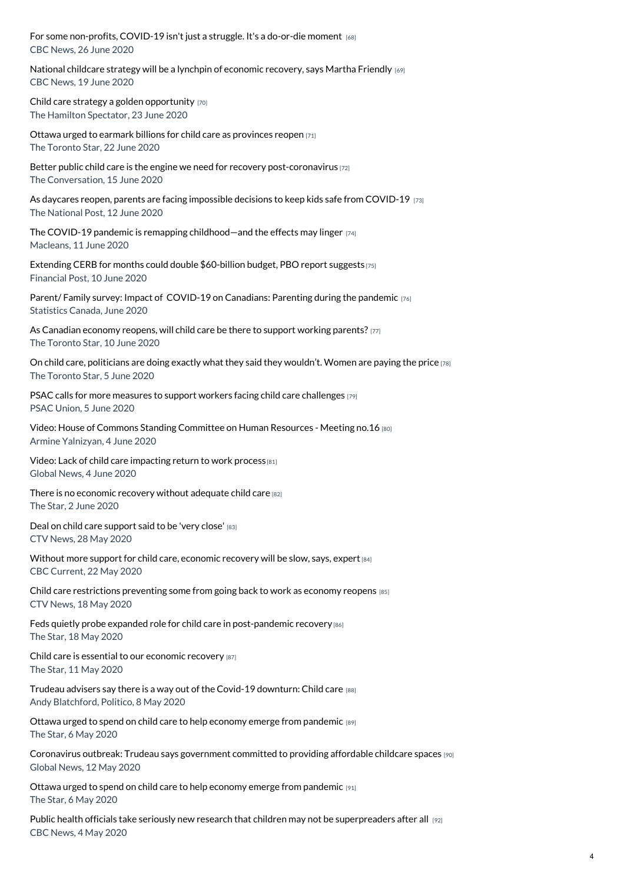For some [non-profits,](https://www.childcarecanada.org/documents/child-care-news/20/06/some-non-profits-covid-19-isnt-just-struggle-its-do-or-die-moment) COVID-19 isn't just a struggle. It's a do-or-die moment [68] CBC News, 26 June 2020

National childcare strategy will be a lynchpin of [economic](https://www.childcarecanada.org/documents/child-care-news/20/06/national-child-care-strategy-will-be-lynchpin-economic-recovery-says) recovery, says Martha Friendly [69] CBC News, 19 June 2020

Child care strategy a golden [opportunity](https://www.childcarecanada.org/documents/child-care-news/20/06/child-care-strategy-golden-opportunity) [70] The Hamilton Spectator, 23 June 2020

Ottawa urged to earmark billions for child care as [provinces](https://www.childcarecanada.org/documents/child-care-news/20/06/ottawa-urged-earmark-billions-child-care-provinces-reopen) reopen [71] The Toronto Star, 22 June 2020

Better public child care is the engine we need for recovery [post-coronavirus](https://www.childcarecanada.org/documents/child-care-news/20/06/better-public-child-care-engine-we-need-recovery-post-coronavirus) [72] The Conversation, 15 June 2020

As daycares reopen, parents are facing impossible decisions to keep kids safe from [COVID-19](https://www.childcarecanada.org/documents/child-care-news/20/06/daycares-reopen-parents-are-facing-impossible-decisions-keep-kids-sa) [73] The National Post, 12 June 2020

The COVID-19 pandemic is remapping [childhood—and](https://www.childcarecanada.org/documents/child-care-news/20/06/covid-19-pandemic-remapping-childhood%25E2%2580%2594and-effects-may-linger) the effects may linger  $[74]$ Macleans, 11 June 2020

Extending CERB for months could double [\\$60-billion](https://childcarecanada.org/documents/child-care-news/20/06/extending-cerb-months-could-double-60-billion-budget-pbo-report) budget, PBO report suggests [75] Financial Post, 10 June 2020

Parent/ Family survey: Impact of COVID-19 on [Canadians:](https://www.childcarecanada.org/documents/research-policy-practice/20/06/parent-family-survey-impact-%25C2%25A0-covid-19-canadians-parenting-) Parenting during the pandemic [76] Statistics Canada, June 2020

As [Canadian](https://childcarecanada.org/documents/child-care-news/20/06/canadian-economy-reopens-will-child-care-be-there-support-working) economy reopens, will child care be there to support working parents? [77] The Toronto Star, 10 June 2020

On child care, [politicians](https://www.childcarecanada.org/documents/child-care-news/20/06/child-care-politicians-are-doing-exactly-what-they-said-they-wouldn%25E2%2580%2599) are doing exactly what they said they wouldn't. Women are paying the price [78] The Toronto Star, 5 June 2020

PSAC calls for more measures to support workers facing child care [challenges](https://www.childcarecanada.org/documents/child-care-news/20/06/psac-calls-more-measures-support-workers-facing-child-care-challenge) [79] PSAC Union, 5 June 2020

Video: House of Commons Standing [Committee](https://www.childcarecanada.org/documents/child-care-news/20/06/house-commons-standing-committee-human-resources-meeting-no16) on Human Resources - Meeting no.16 [80] Armine Yalnizyan, 4 June 2020

Video: Lack of child care [impacting](https://www.childcarecanada.org/documents/child-care-news/20/06/lack-child-care-impacting-return-work-process) return to work process<sup>[81]</sup> Global News, 4 June 2020

There is no [economic](https://www.childcarecanada.org/documents/child-care-news/20/06/there-no-economic-recovery-without-adequate-child-care) recovery without adequate child care [82] The Star, 2 June 2020

Deal on child care [support](https://www.childcarecanada.org/documents/child-care-news/20/06/deal-child-care-support-said-be-very-close) said to be 'very close' [83] CTV News, 28 May 2020

Without more support for child care, [economic](https://www.childcarecanada.org/documents/child-care-news/20/06/without-more-support-child-care-economic-recovery-will-be-slow-says-) recovery will be slow, says, expert  $[84]$ CBC Current, 22 May 2020

Child care [restrictions](https://www.childcarecanada.org/documents/child-care-news/20/05/child-care-restrictions-preventing-some-going-back-work-economy-reop) preventing some from going back to work as economy reopens [85] CTV News, 18 May 2020

Feds quietly probe expanded role for child care in [post-pandemic](https://www.childcarecanada.org/documents/child-care-news/20/05/feds-quietly-probe-expanded-role-child-care-post-pandemic-recovery) recovery [86] The Star, 18 May 2020

Child care is essential to our [economic](https://www.childcarecanada.org/documents/child-care-news/20/05/child-care-essential-our-economic-recovery%25C2%25A0) recovery [87] The Star, 11 May 2020

Trudeau advisers say there is a way out of the Covid-19 [downturn:](https://www.childcarecanada.org/documents/child-care-news/20/05/trudeau-advisers-say-there-way-out-covid-19-downturn-child-care) Child care [88] Andy Blatchford, Politico, 8 May 2020

Ottawa urged to spend on child care to help economy emerge from [pandemic](https://www.childcarecanada.org/documents/child-care-news/20/05/ottawa-urged-spend-child-care-help-economy-emerge-pandemic-0%25C2%25A0) [89] The Star, 6 May 2020

[Coronavirus](https://www.childcarecanada.org/documents/child-care-news/20/05/coronavirus-outbreak-trudeau-says-government-committed-providing-aff) outbreak: Trudeau says government committed to providing affordable childcare spaces [90] Global News, 12 May 2020

Ottawa urged to spend on child care to help economy emerge from [pandemic](https://www.childcarecanada.org/documents/child-care-news/20/05/ottawa-urged-spend-child-care-help-economy-emerge-pandemic) [91] The Star, 6 May 2020

Public health officials take seriously new research that children may not be [superpreaders](https://www.childcarecanada.org/documents/child-care-news/20/05/public-health-officials-take-seriously-new-research-children-may-not) after all [92] CBC News, 4 May 2020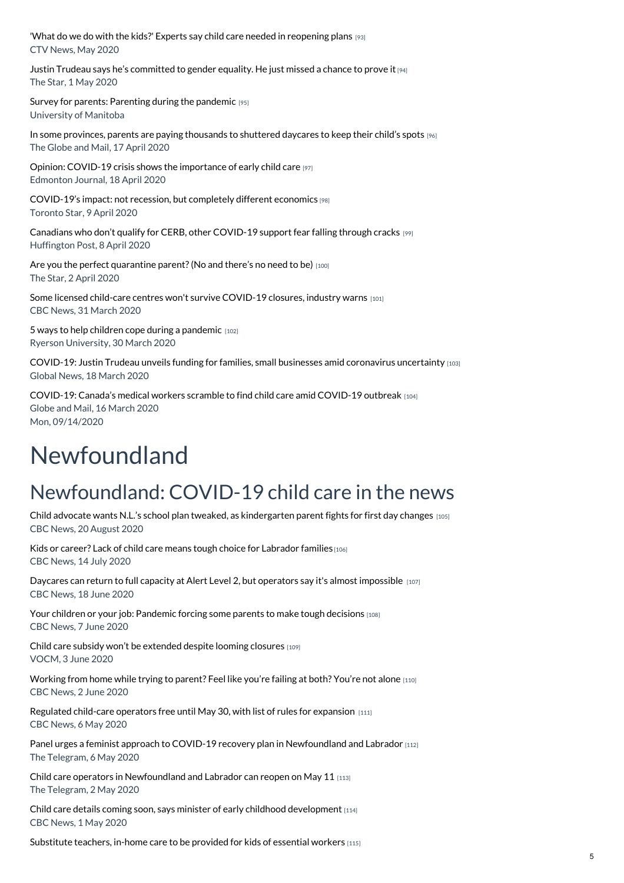'What do we do with the kids?' Experts say child care needed in [reopening](https://www.childcarecanada.org/documents/child-care-news/20/05/experts-say-child-care-needs-consideration-reopening-plans) plans [93] CTV News, May 2020

Justin Trudeau says he's [committed](https://www.childcarecanada.org/documents/child-care-news/20/05/justin-trudeau-says-he%25E2%2580%2599s-committed-gender-equality-he-just-missed-ch%20) to gender equality. He just missed a chance to prove it [94] The Star, 1 May 2020

Survey for parents: [Parenting](https://www.childcarecanada.org/documents/research-policy-practice/20/04/parenting-during-pandemic) during the pandemic [95] University of Manitoba

In some provinces, parents are paying [thousands](https://www.childcarecanada.org/documents/child-care-news/20/04/some-provinces-parents-are-paying-thousands-shuttered-daycares-keep-) to shuttered daycares to keep their child's spots [96] The Globe and Mail, 17 April 2020

Opinion: COVID-19 crisis shows the [importance](https://www.childcarecanada.org/documents/child-care-news/20/04/opinion-covid-19-crisis-shows-importance-early-child-care) of early child care [97] Edmonton Journal, 18 April 2020

[COVID-19's](https://www.childcarecanada.org/documents/child-care-news/20/04/covid-19%25E2%2580%2599s-impact-not-recession-completely-different-economics) impact: not recession, but completely different economics [98] Toronto Star, 9 April 2020

Canadians who don't qualify for CERB, other [COVID-19](https://www.childcarecanada.org/documents/child-care-news/20/04/canadians-who-dont-qualify-cerb-other-covid-19-support-fear-falling-) support fear falling through cracks [99] Huffington Post, 8 April 2020

Are you the perfect quarantine parent? (No and there's no need to be) [100] The Star, 2 April 2020

Some licensed child-care centres won't survive [COVID-19](https://www.childcarecanada.org/documents/child-care-news/20/04/some-licensed-child-care-centres-wont-survive-covid-19-closures-indu%25C2%25A0) closures, industry warns [101] CBC News, 31 March 2020

5 ways to help children cope during a [pandemic](https://www.childcarecanada.org/documents/child-care-news/20/04/5-ways-help-children-cope-during-pandemic)  $[102]$ Ryerson University, 30 March 2020

COVID-19: Justin Trudeau unveils funding for families, small businesses amid [coronavirus](https://www.childcarecanada.org/documents/child-care-news/20/03/justin-trudeau-unveils-funding-families-small-businesses-amid-corona) uncertainty [103] Global News, 18 March 2020

[COVID-19:](https://www.childcarecanada.org/documents/child-care-news/20/03/canadas-medical-workers-scramble-find-child-care-amid-covid-19-outbr) Canada's medical workers scramble to find child care amid COVID-19 outbreak [104] Globe and Mail, 16 March 2020 Mon, 09/14/2020

# Newfoundland

## Newfoundland: COVID-19 child care in the news

Child advocate wants N.L.'s school plan tweaked, as [kindergarten](https://www.childcarecanada.org/documents/child-care-news/20/08/province-pledges-make-70-substitute-teachers-full-time-ease-back-sch) parent fights for first day changes [105] CBC News, 20 August 2020

Kids or career? Lack of child care means tough choice for [Labrador](https://www.childcarecanada.org/documents/child-care-news/20/08/kids-or-career-lack-child-care-means-tough-choice-labrador-families) families [106] CBC News, 14 July 2020

Daycares can return to full capacity at Alert Level 2, but operators say it's almost [impossible](https://www.childcarecanada.org/documents/child-care-news/20/06/daycares-can-return-full-capacity-alert-level-2-operators-say-its-al) [107] CBC News, 18 June 2020

Your children or your job: [Pandemic](https://www.childcarecanada.org/documents/child-care-news/20/06/your-children-or-your-job-pandemic-forcing-some-parents-make-tough-d) forcing some parents to make tough decisions [108] CBC News, 7 June 2020

Child care subsidy won't be [extended](https://www.childcarecanada.org/documents/child-care-news/20/06/child-care-subsidy-won%25E2%2580%2599t-be-extended-despite-looming-closures) despite looming closures [109] VOCM, 3 June 2020

[Working](https://www.childcarecanada.org/documents/child-care-news/20/06/working-home-while-trying-parent-feel-youre-failing-both-youre-not-a) from home while trying to parent? Feel like you're failing at both? You're not alone [110] CBC News, 2 June 2020

[Regulated](https://www.childcarecanada.org/documents/child-care-news/20/05/regulated-child-care-operators-free-until-may-30-list-rules-expansio%25C2%25A0) child-care operators free until May 30, with list of rules for expansion [111] CBC News, 6 May 2020

Panel urges a feminist approach to COVID-19 recovery plan in [Newfoundland](https://www.childcarecanada.org/documents/child-care-news/20/05/panel-urges-feminist-approach-covid-19-recovery-plan-newfoundland-an%25C2%25A0) and Labrador [112] The Telegram, 6 May 2020

Child care operators in [Newfoundland](https://www.childcarecanada.org/documents/child-care-news/20/05/child-care-operators-newfoundland-and-labrador-can-reopen-may-11) and Labrador can reopen on May 11 [113] The Telegram, 2 May 2020

Child care details coming soon, says minister of early childhood [development](https://www.childcarecanada.org/documents/child-care-news/20/05/child-care-details-coming-soon-says-minister-early-childhood-develop) [114] CBC News, 1 May 2020

[Substitute](https://www.childcarecanada.org/documents/child-care-news/20/04/substitute-teachers-home-care-be-provided-kids-essential-workers) teachers, in-home care to be provided for kids of essential workers [115]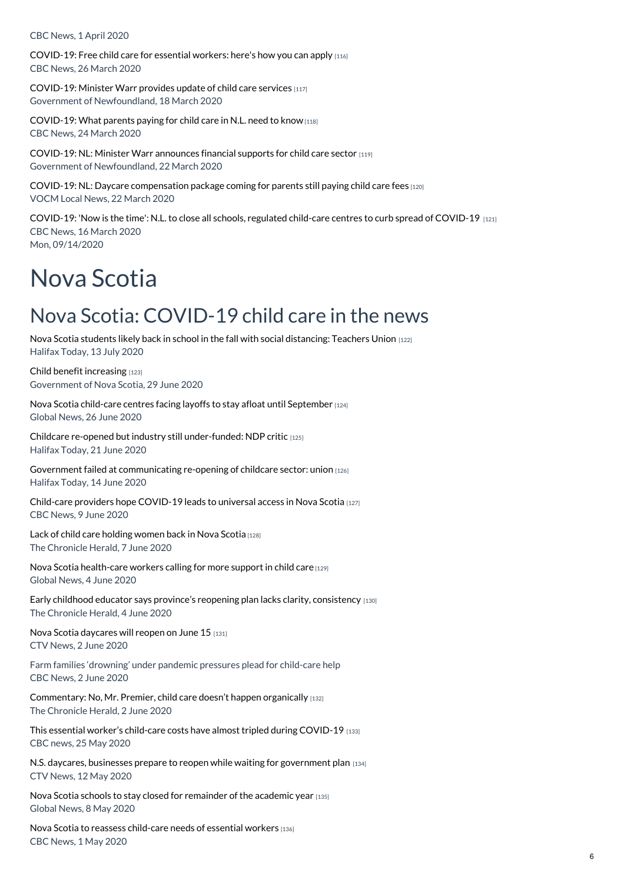CBC News, 1 April 2020

[COVID-19:](https://www.childcarecanada.org/documents/child-care-news/20/03/free-child-care-essential-workers-heres-how-you-can-apply) Free child care for essential workers: here's how you can apply [116] CBC News, 26 March 2020

[COVID-19:](https://www.childcarecanada.org/documents/child-care-news/20/03/minister-warr-provides-update-child-care-services) Minister Warr provides update of child care services [117] Government of Newfoundland, 18 March 2020

[COVID-19:](https://www.childcarecanada.org/documents/child-care-news/20/03/what-parents-paying-child-care-nl-need-know) What parents paying for child care in N.L. need to know [118] CBC News, 24 March 2020

[COVID-19:](https://www.childcarecanada.org/documents/child-care-news/20/03/minister-warr-announces-financial-supports-child-care-sector) NL: Minister Warr announces financial supports for child care sector  $[119]$ Government of Newfoundland, 22 March 2020

COVID-19: NL: Daycare [compensation](https://www.childcarecanada.org/documents/child-care-news/20/03/daycare-compensation-package-coming-parents-still-paying-child-care-) package coming for parents still paying child care fees [120] VOCM Local News, 22 March 2020

[COVID-19:](https://www.childcarecanada.org/documents/child-care-news/20/03/now-time-nl-close-all-schools-child-care-centres-curb-spread-covid-1) 'Now is the time': N.L. to close all schools, regulated child-care centres to curb spread of COVID-19 [121] CBC News, 16 March 2020 Mon, 09/14/2020

# Nova Scotia

### Nova Scotia: COVID-19 child care in the news

Nova Scotia students likely back in school in the fall with social [distancing:](https://www.childcarecanada.org/documents/child-care-news/20/07/nova-scotia-students-likely-back-school-fall-social-distancing-teach) Teachers Union [122] Halifax Today, 13 July 2020

Child benefit [increasing](https://www.childcarecanada.org/documents/child-care-news/20/07/child-benefit-increasing) [123] Government of Nova Scotia, 29 June 2020

Nova Scotia child-care centres facing layoffs to stay afloat until [September](https://www.childcarecanada.org/documents/child-care-news/20/06/nova-scotia-child-care-centres-facing-layoffs-stay-afloat-until-sept) [124] Global News, 26 June 2020

Childcare re-opened but industry still [under-funded:](https://www.childcarecanada.org/documents/child-care-news/20/06/childcare-re-opened-industry-still-under-funded-ndp-critic) NDP critic [125] Halifax Today, 21 June 2020

Government failed at [communicating](https://www.childcarecanada.org/documents/child-care-news/20/06/government-failed-communicating-re-opening-childcare-sector-union) re-opening of childcare sector: union [126] Halifax Today, 14 June 2020

Child-care providers hope [COVID-19](https://www.childcarecanada.org/documents/child-care-news/20/06/child-care-providers-hope-covid-19-leads-universal-access-nova-scoti) leads to universal access in Nova Scotia [127] CBC News, 9 June 2020

Lack of child care [holding](https://www.childcarecanada.org/documents/child-care-news/20/06/lack-child-care-holding-women-back-nova-scotia) women back in Nova Scotia [128] The Chronicle Herald, 7 June 2020

Nova Scotia [health-care](https://www.childcarecanada.org/documents/child-care-news/20/06/nova-scotia-health-care-workers-calling-more-support-child-care) workers calling for more support in child care [129] Global News, 4 June 2020

Early childhood educator says province's reopening plan lacks clarity, [consistency](https://www.childcarecanada.org/documents/child-care-news/20/06/early-childhood-educator-says-provinces-reopening-plan-lacks-clarity)  $[130]$ The Chronicle Herald, 4 June 2020

Nova Scotia [daycares](https://www.childcarecanada.org/documents/child-care-news/20/06/nova-scotia-daycares-will-reopen-june-15) will reopen on June 15 [131] CTV News, 2 June 2020

Farm families 'drowning' under pandemic pressures plead for child-care help CBC News, 2 June 2020

[Commentary:](https://www.childcarecanada.org/documents/child-care-news/20/06/no-mr-premier-child-care-doesnt-happen-organically) No, Mr. Premier, child care doesn't happen organically [132] The Chronicle Herald, 2 June 2020

This essential worker's child-care costs have almost tripled during [COVID-19](https://www.childcarecanada.org/documents/child-care-news/20/05/essential-workers-child-care-costs-have-almost-tripled-during-covid-) [133] CBC news, 25 May 2020

N.S. daycares, businesses prepare to reopen while waiting for [government](https://www.childcarecanada.org/documents/child-care-news/20/05/ns-daycares-businesses-prepare-reopen-while-waiting-government-plan) plan [134] CTV News, 12 May 2020

Nova Scotia schools to stay closed for [remainder](https://www.childcarecanada.org/documents/child-care-news/20/05/nova-scotia-schools-stay-closed-remainder-academic-year) of the academic year [135] Global News, 8 May 2020

Nova Scotia to reassess [child-care](https://www.childcarecanada.org/documents/child-care-news/20/05/nova-scotia-reassess-child-care-needs-essential-workers) needs of essential workers [136] CBC News, 1 May 2020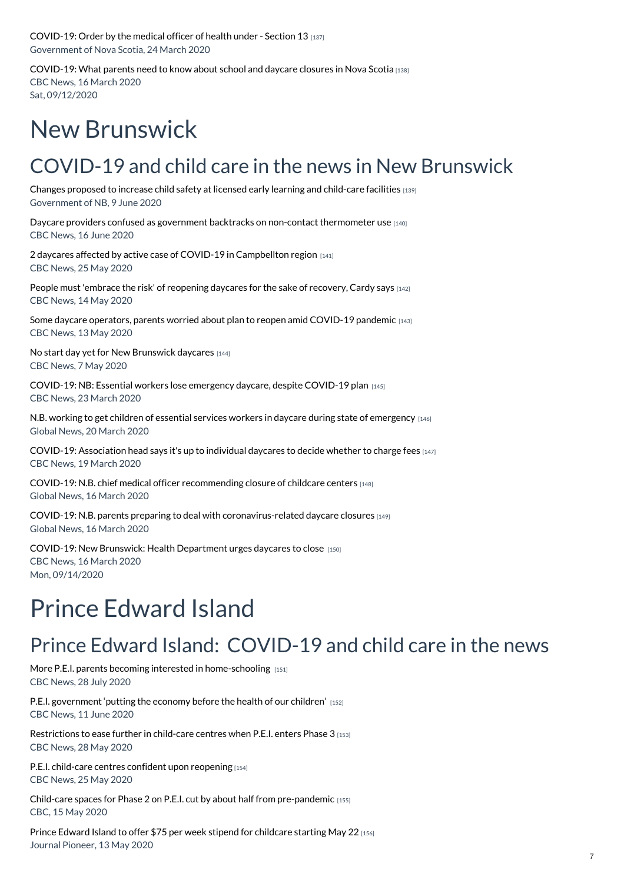[COVID-19:](https://www.childcarecanada.org/documents/child-care-news/20/03/order-medical-officer-health-under-section-13) Order by the medical officer of health under - Section 13 [137] Government of Nova Scotia, 24 March 2020

[COVID-19:](https://www.childcarecanada.org/documents/child-care-news/20/03/what-parents-need-know-about-school-and-daycare-closures-nova-scotia) What parents need to know about school and daycare closures in Nova Scotia [138] CBC News, 16 March 2020 Sat, 09/12/2020

# New Brunswick

## COVID-19 and child care in the news in New Brunswick

Changes proposed to increase child safety at licensed early learning and [child-care](https://www.childcarecanada.org/documents/child-care-news/20/06/changes-proposed-increase-child-safety-licensed-early-learning-and) facilities [139] Government of NB, 9 June 2020

Daycare providers confused as government backtracks on non-contact [thermometer](https://www.childcarecanada.org/documents/child-care-news/20/06/daycare-providers-confused-government-backtracks-non-contact-thermom) use [140] CBC News, 16 June 2020

2 daycares affected by active case of COVID-19 in [Campbellton](https://www.childcarecanada.org/documents/child-care-news/20/05/2-daycares-affected-active-case-covid-19-campbellton-region) region [141] CBC News, 25 May 2020

People must 'embrace the risk' of [reopening](https://www.childcarecanada.org/documents/child-care-news/20/05/people-must-embrace-risk-reopening-daycares-sake-recovery-cardy-says) daycares for the sake of recovery, Cardy says [142] CBC News, 14 May 2020

Some daycare operators, parents worried about plan to reopen amid [COVID-19](https://www.childcarecanada.org/documents/child-care-news/20/05/some-daycare-operators-parents-worried-about-plan-reopen-amid-covid-) pandemic [143] CBC News, 13 May 2020

No start day yet for New [Brunswick](https://www.childcarecanada.org/documents/child-care-news/20/05/no-start-day-yet-new-brunswick-daycares) daycares [144] CBC News, 7 May 2020

[COVID-19:](https://www.childcarecanada.org/documents/child-care-news/20/03/essential-workers-lose-emergency-daycare-despite-covid-19-plan) NB: Essential workers lose emergency daycare, despite COVID-19 plan [145] CBC News, 23 March 2020

N.B. working to get children of essential services workers in daycare during state of [emergency](https://www.childcarecanada.org/documents/child-care-news/20/03/nb-working-get-children-essential-services-workers-daycare-during-st) [146] Global News, 20 March 2020

COVID-19: [Association](https://www.childcarecanada.org/documents/child-care-news/20/03/association-head-says-its-individual-daycares-decide-whether-charge-) head says it's up to individual daycares to decide whether to charge fees [147] CBC News, 19 March 2020

COVID-19: N.B. chief medical officer [recommending](https://www.childcarecanada.org/documents/child-care-news/20/03/nb-chief-medical-officer-recommending-closure-childcare-centers) closure of childcare centers [148] Global News, 16 March 2020

COVID-19: N.B. parents preparing to deal with [coronavirus-related](https://www.childcarecanada.org/documents/child-care-news/20/03/nb-parents-preparing-deal-coronavirus-related-daycare-closures) daycare closures [149] Global News, 16 March 2020

COVID-19: New Brunswick: Health [Department](https://www.childcarecanada.org/documents/child-care-news/20/03/health-department-urges-daycares-close) urges daycares to close [150] CBC News, 16 March 2020 Mon, 09/14/2020

# Prince Edward Island

## Prince Edward Island: COVID-19 and child care in the news

More P.E.I. parents becoming interested in [home-schooling](https://www.childcarecanada.org/documents/child-care-news/20/08/more-pei-parents-becoming-interested-home-schooling) [151] CBC News, 28 July 2020

P.E.I. [government](https://www.childcarecanada.org/documents/child-care-news/20/06/pei-government-%25E2%2580%2598putting-economy-health-our-children%25E2%2580%2599) 'putting the economy before the health of our children' [152] CBC News, 11 June 2020

[Restrictions](https://www.childcarecanada.org/documents/child-care-news/20/06/restrictions-ease-further-child-care-centres-when-pei-enters-phase-3) to ease further in child-care centres when P.E.I. enters Phase 3 [153] CBC News, 28 May 2020

P.E.I. child-care centres confident upon [reopening](https://www.childcarecanada.org/documents/child-care-news/20/05/pei-child-care-centres-confident-upon-reopening) [154] CBC News, 25 May 2020

Child-care spaces for Phase 2 on P.E.I. cut by about half from [pre-pandemic](https://www.childcarecanada.org/documents/child-care-news/20/05/child-care-spaces-phase-2-pei-cut-about-half-pre-pandemic%25C2%25A0) [155] CBC, 15 May 2020

Prince Edward Island to offer \$75 per week stipend for [childcare](https://www.childcarecanada.org/documents/child-care-news/20/05/prince-edward-island-offer-75-week-stipend-childcare-starting-may-22) starting May 22 [156] Journal Pioneer, 13 May 2020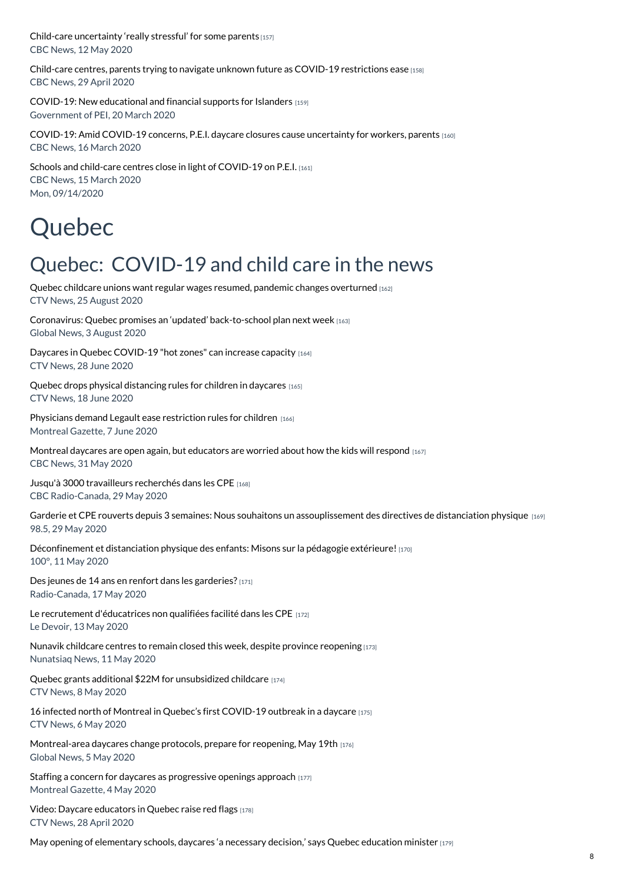Child-care [uncertainty](https://www.childcarecanada.org/documents/child-care-news/20/05/child-care-uncertainty-really-stressful-some-parents) 'really stressful' for some parents [157] CBC News, 12 May 2020

Child-care centres, parents trying to navigate unknown future as COVID-19 [restrictions](https://www.childcarecanada.org/documents/child-care-news/20/05/child-care-centres-parents-trying-navigate-unknown-future-covid-19-r) ease [158] CBC News, 29 April 2020

COVID-19: New [educational](https://www.childcarecanada.org/documents/child-care-news/20/03/new-educational-and-financial-supports-islanders) and financial supports for Islanders [159] Government of PEI, 20 March 2020

COVID-19: Amid COVID-19 concerns, P.E.I. daycare closures cause [uncertainty](https://www.childcarecanada.org/documents/child-care-news/20/03/amid-covid-19-concerns-pei-daycare-closures-cause-uncertainty-worker) for workers, parents [160] CBC News, 16 March 2020

Schools and child-care centres close in light of [COVID-19](https://www.childcarecanada.org/documents/child-care-news/20/03/schools-and-child-care-centres-close-light-covid-19-pei) on P.E.I. [161] CBC News, 15 March 2020 Mon, 09/14/2020

# Quebec

## Quebec: COVID-19 and child care in the news

Quebec childcare unions want regular wages resumed, pandemic changes [overturned](https://www.childcarecanada.org/documents/child-care-news/20/08/quebec-childcare-unions-want-regular-wages-resumed-pandemic-changes-) [162] CTV News, 25 August 2020

Coronavirus: Quebec promises an 'updated' [back-to-school](https://www.childcarecanada.org/documents/child-care-news/20/08/coronavirus-quebec-promises-%25E2%2580%2598updated%25E2%2580%2599-back-school-plan-next-week) plan next week [163] Global News, 3 August 2020

Daycares in Quebec [COVID-19](https://www.childcarecanada.org/documents/child-care-news/20/06/daycares-quebec-covid-19-hot-zones-can-increase-capacity) "hot zones" can increase capacity [164] CTV News, 28 June 2020

Quebec drops physical [distancing](https://www.childcarecanada.org/documents/child-care-news/20/06/quebec-drops-physical-distancing-rules-children-daycares) rules for children in daycares [165] CTV News, 18 June 2020

Physicians demand Legault ease [restriction](https://www.childcarecanada.org/documents/child-care-news/20/06/physicians-demand-legault-ease-restriction-rules-children) rules for children [166] Montreal Gazette, 7 June 2020

Montreal daycares are open again, but [educators](https://www.childcarecanada.org/documents/child-care-news/20/06/montreal-daycares-are-open-again-educators-are-worried-about-how-kid) are worried about how the kids will respond  $1467$ CBC News, 31 May 2020

Jusqu'à 3000 [travailleurs](https://www.childcarecanada.org/documents/child-care-news/20/06/jusqu%25C3%25A0-3000-travailleurs-recherch%25C3%25A9s-dans-les-cpe) recherchés dans les CPE [168] CBC Radio-Canada, 29 May 2020

Garderie et CPE rouverts depuis 3 semaines: Nous souhaitons un [assouplissement](https://www.childcarecanada.org/documents/child-care-news/20/06/garderie-et-cpe-rouverts-depuis-3-semaines-nous-souhaitons-un-asso-0) des directives de distanciation physique [169] 98.5, 29 May 2020

[Déconfinement](https://www.childcarecanada.org/documents/child-care-news/20/06/d%25C3%25A9confinement-et-distanciation-physique-des-enfants-misons-sur-la-p%25C3%25A9) et distanciation physique des enfants: Misons sur la pédagogie extérieure! [170] 100°, 11 May 2020

Des jeunes de 14 ans en renfort dans les [garderies?](https://www.childcarecanada.org/documents/child-care-news/20/05/des-jeunes-de-14-ans-en-renfort-dans-les-garderies) [171] Radio-Canada, 17 May 2020

Le recrutement [d'éducatrices](https://www.childcarecanada.org/documents/child-care-news/20/05/le-recrutement-d%25C3%25A9ducatrices-non-qualifi%25C3%25A9es-facilit%25C3%25A9-dans-les-cpe) non qualifiées facilité dans les CPE [172] Le Devoir, 13 May 2020

Nunavik childcare centres to remain closed this week, despite province [reopening](https://www.childcarecanada.org/documents/child-care-news/20/05/nunavik-childcare-centres-remain-closed-week-despite-province-reopen) [173] Nunatsiaq News, 11 May 2020

Quebec grants additional \$22M for [unsubsidized](https://www.childcarecanada.org/documents/child-care-news/20/05/quebec-grants-additional-22m-unsubsidized-childcare%25C2%25A0) childcare [174] CTV News, 8 May 2020

16 infected north of Montreal in Quebec's first [COVID-19](https://www.childcarecanada.org/documents/child-care-news/20/05/16-infected-north-montreal-quebecs-first-covid-19-outbreak-daycare) outbreak in a daycare [175] CTV News, 6 May 2020

[Montreal-area](https://www.childcarecanada.org/documents/child-care-news/20/05/montreal-area-daycares-change-protocols-prepare-reopening) daycares change protocols, prepare for reopening, May 19th [176] Global News, 5 May 2020

Staffing a concern for daycares as [progressive](https://www.childcarecanada.org/documents/child-care-news/20/05/staffing-concern-daycares-progressive-openings-approach) openings approach [177] Montreal Gazette, 4 May 2020

Video: Daycare [educators](https://www.childcarecanada.org/documents/child-care-news/20/05/daycare-educators-raise-red-flags) in Quebec raise red flags [178] CTV News, 28 April 2020

May opening of [elementary](https://www.childcarecanada.org/documents/child-care-news/20/05/may-opening-elementary-schools-daycares-necessary-decision-says-queb) schools, daycares 'a necessary decision,' says Quebec education minister [179]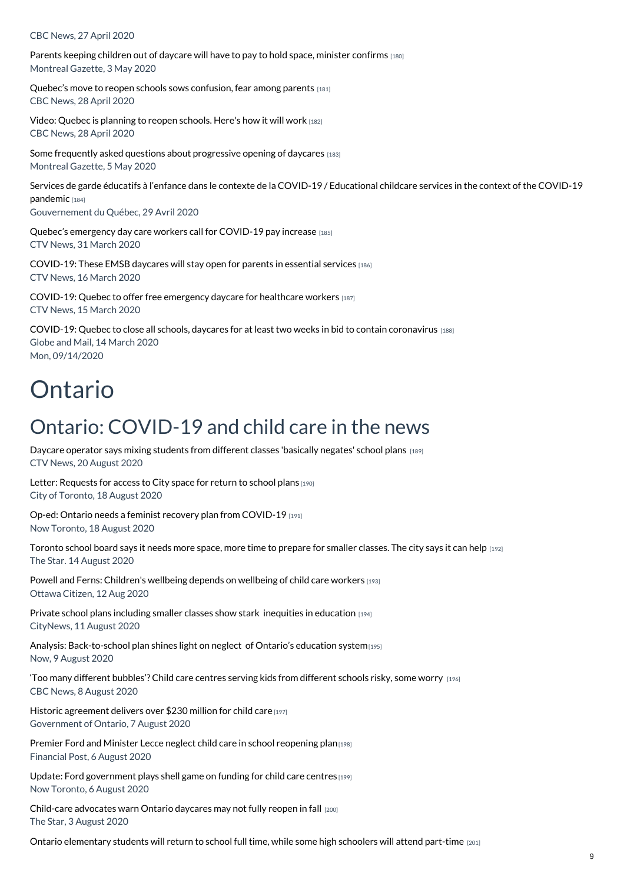#### CBC News, 27 April 2020

Parents keeping children out of daycare will have to pay to hold space, minister [confirms](https://www.childcarecanada.org/documents/child-care-news/20/05/parents-keeping-children-out-daycare-will-have-pay-hold-space-minist) [180] Montreal Gazette, 3 May 2020

Quebec's move to reopen schools sows [confusion,](https://www.childcarecanada.org/documents/child-care-news/20/05/quebecs-move-reopen-schools-sows-confusion-fear-among-parents) fear among parents [181] CBC News, 28 April 2020

Video: Quebec is [planning](https://www.childcarecanada.org/documents/child-care-news/20/05/quebec-planning-reopen-schools-heres-how-it-will-work) to reopen schools. Here's how it will work [182] CBC News, 28 April 2020

Some frequently asked questions about [progressive](https://www.childcarecanada.org/documents/child-care-news/20/05/some-frequently-asked-questions-about-progressive-opening-daycares) opening of daycares [183] Montreal Gazette, 5 May 2020

Services de garde éducatifs à l'enfance dans le contexte de la COVID-19 / [Educational](https://www.childcarecanada.org/documents/child-care-news/20/05/services-de-garde-%25C3%25A9ducatifs-%25C3%25A0-l%25E2%2580%2599enfance-dans-le-contexte-de-la-covid) childcare services in the context of the COVID-19 pandemic [184]

Gouvernement du Québec, 29 Avril 2020

Quebec's [emergency](https://www.childcarecanada.org/documents/child-care-news/20/04/quebecs-emergency-day-care-workers-call-covid-19-pay-increase%25C2%25A0) day care workers call for COVID-19 pay increase [185] CTV News, 31 March 2020

[COVID-19:](https://www.childcarecanada.org/documents/child-care-news/20/03/covid-19-these-emsb-daycares-will-stay-open-parents-essential-servic) These EMSB daycares will stay open for parents in essential services [186] CTV News, 16 March 2020

[COVID-19:](https://www.childcarecanada.org/documents/child-care-news/20/03/covid-19-quebec-offer-free-emergency-daycare-healthcare-workers) Quebec to offer free emergency daycare for healthcare workers [187] CTV News, 15 March 2020

COVID-19: Quebec to close all schools, daycares for at least two weeks in bid to contain [coronavirus](https://www.childcarecanada.org/documents/child-care-news/20/03/quebec-close-all-schools-daycares-least-two-weeks-bid-contain-corona) [188] Globe and Mail, 14 March 2020 Mon, 09/14/2020

## Ontario

### Ontario: COVID-19 and child care in the news

Daycare operator says mixing students from different classes ['basically](https://www.childcarecanada.org/documents/child-care-news/20/08/daycare-operator-says-mixing-students-basically-negates-school-plans) negates' school plans [189] CTV News, 20 August 2020

Letter: [Requests](https://www.childcarecanada.org/documents/child-care-news/20/08/letter-requests-access-city-space-return-school-plans) for access to City space for return to school plans [190] City of Toronto, 18 August 2020

Op-ed: Ontario needs a feminist recovery plan from [COVID-19](https://www.childcarecanada.org/documents/child-care-news/20/08/op-ed-ontario-needs-feminist-recovery-plan-covid-19) [191] Now Toronto, 18 August 2020

[Toronto](https://www.childcarecanada.org/documents/child-care-news/20/08/toronto-school-board-says-it-needs-more-space-more-time-prepare-smal) school board says it needs more space, more time to prepare for smaller classes. The city says it can help [192] The Star. 14 August 2020

Powell and Ferns: [Children's](https://www.childcarecanada.org/documents/child-care-news/20/08/powell-and-ferns-childrens-wellbeing-depends-wellbeing-child-care-wo) wellbeing depends on wellbeing of child care workers [193] Ottawa Citizen, 12 Aug 2020

Private school plans including smaller classes show stark inequities in [education](https://www.childcarecanada.org/documents/child-care-news/20/08/private-school-plans-including-smaller-classes-show-stark-inequities) [194] CityNews, 11 August 2020

Analysis: [Back-to-school](https://www.childcarecanada.org/documents/child-care-news/20/08/back-school-plan-shines-light-neglect-ontario%25E2%2580%2599s-education-system) plan shines light on neglect of Ontario's education system $[195]$ Now, 9 August 2020

'Too many different [bubbles'?](https://www.childcarecanada.org/documents/child-care-news/20/08/too-many-different-bubbles-child-care-centres-serving-kids-different) Child care centres serving kids from different schools risky, some worry [196] CBC News, 8 August 2020

Historic [agreement](https://www.childcarecanada.org/documents/child-care-news/20/08/historic-agreement-delivers-over-230-million-child-care) delivers over \$230 million for child care [197] Government of Ontario, 7 August 2020

Premier Ford and Minister Lecce neglect child care in school [reopening](https://www.childcarecanada.org/documents/child-care-news/20/08/premier-ford-and-minister-lecce-neglect-child-care-school-reopening-) plan<sub>[198]</sub> Financial Post, 6 August 2020

Update: Ford [government](https://www.childcarecanada.org/documents/child-care-news/20/08/update-ford-government-plays-shell-game-funding-child-care-centres) plays shell game on funding for child care centres [199] Now Toronto, 6 August 2020

[Child-care](https://www.childcarecanada.org/documents/child-care-news/20/08/child-care-advocates-warn-ontario-daycares-may-not-fully-reopen-fall) advocates warn Ontario daycares may not fully reopen in fall [200] The Star, 3 August 2020

Ontario [elementary](https://www.childcarecanada.org/documents/child-care-news/20/08/ontario-elementary-students-will-return-school-full-time-while-some-) students will return to school full time, while some high schoolers will attend part-time [201]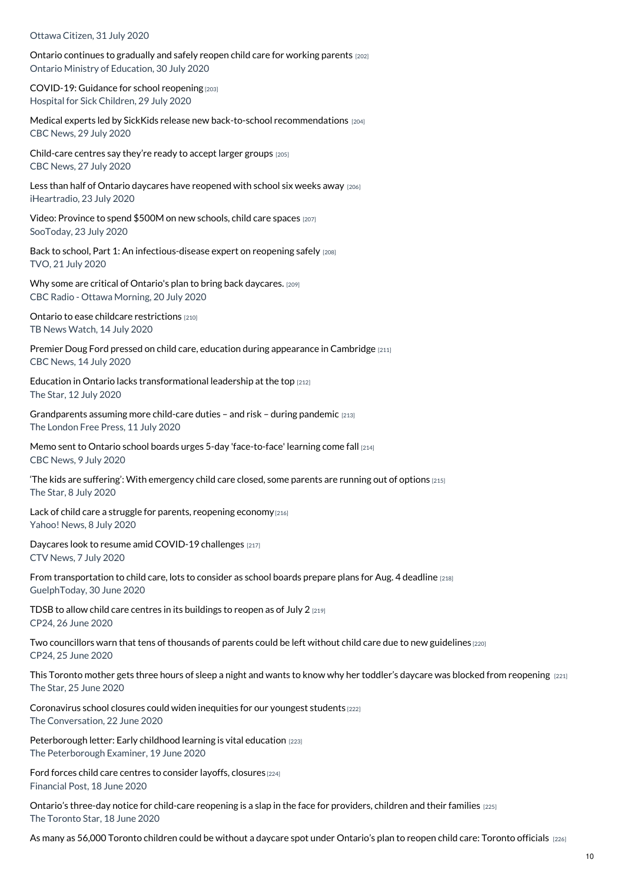Ottawa Citizen, 31 July 2020

Ontario [continues](https://www.childcarecanada.org/documents/child-care-news/20/08/ontario-continues-gradually-and-safely-reopen-child-care-working-par) to gradually and safely reopen child care for working parents [202] Ontario Ministry of Education, 30 July 2020

[COVID-19:](https://www.childcarecanada.org/documents/research-policy-practice/20/08/covid-19-guidance-school-reopening-ontario) Guidance for school reopening [203] Hospital for Sick Children, 29 July 2020

Medical experts led by SickKids release new back-to-school [recommendations](https://www.childcarecanada.org/documents/child-care-news/20/08/medical-experts-led-sickkids-release-new-back-school-recommendatio-0) [204] CBC News, 29 July 2020

[Child-care](https://www.childcarecanada.org/documents/child-care-news/20/07/child-care-centres-say-theyre-ready-accept-larger-groups) centres say they're ready to accept larger groups [205] CBC News, 27 July 2020

Less than half of Ontario daycares have [reopened](https://www.childcarecanada.org/documents/child-care-news/20/07/less-half-ontario-daycares-have-reopened-school-six-weeks-away) with school six weeks away [206] iHeartradio, 23 July 2020

Video: [Province](https://www.childcarecanada.org/documents/child-care-news/20/07/video-province-spend-500m-new-schools-child-care-spaces) to spend \$500M on new schools, child care spaces [207] SooToday, 23 July 2020

Back to school, Part 1: An [infectious-disease](https://www.childcarecanada.org/documents/child-care-news/20/07/back-school-part-1-infectious-disease-expert-reopening-safely) expert on reopening safely [208] TVO, 21 July 2020

Why some are critical of Ontario's plan to bring back [daycares.](https://www.childcarecanada.org/documents/child-care-news/20/07/why-some-are-critical-ontarios-plan-bring-back-daycares) [209] CBC Radio - Ottawa Morning, 20 July 2020

Ontario to ease childcare [restrictions](https://www.childcarecanada.org/documents/child-care-news/20/07/ontario-ease-childcare-restrictions) [210] TB News Watch, 14 July 2020

Premier Doug Ford pressed on child care, education during [appearance](https://www.childcarecanada.org/documents/child-care-news/20/07/premier-doug-ford-pressed-child-care-education-during-appearance-cam) in Cambridge [211] CBC News, 14 July 2020

Education in Ontario lacks [transformational](https://www.childcarecanada.org/documents/child-care-news/20/07/education-ontario-lacks-transformational-leadership-top) leadership at the top [212] The Star, 12 July 2020

[Grandparents](https://www.childcarecanada.org/documents/child-care-news/20/07/grandparents-assuming-more-child-care-duties-%25E2%2580%2593-and-risk-%25E2%2580%2593-during-pan) assuming more child-care duties – and risk – during pandemic [213] The London Free Press, 11 July 2020

Memo sent to Ontario school boards urges 5-day ['face-to-face'](https://www.childcarecanada.org/documents/child-care-news/20/07/memo-sent-ontario-school-boards-urges-5-day-face-face-learning-come-) learning come fall [214] CBC News, 9 July 2020

'The kids are suffering': With [emergency](https://www.childcarecanada.org/documents/child-care-news/20/07/%25E2%2580%2598-kids-are-suffering%25E2%2580%2599-emergency-child-care-closed-some-parents-are-r) child care closed, some parents are running out of options [215] The Star, 8 July 2020

Lack of child care a struggle for parents, [reopening](https://www.childcarecanada.org/documents/child-care-news/20/07/lack-child-care-struggle-parents-reopening-economy) economy $[216]$ Yahoo! News, 8 July 2020

Daycares look to resume amid [COVID-19](https://www.childcarecanada.org/documents/child-care-news/20/07/daycares-look-resume-amid-covid-19-challenges) challenges [217] CTV News, 7 July 2020

From [transportation](https://www.childcarecanada.org/documents/child-care-news/20/07/transportation-child-care-lots-consider-school-boards-prepare-plans-) to child care, lots to consider as school boards prepare plans for Aug. 4 deadline [218] GuelphToday, 30 June 2020

TDSB to allow child care centres in its [buildings](https://www.childcarecanada.org/documents/child-care-news/20/06/tdsb-allow-child-care-centres-its-buildings-reopen-july-2) to reopen as of July 2 [219] CP24, 26 June 2020

Two [councillors](https://www.childcarecanada.org/documents/child-care-news/20/06/two-councillors-warn-tens-thousands-parents-could-be-left-without-ch) warn that tens of thousands of parents could be left without child care due to new guidelines [220] CP24, 25 June 2020

This Toronto mother gets three hours of sleep a night and wants to know why her toddler's daycare was blocked from [reopening](https://www.childcarecanada.org/documents/child-care-news/20/06/toronto-mother-gets-three-hours-sleep-night-and-wants-know-why-her-t) [221] The Star, 25 June 2020

[Coronavirus](https://www.childcarecanada.org/documents/child-care-news/20/06/coronavirus-school-closures-could-widen-inequities-our-youngest-stud) school closures could widen inequities for our youngest students [222] The Conversation, 22 June 2020

[Peterborough](https://www.childcarecanada.org/documents/child-care-news/20/06/peterborough-letter-early-childhood-learning-vital-education) letter: Early childhood learning is vital education [223] The Peterborough Examiner, 19 June 2020

Ford forces child care centres to [consider](https://www.childcarecanada.org/documents/child-care-news/20/06/ford-forces-child-care-centres-consider-layoffs-closures) layoffs, closures [224] Financial Post, 18 June 2020

Ontario's three-day notice for child-care [reopening](https://www.childcarecanada.org/documents/child-care-news/20/06/ontario%25E2%2580%2599s-three-day-notice-child-care-reopening-slap-face-providers-) is a slap in the face for providers, children and their families [225] The Toronto Star, 18 June 2020

As many as 56,000 Toronto children could be without a daycare spot under [Ontario's](https://www.childcarecanada.org/documents/child-care-news/20/06/many-56000-toronto-children-could-be-without-daycare-spot-under-onta) plan to reopen child care: Toronto officials [226]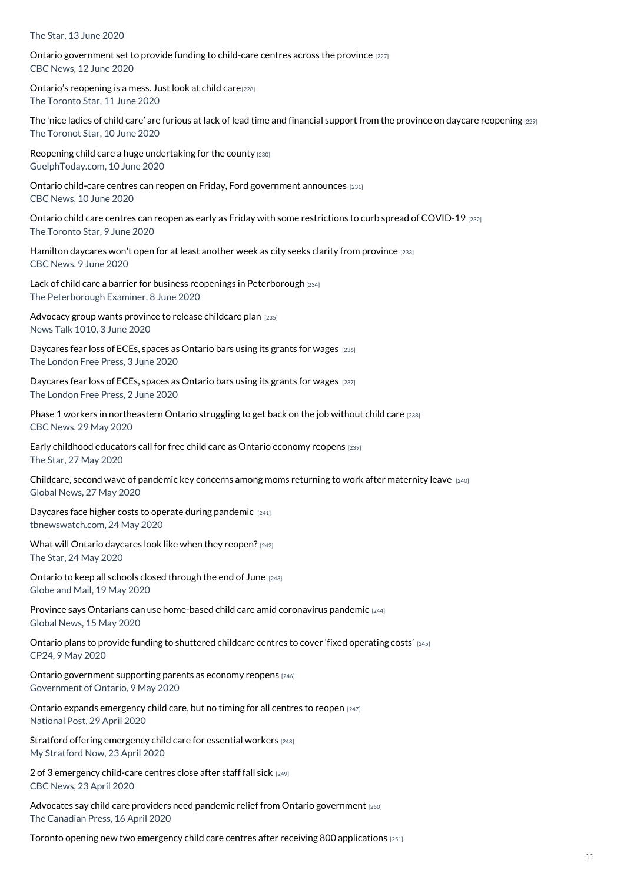#### The Star, 13 June 2020

Ontario [government](https://www.childcarecanada.org/documents/child-care-news/20/06/ontario-government-set-provide-funding-child-care-centres-across-pro) set to provide funding to child-care centres across the province [227] CBC News, 12 June 2020

Ontario's [reopening](https://www.childcarecanada.org/documents/child-care-news/20/06/ontario%25E2%2580%2599s-reopening-mess-just-look-child-care) is a mess. Just look at child care<sup>[228]</sup> The Toronto Star, 11 June 2020

The 'nice ladies of child care' are furious at lack of lead time and financial support from the province on daycare [reopening](https://www.childcarecanada.org/documents/child-care-news/20/06/%25E2%2580%2598nice-ladies-child-care%25E2%2580%2599-are-furious-lack-lead-time-and-financial-su)  $[229]$ The Toronot Star, 10 June 2020

Reopening child care a huge [undertaking](https://www.childcarecanada.org/documents/child-care-news/20/06/reopening-child-care-huge-undertaking-county) for the county [230] GuelphToday.com, 10 June 2020

Ontario child-care centres can reopen on Friday, Ford [government](https://www.childcarecanada.org/documents/child-care-news/20/06/ontario-child-care-centres-can-reopen-friday-ford-government-announc) announces [231] CBC News, 10 June 2020

Ontario child care centres can reopen as early as Friday with some [restrictions](https://www.childcarecanada.org/documents/child-care-news/20/06/ontario-child-care-centres-can-reopen-early-friday-some-restrictions) to curb spread of COVID-19 [232] The Toronto Star, 9 June 2020

[Hamilton](https://www.childcarecanada.org/documents/child-care-news/20/06/hamilton-daycares-wont-open-least-another-week-city-seeks-clarity-pr) daycares won't open for at least another week as city seeks clarity from province [233] CBC News, 9 June 2020

Lack of child care a barrier for business reopenings in [Peterborough](https://www.childcarecanada.org/documents/child-care-news/20/06/lack-child-care-barrier-business-reopenings-peterborough) [234] The Peterborough Examiner, 8 June 2020

[Advocacy](https://www.childcarecanada.org/documents/child-care-news/20/06/advocacy-group-wants-province-release-childcare-plan) group wants province to release childcare plan [235] News Talk 1010, 3 June 2020

[Daycares](https://www.childcarecanada.org/documents/child-care-news/20/06/daycares-fear-loss-eces-spaces-ontario-bars-using-its-grants-wages-0) fear loss of ECEs, spaces as Ontario bars using its grants for wages [236] The London Free Press, 3 June 2020

[Daycares](https://www.childcarecanada.org/documents/child-care-news/20/06/daycares-fear-loss-eces-spaces-ontario-bars-using-its-grants-wages) fear loss of ECEs, spaces as Ontario bars using its grants for wages [237] The London Free Press, 2 June 2020

Phase 1 workers in [northeastern](https://www.childcarecanada.org/documents/child-care-news/20/06/phase-1-workers-northeastern-ontario-struggling-get-back-job-without) Ontario struggling to get back on the job without child care [238] CBC News, 29 May 2020

Early childhood [educators](https://www.childcarecanada.org/documents/child-care-news/20/05/early-childhood-educators-call-free-child-care-ontario-economy-reope) call for free child care as Ontario economy reopens [239] The Star, 27 May 2020

[Childcare,](https://www.childcarecanada.org/documents/child-care-news/20/05/childcare-second-wave-pandemic-key-concerns-among-moms-returning-wor) second wave of pandemic key concerns among moms returning to work after maternity leave [240] Global News, 27 May 2020

Daycares face higher costs to operate during [pandemic](https://www.childcarecanada.org/documents/child-care-news/20/05/daycares-face-higher-costs-operate-during-pandemic) [241] tbnewswatch.com, 24 May 2020

What will Ontario [daycares](https://www.childcarecanada.org/documents/child-care-news/20/05/what-will-ontario-daycares-look-when-they-reopen) look like when they reopen? [242] The Star, 24 May 2020

Ontario to keep all schools closed [through](https://www.childcarecanada.org/documents/child-care-news/20/05/ontario-keep-all-schools-closed-through-end-june) the end of June [243] Globe and Mail, 19 May 2020

Province says Ontarians can use [home-based](https://www.childcarecanada.org/documents/child-care-news/20/05/province-says-ontarians-can-use-home-based-child-care-amid-coronavir%25C2%25A0) child care amid coronavirus pandemic [244] Global News, 15 May 2020

Ontario plans to provide funding to [shuttered](https://www.childcarecanada.org/documents/child-care-news/20/05/ontario-plans-provide-funding-shuttered-childcare-centres-cover-fixe) childcare centres to cover 'fixed operating costs' [245] CP24, 9 May 2020

Ontario [government](https://news.ontario.ca/edu/en/2020/05/ontario-government-supporting-parents-as-economy-reopens.html?fbclid=IwAR0mv7cG7q0R2jOTVGOjn1pe6ZudlvD5fX1Gmly34k8FGKJ-KN80UlPONao) supporting parents as economy reopens [246] Government of Ontario, 9 May 2020

Ontario expands [emergency](https://www.childcarecanada.org/documents/child-care-news/20/05/ontario-expands-emergency-child-care-no-timing-all-centres-reopen) child care, but no timing for all centres to reopen [247] National Post, 29 April 2020

Stratford offering [emergency](https://www.childcarecanada.org/documents/child-care-news/20/04/stratford-offering-emergency-child-care-essential-workers) child care for essential workers [248] My Stratford Now, 23 April 2020

2 of 3 [emergency](https://www.childcarecanada.org/documents/child-care-news/20/04/2-3-emergency-child-care-centres-close-after-staff-fall-sick) child-care centres close after staff fall sick [249] CBC News, 23 April 2020

Advocates say child care providers need pandemic relief from Ontario [government](https://www.childcarecanada.org/documents/child-care-news/20/04/advocates-say-child-care-providers-need-pandemic-relief-ontario-gove) [250] The Canadian Press, 16 April 2020

Toronto opening new two emergency child care centres after receiving 800 [applications](https://www.childcarecanada.org/documents/child-care-news/20/04/toronto-opening-new-two-emergency-child-care-centres-after-receiving) [251]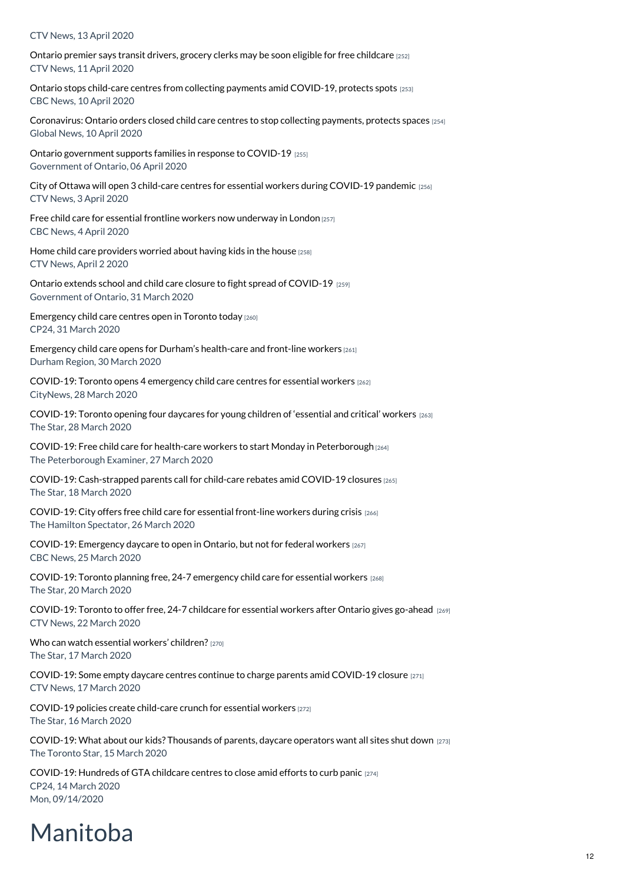#### CTV News, 13 April 2020

Ontario premier says transit drivers, grocery clerks may be soon eligible for free [childcare](https://www.childcarecanada.org/documents/child-care-news/20/04/ontario-premier-says-transit-drivers-grocery-clerks-may-be-soon-elig) [252] CTV News, 11 April 2020

Ontario stops child-care centres from collecting payments amid [COVID-19,](https://www.childcarecanada.org/documents/child-care-news/20/04/ontario-stops-child-care-centres-collecting-payments-amid-covid-19-p) protects spots [253] CBC News, 10 April 2020

[Coronavirus:](https://www.childcarecanada.org/documents/child-care-news/20/04/coronavirus-ontario-orders-closed-child-care-centres-stop-collecting) Ontario orders closed child care centres to stop collecting payments, protects spaces [254] Global News, 10 April 2020

Ontario [government](https://www.childcarecanada.org/documents/child-care-news/20/04/ontario-government-supports-families-response-covid-19) supports families in response to COVID-19 [255] Government of Ontario, 06 April 2020

City of Ottawa will open 3 child-care centres for essential workers during [COVID-19](https://www.childcarecanada.org/documents/child-care-news/20/04/city-ottawa-will-open-3-child-care-centres-essential-workers-during-) pandemic [256] CTV News, 3 April 2020

Free child care for essential frontline workers now [underway](https://www.childcarecanada.org/documents/child-care-news/20/04/free-child-care-essential-frontline-workers-now-underway-london) in London [257] CBC News, 4 April 2020

Home child care [providers](https://www.childcarecanada.org/documents/child-care-news/20/04/home-child-care-providers-worried-about-having-kids-house) worried about having kids in the house [258] CTV News, April 2 2020

Ontario extends school and child care closure to fight spread of [COVID-19](https://www.childcarecanada.org/documents/child-care-news/20/04/ontario-extends-school-and-child-care-closure-fight-spread-covid-19l%25C2%25A0) [259] Government of Ontario, 31 March 2020

[Emergency](https://www.childcarecanada.org/documents/child-care-news/20/04/emergency-child-care-centres-open-toronto-today%25C2%25A0%25C2%25A0) child care centres open in Toronto today [260] CP24, 31 March 2020

Emergency child care opens for Durham's [health-care](https://www.childcarecanada.org/documents/child-care-news/20/04/emergency-child-care-opens-durham%25E2%2580%2599s-health-care-and-front-line-worke%25C2%25A0) and front-line workers [261] Durham Region, 30 March 2020

[COVID-19:](https://www.childcarecanada.org/documents/child-care-news/20/03/toronto-opens-4-emergency-child-care-centres-essential-workers) Toronto opens 4 emergency child care centres for essential workers [262] CityNews, 28 March 2020

[COVID-19:](https://www.childcarecanada.org/documents/child-care-news/20/03/toronto-opening-four-daycares-young-children-%25E2%2580%2598essential-and-critical) Toronto opening four daycares for young children of 'essential and critical' workers [263] The Star, 28 March 2020

COVID-19: Free child care for health-care workers to start Monday in [Peterborough](https://www.childcarecanada.org/documents/child-care-news/20/03/free-child-care-health-care-workers-start-monday-peterborough) [264] The Peterborough Examiner, 27 March 2020

COVID-19: [Cash-strapped](https://www.childcarecanada.org/documents/child-care-news/20/03/cash-strapped-parents-call-child-care-rebates-amid-covid-19-closures) parents call for child-care rebates amid COVID-19 closures [265] The Star, 18 March 2020

[COVID-19:](https://www.childcarecanada.org/documents/child-care-news/20/03/covid-19-city-offers-free-child-care-essential-front-line-workers-du) City offers free child care for essential front-line workers during crisis [266] The Hamilton Spectator, 26 March 2020

[COVID-19:](https://www.childcarecanada.org/documents/child-care-news/20/03/emergency-daycares-open-ontario-not-federal-workers) Emergency daycare to open in Ontario, but not for federal workers [267] CBC News, 25 March 2020

[COVID-19:](https://www.childcarecanada.org/documents/child-care-news/20/03/toronto-planning-free-24-7-emergency-child-care-essential-workers) Toronto planning free, 24-7 emergency child care for essential workers [268] The Star, 20 March 2020

[COVID-19:](https://www.childcarecanada.org/documents/child-care-news/20/03/toronto-offer-free-24-7-childcare-essential-workers-after-ontario-gi) Toronto to offer free, 24-7 childcare for essential workers after Ontario gives go-ahead [269] CTV News, 22 March 2020

Who can watch essential workers' [children?](https://www.childcarecanada.org/documents/child-care-news/20/04/who-can-watch-essential-workers%25E2%2580%2599-children) [270] The Star, 17 March 2020

[COVID-19:](https://www.childcarecanada.org/documents/child-care-news/20/03/some-empty-daycare-centres-continue-charge-parents-amid-covid-19-clo) Some empty daycare centres continue to charge parents amid COVID-19 closure [271] CTV News, 17 March 2020

[COVID-19](https://www.childcarecanada.org/documents/child-care-news/20/03/covid-19-policies-create-child-care-crunch-essential-workers%20) policies create child-care crunch for essential workers [272] The Star, 16 March 2020

[COVID-19:](https://www.childcarecanada.org/documents/child-care-news/20/03/what-about-our-kids-thousands-parents-daycare-operators-want-all-sit) What about our kids? Thousands of parents, daycare operators want all sites shut down [273] The Toronto Star, 15 March 2020

[COVID-19:](https://www.childcarecanada.org/documents/child-care-news/20/03/hundreds-gta-childcare-centres-close-amid-effort-curb-pandemic%20) Hundreds of GTA childcare centres to close amid efforts to curb panic [274] CP24, 14 March 2020 Mon, 09/14/2020

## Manitoba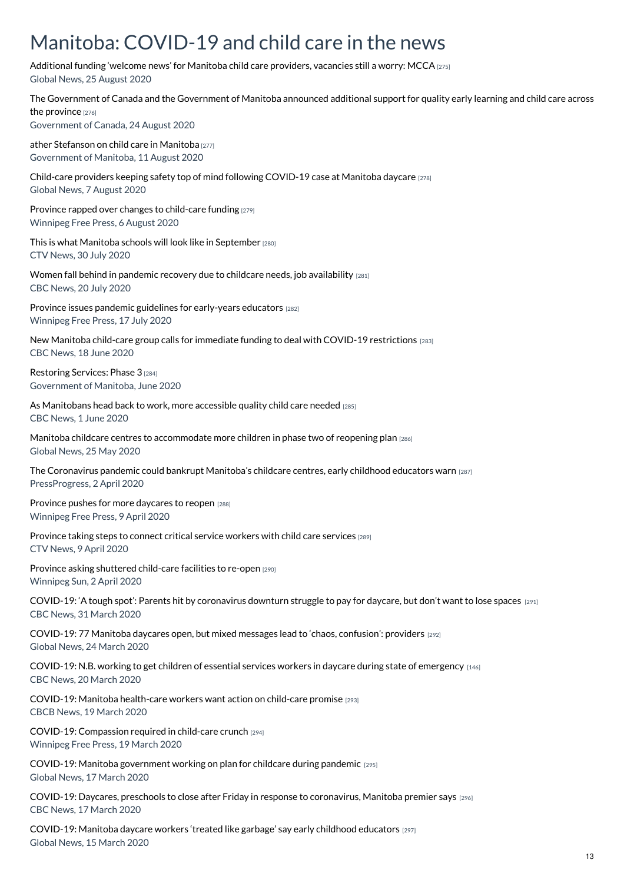### Manitoba: COVID-19 and child care in the news

[Additional](https://www.childcarecanada.org/documents/child-care-news/20/08/additional-funding-%25E2%2580%2598welcome-news%25E2%2580%2599-manitoba-child-care-providers-vaca) funding 'welcome news' for Manitoba child care providers, vacancies still a worry: MCCA [275] Global News, 25 August 2020

The [Government](https://www.childcarecanada.org/documents/child-care-news/20/08/government-canada-and-government-manitoba-announced-additional-suppo%20%20Statement%20from%20families%20Minister%20He) of Canada and the Government of Manitoba announced additional support for quality early learning and child care across the province [276] Government of Canada, 24 August 2020 ather [Stefanson](https://www.childcarecanada.org/documents/child-care-news/20/08/statement-families-minister-heather-stefanson-child-care-manitoba) on child care in Manitoba [277] Government of Manitoba, 11 August 2020 Child-care providers keeping safety top of mind following [COVID-19](https://www.childcarecanada.org/documents/child-care-news/20/08/child-care-providers-keeping-safety-top-mind-following-covid-19-case) case at Manitoba daycare [278] Global News, 7 August 2020 Province rapped over changes to [child-care](https://www.childcarecanada.org/documents/child-care-news/20/08/province-rapped-over-changes-child-care-funding) funding [279] Winnipeg Free Press, 6 August 2020 This is what Manitoba schools will look like in [September](https://www.childcarecanada.org/documents/child-care-news/20/08/what-manitoba-schools-will-look-september) [280] CTV News, 30 July 2020 Women fall behind in pandemic recovery due to childcare needs, job [availability](https://www.childcarecanada.org/documents/child-care-news/20/07/women-fall-behind-pandemic-recovery-due-childcare-needs-job-availabi) [281] CBC News, 20 July 2020 Province issues pandemic guidelines for [early-years](https://www.childcarecanada.org/documents/child-care-news/20/07/province-issues-pandemic-guidelines-early-years-educators) educators [282] Winnipeg Free Press, 17 July 2020 New Manitoba child-care group calls for immediate funding to deal with COVID-19 [restrictions](https://www.childcarecanada.org/documents/child-care-news/20/06/new-manitoba-child-care-group-calls-immediate-funding-deal-covid-19-) [283] CBC News, 18 June 2020 [Restoring](https://www.childcarecanada.org/documents/child-care-news/20/06/restoring-services-phase-3) Services: Phase 3 [284] Government of Manitoba, June 2020 As [Manitobans](https://www.childcarecanada.org/documents/child-care-news/20/06/opinion-manitobans-head-back-work-more-accessible-quality-child-care) head back to work, more accessible quality child care needed [285] CBC News, 1 June 2020 Manitoba childcare centres to [accommodate](https://www.childcarecanada.org/documents/child-care-news/20/05/manitoba-childcare-centres-accommodate-more-children-phase-two-reope) more children in phase two of reopening plan [286] Global News, 25 May 2020 The [Coronavirus](https://www.childcarecanada.org/documents/child-care-news/20/04/coronavirus-pandemic-could-bankrupt-manitoba%25E2%2580%2599s-childcare-centres-ear) pandemic could bankrupt Manitoba's childcare centres, early childhood educators warn [287] PressProgress, 2 April 2020 Province pushes for more [daycares](https://www.childcarecanada.org/documents/child-care-news/20/04/province-pushes-more-daycares-reopen) to reopen [288] Winnipeg Free Press, 9 April 2020 [Province](https://www.childcarecanada.org/documents/child-care-news/20/04/province-taking-steps-connect-critical-service-workers-child-care-se) taking steps to connect critical service workers with child care services [289] CTV News, 9 April 2020 Province asking shuttered [child-care](https://www.childcarecanada.org/documents/child-care-news/20/04/province-asking-shuttered-child-care-facilities-re-open) facilities to re-open [290] Winnipeg Sun, 2 April 2020 COVID-19: 'A tough spot': Parents hit by [coronavirus](https://www.childcarecanada.org/documents/child-care-news/20/04/tough-spot-parents-hit-coronavirus-downturn-struggle-pay-daycare-don%25C2%25A0) downturn struggle to pay for daycare, but don't want to lose spaces [291] CBC News, 31 March 2020 [COVID-19:](https://www.childcarecanada.org/documents/child-care-news/20/03/77-manitoba-daycares-open-mixed-messages-lead-%25E2%2580%2598chaos-confusion%25E2%2580%2599-prov) 77 Manitoba daycares open, but mixed messages lead to 'chaos, confusion': providers [292] Global News, 24 March 2020 [COVID-19:](https://www.childcarecanada.org/documents/child-care-news/20/03/nb-working-get-children-essential-services-workers-daycare-during-st) N.B. working to get children of essential services workers in daycare during state of emergency [146] CBC News, 20 March 2020 COVID-19: Manitoba [health-care](https://www.childcarecanada.org/documents/child-care-news/20/03/manitoba-health-care-workers-want-action-child-care-promise) workers want action on child-care promise [293] CBCB News, 19 March 2020 COVID-19: [Compassion](https://www.childcarecanada.org/documents/child-care-news/20/03/compassion-required-child-care-crunch) required in child-care crunch [294] Winnipeg Free Press, 19 March 2020 COVID-19: Manitoba [government](https://www.childcarecanada.org/documents/child-care-news/20/03/coronavirus-manitoba-government-working-plan-childcare-during-pandem) working on plan for childcare during pandemic [295] Global News, 17 March 2020 COVID-19: Daycares, preschools to close after Friday in response to [coronavirus,](https://www.childcarecanada.org/documents/child-care-news/20/03/daycares-preschools-close-after-friday-response-coronavirus-manitoba) Manitoba premier says [296] CBC News, 17 March 2020 [COVID-19:](https://www.childcarecanada.org/documents/child-care-news/20/03/coronavirus-manitoba-daycare-workers-%25E2%2580%2598treated-garbage%25E2%2580%2599-say-early-chi) Manitoba daycare workers 'treated like garbage' say early childhood educators [297]

Global News, 15 March 2020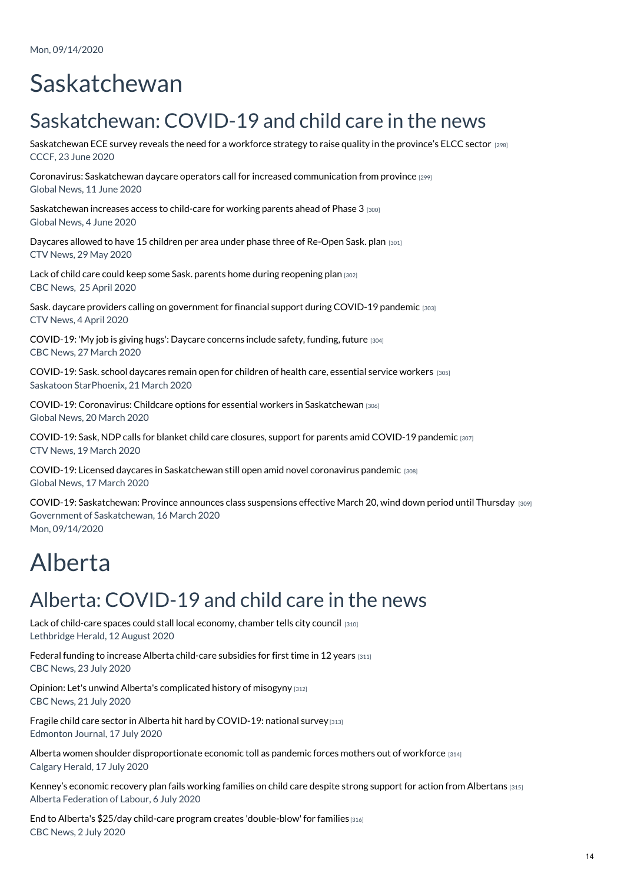# Saskatchewan

## Saskatchewan: COVID-19 and child care in the news

[Saskatchewan](https://www.childcarecanada.org/documents/research-policy-practice/20/06/saskatchewan-ece-survey-reveals-need-workforce-strategy-rai) ECE survey reveals the need for a workforce strategy to raise quality in the province's ELCC sector [298] CCCF, 23 June 2020

Coronavirus: Saskatchewan daycare operators call for increased [communication](https://www.childcarecanada.org/documents/child-care-news/20/06/coronavirus-saskatchewan-daycare-operators-call-increased-communicat) from province [299] Global News, 11 June 2020

[Saskatchewan](https://www.childcarecanada.org/documents/child-care-news/20/06/saskatchewan-increases-access-child-care-working-parents-ahead-phase) increases access to child-care for working parents ahead of Phase 3 [300] Global News, 4 June 2020

[Daycares](https://www.childcarecanada.org/documents/child-care-news/20/06/daycares-allowed-have-15-children-area-under-phase-three-re-open-sas) allowed to have 15 children per area under phase three of Re-Open Sask. plan [301] CTV News, 29 May 2020

Lack of child care could keep some Sask, parents home during [reopening](https://www.childcarecanada.org/documents/child-care-news/20/05/lack-child-care-could-keep-some-sask-parents-home-during-reopening-p) plan [302] CBC News, 25 April 2020

Sask. daycare providers calling on [government](https://www.childcarecanada.org/documents/child-care-news/20/04/sask-daycare-providers-calling-government-financial-support-during-c) for financial support during COVID-19 pandemic [303] CTV News, 4 April 2020

[COVID-19:](https://www.childcarecanada.org/documents/child-care-news/20/03/my-job-giving-hugs-daycare-concerns-include-safety-funding-future) 'My job is giving hugs': Daycare concerns include safety, funding, future [304] CBC News, 27 March 2020

[COVID-19:](https://www.childcarecanada.org/documents/child-care-news/20/03/sask-school-daycares-remain-open-children-health-care-essential-serv) Sask. school daycares remain open for children of health care, essential service workers [305] Saskatoon StarPhoenix, 21 March 2020

COVID-19: Coronavirus: Childcare options for essential workers in [Saskatchewan](https://www.childcarecanada.org/documents/child-care-news/20/03/coronavirus-childcare-options-essential-workers-saskatchewan) [306] Global News, 20 March 2020

[COVID-19:](https://www.childcarecanada.org/documents/child-care-news/20/03/sask-ndp-calls-blanket-child-care-closures-support-parents-amid-covi) Sask, NDP calls for blanket child care closures, support for parents amid COVID-19 pandemic [307] CTV News, 19 March 2020

COVID-19: Licensed daycares in [Saskatchewan](https://www.childcarecanada.org/documents/child-care-news/20/03/licensed-daycares-saskatchewan-still-open-amid-novel-coronavirus-pan) still open amid novel coronavirus pandemic [308] Global News, 17 March 2020

COVID-19: [Saskatchewan:](https://www.childcarecanada.org/documents/child-care-news/20/03/province-announces-class-suspensions-effective-march-20-wind-down-pe) Province announces class suspensions effective March 20, wind down period until Thursday [309] Government of Saskatchewan, 16 March 2020 Mon, 09/14/2020

# Alberta

### Alberta: COVID-19 and child care in the news

Lack of [child-care](https://www.childcarecanada.org/documents/child-care-news/20/08/lack-child-care-spaces-could-stall-local-economy-chamber-tells-city) spaces could stall local economy, chamber tells city council [310] Lethbridge Herald, 12 August 2020

Federal funding to increase Alberta [child-care](https://www.childcarecanada.org/documents/child-care-news/20/07/federal-funding-increase-alberta-child-care-subsidies-first-time-12) subsidies for first time in 12 years [311] CBC News, 23 July 2020

Opinion: Let's unwind Alberta's [complicated](https://www.cbc.ca/news/canada/calgary/alberta-economy-women-workplace-emma-may-1.5655971) history of misogyny [312] CBC News, 21 July 2020

Fragile child care sector in Alberta hit hard by [COVID-19:](https://www.childcarecanada.org/documents/child-care-news/20/07/fragile-child-care-sector-alberta-hit-hard-covid-19-national-survey) national survey [313] Edmonton Journal, 17 July 2020

Alberta women shoulder [disproportionate](https://www.childcarecanada.org/documents/child-care-news/20/07/alberta-women-shoulder-disproportionate-economic-toll-pandemic-force) economic toll as pandemic forces mothers out of workforce [314] Calgary Herald, 17 July 2020

Kenney's economic recovery plan fails working families on child care despite strong support for action from [Albertans](https://www.childcarecanada.org/documents/child-care-news/20/07/kenney%25E2%2580%2599s-economic-recovery-plan-fails-working-families-child-care-de) [315] Alberta Federation of Labour, 6 July 2020

End to Alberta's \$25/day child-care program creates ['double-blow'](https://www.childcarecanada.org/documents/child-care-news/20/07/end-albertas-25day-child-care-program-creates-double-blow-families) for families [316] CBC News, 2 July 2020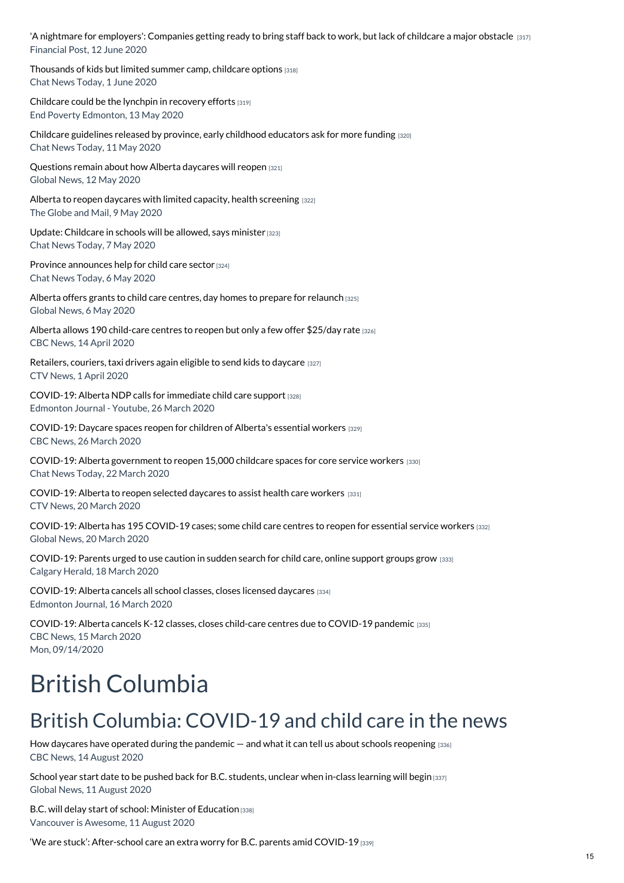'A nightmare for [employers':](https://www.childcarecanada.org/documents/child-care-news/20/06/nightmare-employers-companies-getting-ready-bring-staff-back-work-la) Companies getting ready to bring staff back to work, but lack of childcare a major obstacle [317] Financial Post, 12 June 2020

[Thousands](https://www.childcarecanada.org/documents/child-care-news/20/06/thousands-kids-limited-summer-camp-childcare-options) of kids but limited summer camp, childcare options [318] Chat News Today, 1 June 2020

[Childcare](https://www.childcarecanada.org/documents/child-care-news/20/05/childcare-could-be-lynchpin-recovery-efforts) could be the lynchpin in recovery efforts [319] End Poverty Edmonton, 13 May 2020

Childcare [guidelines](https://www.childcarecanada.org/documents/child-care-news/20/05/childcare-guidelines-released-province-early-childhood-educators-ask) released by province, early childhood educators ask for more funding [320] Chat News Today, 11 May 2020

[Questions](https://www.childcarecanada.org/documents/child-care-news/20/05/questions-remain-about-how-alberta-daycares-will-reopen) remain about how Alberta daycares will reopen [321] Global News, 12 May 2020

Alberta to reopen daycares with limited capacity, health [screening](https://www.childcarecanada.org/documents/child-care-news/20/05/alberta-reopen-daycares-limited-capacity-health-screening) [322] The Globe and Mail, 9 May 2020

Update: [Childcare](https://www.childcarecanada.org/documents/child-care-news/20/05/updated-childcare-schools-will-be-allowed-says-minister%25C2%25A0) in schools will be allowed, says minister [323] Chat News Today, 7 May 2020

Province [announces](https://www.childcarecanada.org/documents/child-care-news/20/05/province-ab-announces-help-child-care-sector%25C2%25A0) help for child care sector [324] Chat News Today, 6 May 2020

Alberta offers grants to child care centres, day homes to prepare for [relaunch](https://www.childcarecanada.org/documents/child-care-news/20/05/alberta-offers-grants-child-care-centres-day-homes-prepare-relaunch%25C2%25A0) [325] Global News, 6 May 2020

Alberta allows 190 [child-care](https://www.childcarecanada.org/documents/child-care-news/20/04/alberta-allows-190-child-care-centres-reopen-only-few-offer-25day-ra) centres to reopen but only a few offer \$25/day rate [326] CBC News, 14 April 2020

[Retailers,](https://www.childcarecanada.org/documents/child-care-news/20/04/retailers-couriers-taxi-drivers-again-eligible-send-kids-daycare) couriers, taxi drivers again eligible to send kids to daycare [327] CTV News, 1 April 2020

[COVID-19:](https://www.childcarecanada.org/documents/child-care-news/20/03/alberta-ndp-calls-immediate-child-care-support) Alberta NDP calls for immediate child care support [328] Edmonton Journal - Youtube, 26 March 2020

[COVID-19:](https://www.childcarecanada.org/documents/child-care-news/20/03/daycare-spaces-reopen-children-albertas-essential-workers) Daycare spaces reopen for children of Alberta's essential workers [329] CBC News, 26 March 2020

COVID-19: Alberta [government](https://www.childcarecanada.org/documents/child-care-news/20/03/alberta-government-reopen-15000-childcare-spaces-core-service-worker) to reopen 15,000 childcare spaces for core service workers [330] Chat News Today, 22 March 2020

[COVID-19:](https://www.childcarecanada.org/documents/child-care-news/20/03/alberta-reopen-selected-daycares-assist-health-care-workers) Alberta to reopen selected daycares to assist health care workers [331] CTV News, 20 March 2020

[COVID-19:](https://www.childcarecanada.org/documents/child-care-news/20/03/alberta-has-195-covid-19-cases-some-child-care-centres-reopen-essent) Alberta has 195 COVID-19 cases; some child care centres to reopen for essential service workers [332] Global News, 20 March 2020

[COVID-19:](https://www.childcarecanada.org/documents/child-care-news/20/03/parents-urged-use-caution-sudden-search-child-care-online-support-gr) Parents urged to use caution in sudden search for child care, online support groups grow [333] Calgary Herald, 18 March 2020

[COVID-19:](https://www.childcarecanada.org/documents/child-care-news/20/03/covid-19-alberta-cancels-all-school-classes-closes-licensed-daycares%20) Alberta cancels all school classes, closes licensed daycares [334] Edmonton Journal, 16 March 2020

[COVID-19:](https://www.childcarecanada.org/documents/child-care-news/20/03/alberta-cancels-k-12-classes-closes-child-care-centres-due-covid-19-) Alberta cancels K-12 classes, closes child-care centres due to COVID-19 pandemic [335] CBC News, 15 March 2020 Mon, 09/14/2020

# British Columbia

### British Columbia: COVID-19 and child care in the news

How daycares have operated during the pandemic  $-$  and what it can tell us about schools [reopening](https://www.childcarecanada.org/documents/child-care-news/20/08/how-daycares-have-operated-during-pandemic-%25E2%2580%2594-and-what-it-can-tell-us)  $[336]$ CBC News, 14 August 2020

School year start date to be pushed back for B.C. [students,](https://www.childcarecanada.org/documents/child-care-news/20/08/school-year-start-date-be-pushed-back-bc-students-unclear-when-class) unclear when in-class learning will begin [337] Global News, 11 August 2020

B.C. will delay start of school: Minister of [Education](https://www.childcarecanada.org/documents/child-care-news/20/08/bc-will-delay-start-school-minister-education) [338] Vancouver is Awesome, 11 August 2020

'We are stuck': [After-school](https://www.childcarecanada.org/documents/child-care-news/20/08/%25E2%2580%2598we-are-stuck%25E2%2580%2599-after-school-care-extra-worry-bc-parents-amid-covid-1) care an extra worry for B.C. parents amid COVID-19 [339]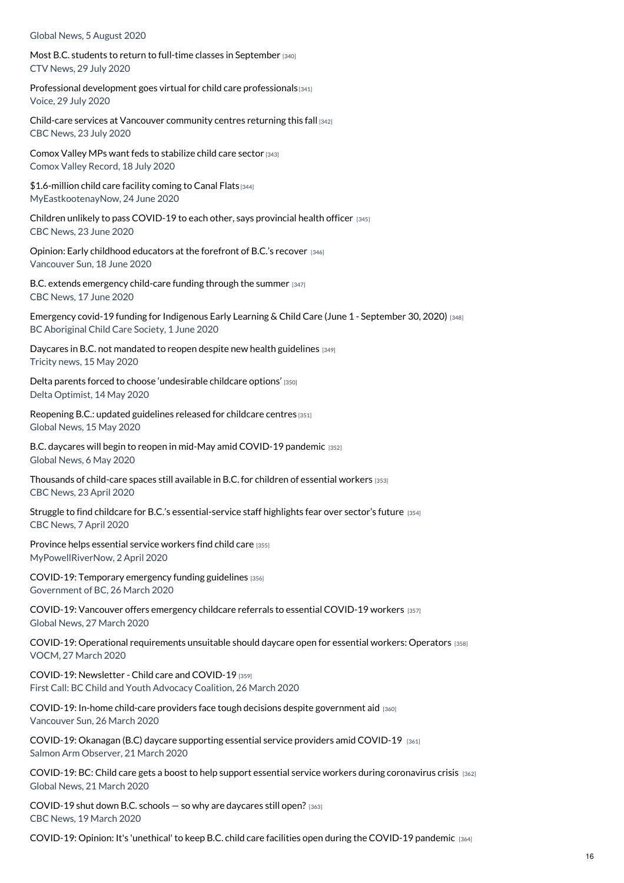Global News, 5 August 2020

Most B.C. students to return to full-time classes in [September](https://www.childcarecanada.org/documents/child-care-news/20/08/most-bc-students-return-full-time-classes-september) [340] CTV News, 29 July 2020

Professional [development](https://voiceonline.com/professional-development-goes-virtual-for-child-care-professionals/) goes virtual for child care professionals [341] Voice, 29 July 2020

Child-care services at Vancouver [community](https://www.childcarecanada.org/documents/child-care-news/20/07/child-care-services-vancouver-community-centres-returning-fall) centres returning this fall [342] CBC News, 23 July 2020

Comox Valley MPs want feds to [stabilize](https://www.childcarecanada.org/documents/child-care-news/20/07/comox-valley-mps-want-feds-stabilize-child-care-sector) child care sector [343] Comox Valley Record, 18 July 2020

[\\$1.6-million](https://www.childcarecanada.org/documents/child-care-news/20/06/16-million-child-care-facility-coming-canal-flats) child care facility coming to Canal Flats [344] MyEastkootenayNow, 24 June 2020

Children unlikely to pass [COVID-19](https://www.childcarecanada.org/documents/child-care-news/20/06/children-unlikely-pass-covid-19-each-other-says-provincial-health-of) to each other, says provincial health officer  $[345]$ CBC News, 23 June 2020

Opinion: Early childhood [educators](https://www.childcarecanada.org/documents/child-care-news/20/06/opinion-early-childhood-educators-forefront-bc%25E2%2580%2599s-recovery) at the forefront of B.C.'s recover [346] Vancouver Sun, 18 June 2020

B.C. extends [emergency](https://www.childcarecanada.org/documents/child-care-news/20/06/bc-extends-emergency-child-care-funding-through-summer) child-care funding through the summer [347] CBC News, 17 June 2020

[Emergency](https://www.childcarecanada.org/documents/child-care-news/20/06/emergency-covid-19-funding-indigenous-early-learning-child-care) covid-19 funding for Indigenous Early Learning & Child Care (June 1 - September 30, 2020) [348] BC Aboriginal Child Care Society, 1 June 2020

Daycares in B.C. not mandated to reopen despite new health [guidelines](https://www.childcarecanada.org/documents/child-care-news/20/05/daycares-bc-not-mandated-reopen-despite-new-health-guidelines) [349] Tricity news, 15 May 2020

Delta parents forced to choose ['undesirable](https://www.childcarecanada.org/documents/child-care-news/20/05/delta-parents-forced-choose-undesirable-childcare-options) childcare options' [350] Delta Optimist, 14 May 2020

[Reopening](https://www.childcarecanada.org/documents/child-care-news/20/05/reopening-bc-updated-guidelines-released-childcare-centres) B.C.: updated guidelines released for childcare centres [351] Global News, 15 May 2020

B.C. daycares will begin to reopen in mid-May amid [COVID-19](https://www.childcarecanada.org/documents/child-care-news/20/05/bc-daycares-will-begin-reopen-mid-may-amid-covid-19-pandemic) pandemic [352] Global News, 6 May 2020

[Thousands](https://www.childcarecanada.org/documents/child-care-news/20/04/thousands-child-care-spaces-still-available-bc-children-essential-wo) of child-care spaces still available in B.C. for children of essential workers [353] CBC News, 23 April 2020

Struggle to find childcare for B.C.'s [essential-service](https://www.childcarecanada.org/documents/child-care-news/20/04/struggle-find-childcare-bcs-essential-service-staff-highlights-fears) staff highlights fear over sector's future [354] CBC News, 7 April 2020

[Province](https://www.childcarecanada.org/documents/child-care-news/20/04/province-helps-essential-service-workers-find-child-care) helps essential service workers find child care [355] MyPowellRiverNow, 2 April 2020

[COVID-19:](https://www.childcarecanada.org/documents/child-care-news/20/03/temporary-emergency-funding-guidelines) Temporary emergency funding guidelines [356] Government of BC, 26 March 2020

[COVID-19:](https://www.childcarecanada.org/documents/child-care-news/20/03/vancouver-offers-emergency-childcare-referrals-essential-covid-19-wo) Vancouver offers emergency childcare referrals to essential COVID-19 workers [357] Global News, 27 March 2020

COVID-19: Operational [requirements](https://www.childcarecanada.org/documents/child-care-news/20/03/operational-requirements-unsuitable-should-daycare-open-essential-wo) unsuitable should daycare open for essential workers: Operators [358] VOCM, 27 March 2020

[COVID-19:](https://www.childcarecanada.org/documents/child-care-news/20/03/newsletter-child-care-and-covid-19) Newsletter - Child care and COVID-19 [359] First Call: BC Child and Youth Advocacy Coalition, 26 March 2020

COVID-19: In-home child-care providers face tough decisions despite [government](https://www.childcarecanada.org/documents/child-care-news/20/03/home-child-care-providers-face-tough-decisions-despite-government-ai) aid [360] Vancouver Sun, 26 March 2020

[COVID-19:](https://www.childcarecanada.org/documents/child-care-news/20/03/okanagan-daycare-supporting-essential-service-providers-amid-covid-1) Okanagan (B.C) daycare supporting essential service providers amid COVID-19 [361] Salmon Arm Observer, 21 March 2020

COVID-19: BC: Child care gets a boost to help support essential service workers during [coronavirus](https://www.childcarecanada.org/documents/child-care-news/20/03/child-care-gets-boost-help-support-essential-service-workers-during-) crisis  $[362]$ Global News, 21 March 2020

[COVID-19](https://www.childcarecanada.org/documents/child-care-news/20/03/covid-19-shut-down-bc-schools-%25E2%2580%2594-so-why-are-daycares-still-open) shut down B.C. schools — so why are daycares still open? [363] CBC News, 19 March 2020

[COVID-19:](https://www.childcarecanada.org/documents/child-care-news/20/03/opinion-its-unethical-keep-bc-child-care-facilities-open-during-covi) Opinion: It's 'unethical' to keep B.C. child care facilities open during the COVID-19 pandemic [364]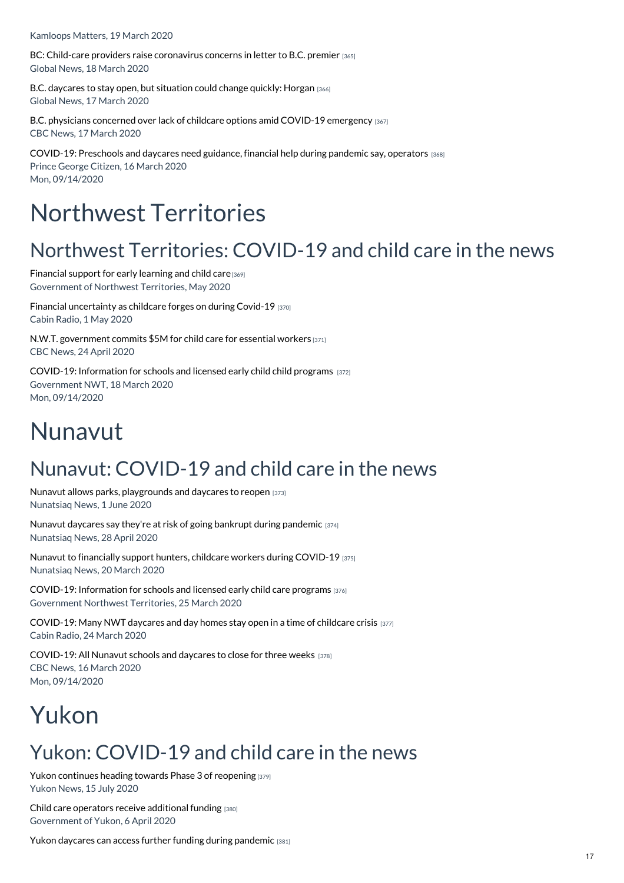Kamloops Matters, 19 March 2020

BC: Child-care providers raise [coronavirus](https://www.childcarecanada.org/documents/child-care-news/20/03/child-care-providers-raise-coronavirus-concerns-letter-bc-premier) concerns in letter to B.C. premier [365] Global News, 18 March 2020

B.C. [daycares](https://www.childcarecanada.org/documents/child-care-news/20/03/bc-daycares-stay-open-situation-could-change-quickly-horgan) to stay open, but situation could change quickly: Horgan [366] Global News, 17 March 2020

B.C. physicians concerned over lack of childcare options amid COVID-19 [emergency](https://www.childcarecanada.org/documents/child-care-news/20/03/bc-physicians-concerned-over-lack-childcare-options-amid-covid-19-em) [367] CBC News, 17 March 2020

[COVID-19:](https://www.childcarecanada.org/documents/child-care-news/20/03/preschools-and-daycares-need-guidance-financial-help-during-pandemic) Preschools and daycares need guidance, financial help during pandemic say, operators [368] Prince George Citizen, 16 March 2020 Mon, 09/14/2020

# Northwest Territories

## Northwest Territories: COVID-19 and child care in the news

[Financial](https://www.childcarecanada.org/documents/child-care-news/20/05/financial-support-early-learning-and-child-care) support for early learning and child care [369] Government of Northwest Territories, May 2020

Financial [uncertainty](https://www.childcarecanada.org/documents/child-care-news/20/05/financial-uncertainty-childcare-forges-during-covid-19) as childcare forges on during Covid-19 [370] Cabin Radio, 1 May 2020

N.W.T. [government](https://www.childcarecanada.org/documents/child-care-news/20/04/nwt-government-commits-5m-child-care-essential-workers) commits \$5M for child care for essential workers [371] CBC News, 24 April 2020

COVID-19: [Information](https://www.childcarecanada.org/documents/child-care-news/20/03/information-schools-and-licensed-early-childcare-programs) for schools and licensed early child child programs [372] Government NWT, 18 March 2020 Mon, 09/14/2020

# Nunavut

## Nunavut: COVID-19 and child care in the news

Nunavut allows parks, [playgrounds](https://www.childcarecanada.org/documents/child-care-news/20/06/nunavut-allows-parks-playgrounds-and-daycares-reopen) and daycares to reopen [373] Nunatsiaq News, 1 June 2020

Nunavut daycares say they're at risk of going bankrupt during [pandemic](https://www.childcarecanada.org/documents/child-care-news/20/04/nunavut-daycares-say-theyre-risk-going-bankrupt-during-pandemic) [374] Nunatsiaq News, 28 April 2020

Nunavut to financially support hunters, childcare workers during [COVID-19](https://www.childcarecanada.org/documents/child-care-news/20/04/nunavut-financially-support-hunters-childcare-workers-during-covid-1) [375] Nunatsiaq News, 20 March 2020

COVID-19: [Information](https://www.childcarecanada.org/documents/child-care-news/20/03/information-schools-and-licensed-early-child-care-programs) for schools and licensed early child care programs [376] Government Northwest Territories, 25 March 2020

[COVID-19:](https://www.childcarecanada.org/documents/child-care-news/20/03/many-nwt-daycares-and-day-homes-stay-open-time-childcare-crisis) Many NWT daycares and day homes stay open in a time of childcare crisis [377] Cabin Radio, 24 March 2020

[COVID-19:](https://www.childcarecanada.org/documents/child-care-news/20/03/all-nunavut-schools-and-daycares-close-three-weeks) All Nunavut schools and daycares to close for three weeks [378] CBC News, 16 March 2020 Mon, 09/14/2020

# Yukon

## Yukon: COVID-19 and child care in the news

Yukon continues heading towards Phase 3 of [reopening](https://www.childcarecanada.org/documents/child-care-news/20/08/yukon-continues-heading-towards-phase-3-reopening) [379] Yukon News, 15 July 2020

Child care operators receive [additional](https://www.childcarecanada.org/documents/child-care-news/20/04/child-care-operators-receive-additional-funding) funding [380] Government of Yukon, 6 April 2020

Yukon daycares can access further funding during [pandemic](https://www.childcarecanada.org/documents/child-care-news/20/04/yukon-daycares-can-access-further-funding-during-pandemic) [381]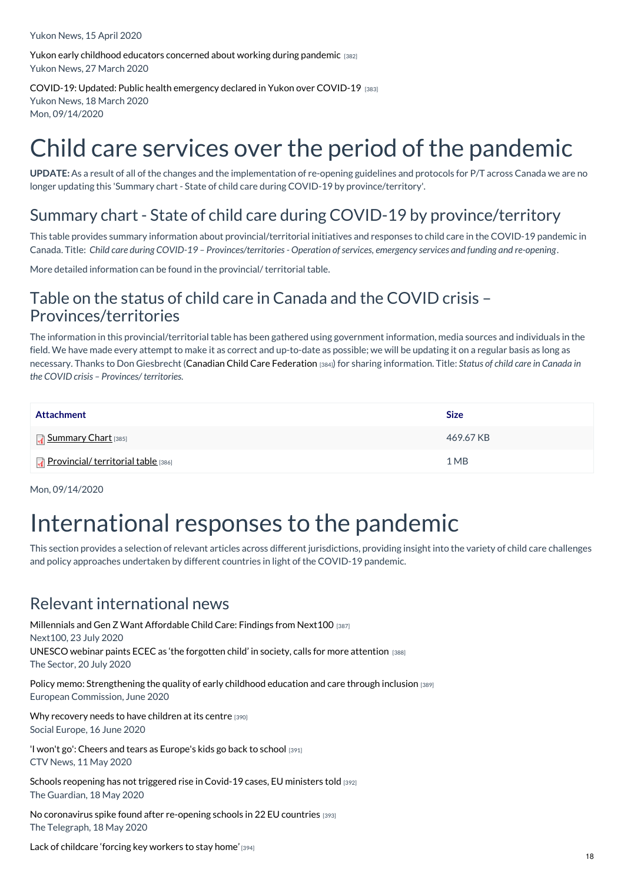Yukon News, 15 April 2020

Yukon early childhood educators [concerned](https://www.childcarecanada.org/documents/child-care-news/20/04/yukon-early-childhood-educators-concerned-about-working-during-pande) about working during pandemic [382] Yukon News, 27 March 2020

[COVID-19:](https://www.childcarecanada.org/documents/child-care-news/20/03/public-health-emergency-declared-yukon-over-covid-19) Updated: Public health emergency declared in Yukon over COVID-19 [383] Yukon News, 18 March 2020 Mon, 09/14/2020

# Child care services over the period of the pandemic

**UPDATE:**As a result of all of the changes and the implementation of re-opening guidelines and protocols for P/T across Canada we are no longer updating this 'Summary chart - State of child care during COVID-19 by province/territory'.

### Summary chart - State of child care during COVID-19 by province/territory

This table provides summary information about provincial/territorial initiatives and responses to child care in the COVID-19 pandemic in Canada. Title: Child care during COVID-19 - Provinces/territories - Operation of services, emergency services and funding and re-opening.

More detailed information can be found in the provincial/ territorial table.

### Table on the status of child care in Canada and the COVID crisis – Provinces/territories

The information in this provincial/territorial table has been gathered using government information, media sources and individuals in the field. We have made every attempt to make it as correct and up-to-date as possible; we will be updating it on a regular basis as long as necessary. Thanks to Don Giesbrecht (Canadian Child Care [Federation](https://www.cccf-fcsge.ca/) [384]) for sharing information. Title: *Status of child care in Canada in the COVID crisis – Provinces/ territories.*

| <b>Attachment</b>                         | <b>Size</b> |
|-------------------------------------------|-------------|
| <b>T</b> Summary Chart [385]              | 469.67 KB   |
| <b>Provincial/territorial table</b> [386] | 1 MB        |

Mon, 09/14/2020

# International responses to the pandemic

This section provides a selection of relevant articles across different jurisdictions, providing insight into the variety of child care challenges and policy approaches undertaken by different countries in light of the COVID-19 pandemic.

### Relevant international news

[Millennials](https://www.childcarecanada.org/documents/research-policy-practice/20/07/millennials-and-gen-z-want-affordable-child-care-findings-n) and Gen Z Want Affordable Child Care: Findings from Next100 [387] Next100, 23 July 2020 UNESCO webinar paints ECEC as 'the [forgotten](https://www.childcarecanada.org/documents/child-care-news/20/07/unesco-webinar-paints-ecec-%25E2%2580%2598-forgotten-child%25E2%2580%2599-society-calls-more-att) child' in society, calls for more attention [388] The Sector, 20 July 2020

Policy memo: [Strengthening](https://www.childcarecanada.org/documents/research-policy-practice/20/08/strengthening-quality-early-childhood-education-and-care-th) the quality of early childhood education and care through inclusion [389] European Commission, June 2020

Why [recovery](https://www.childcarecanada.org/documents/child-care-news/20/06/why-recovery-needs-have-children-its-centre) needs to have children at its centre [390] Social Europe, 16 June 2020

'I won't go': Cheers and tears as [Europe's](https://www.childcarecanada.org/documents/child-care-news/20/05/i-wont-go-cheers-and-tears-europes-kids-go-back-school%25C2%25A0) kids go back to school [391] CTV News, 11 May 2020

Schools [reopening](https://www.childcarecanada.org/documents/child-care-news/20/05/schools-reopening-has-not-triggered-rise-covid-19-cases-eu-ministers%25C2%25A0) has not triggered rise in Covid-19 cases, EU ministers told [392] The Guardian, 18 May 2020

No [coronavirus](https://www.childcarecanada.org/documents/child-care-news/20/05/no-coronavirus-spike-found-after-re-opening-schools-22-eu-countries) spike found after re-opening schools in 22 EU countries [393] The Telegraph, 18 May 2020

Lack of [childcare](https://www.childcarecanada.org/documents/child-care-news/20/04/lack-childcare-forcing-key-workers-stay-home%25C2%25A0) 'forcing key workers to stay home' [394]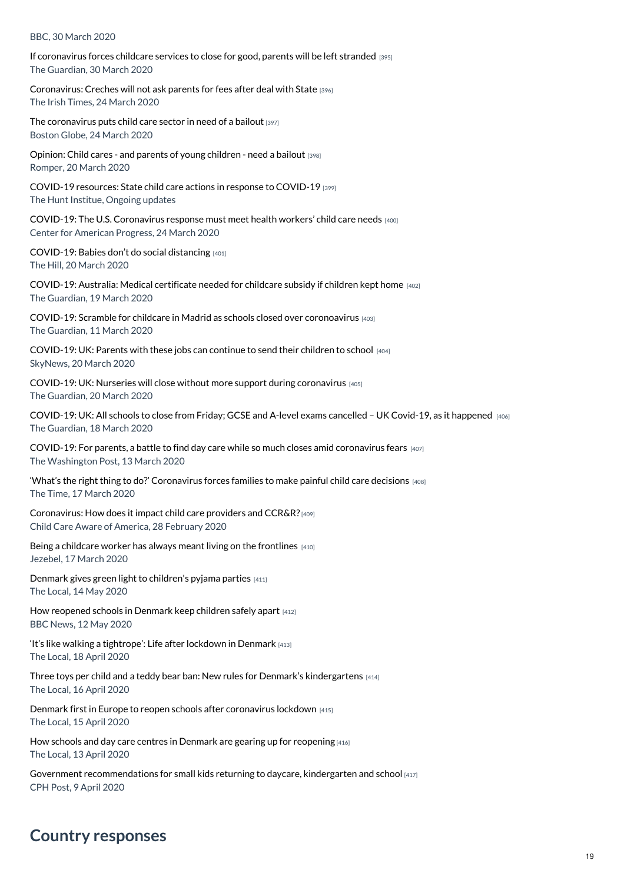#### BBC, 30 March 2020

If [coronavirus](https://www.childcarecanada.org/documents/child-care-news/20/04/if-coronavirus-forces-childcare-services-close-good-parents-will-be-%20) forces childcare services to close for good, parents will be left stranded [395] The Guardian, 30 March 2020

[Coronavirus:](https://www.childcarecanada.org/documents/child-care-news/20/03/coronavirus-creches-will-not-ask-parents-fees-after-deal-state) Creches will not ask parents for fees after deal with State [396] The Irish Times, 24 March 2020

The [coronavirus](https://www.childcarecanada.org/documents/child-care-news/20/03/coronavirus-puts-child-care-sector-need-bailout) puts child care sector in need of a bailout [397] Boston Globe, 24 March 2020

[Opinion:](https://www.childcarecanada.org/documents/child-care-news/20/03/opinion-child-care-and-parents-young-children-need-bailout) Child cares - and parents of young children - need a bailout [398] Romper, 20 March 2020

[COVID-19](https://www.childcarecanada.org/documents/child-care-news/20/03/covi-19-resources-state-child-care-actions-response-covid-19) resources: State child care actions in response to COVID-19 [399] The Hunt Institue, Ongoing updates

COVID-19: The U.S. [Coronavirus](https://www.childcarecanada.org/documents/child-care-news/20/03/us-coronavirus-response-must-meet-health-workers-child-care-needs) response must meet health workers' child care needs [400] Center for American Progress, 24 March 2020

[COVID-19:](https://www.childcarecanada.org/documents/child-care-news/20/03/babies-dont-do-social-distancing) Babies don't do social distancing [401] The Hill, 20 March 2020

[COVID-19:](https://www.childcarecanada.org/documents/child-care-news/20/03/coronavirus-australia-medical-certificate-needed-childcare-subsidy-i) Australia: Medical certificate needed for childcare subsidy if children kept home [402] The Guardian, 19 March 2020

COVID-19: Scramble for childcare in Madrid as schools closed over [coronoavirus](https://www.childcarecanada.org/documents/child-care-news/20/03/scramble-childcare-madrid-schools-closed-over-coronavirus-0) [403] The Guardian, 11 March 2020

[COVID-19:](https://www.childcarecanada.org/documents/child-care-news/20/03/parents-these-jobs-can-continue-send-their-children-school) UK: Parents with these jobs can continue to send their children to school [404] SkyNews, 20 March 2020

COVID-19: UK: Nurseries will close without more support during [coronavirus](https://www.childcarecanada.org/documents/child-care-news/20/03/nurseries-will-close-without-more-support-during-coronavirus) [405] The Guardian, 20 March 2020

| COVID-19: UK: All schools to close from Friday; GCSE and A-level exams cancelled – UK Covid-19, as it happened $_{[406]}$ |  |
|---------------------------------------------------------------------------------------------------------------------------|--|
| The Guardian, 18 March 2020                                                                                               |  |

COVID-19: For parents, a battle to find day care while so much closes amid [coronavirus](https://www.childcarecanada.org/documents/child-care-news/20/03/parents-battle-find-day-care-while-so-much-closes-amid-coronavirus-f) fears [407] The Washington Post, 13 March 2020

'What's the right thing to do?' [Coronavirus](https://www.childcarecanada.org/documents/child-care-news/20/03/whats-right-thing-do-coronavirus-forces-families-make-painful-childc) forces families to make painful child care decisions [408] The Time, 17 March 2020

[Coronavirus:](https://www.childcarecanada.org/documents/child-care-news/20/03/coronavirus-how-does-it-impact-child-care-providers-and-ccrrs) How does it impact child care providers and CCR&R?[409] Child Care Aware of America, 28 February 2020

Being a childcare worker has always meant living on the [frontlines](https://www.childcarecanada.org/documents/child-care-news/20/03/being-childcare-worker-has-always-meant-living-frontlines) [410] Jezebel, 17 March 2020

Denmark gives green light to [children's](https://www.childcarecanada.org/documents/child-care-news/20/05/denmark-gives-green-light-childrens-pyjama-parties%25C2%25A0) pyjama parties [411] The Local, 14 May 2020

How [reopened](https://www.childcarecanada.org/documents/child-care-news/20/05/how-reopened-schools-denmark-keep-children-safely-apart) schools in Denmark keep children safely apart [412] BBC News, 12 May 2020

'It's like walking a [tightrope':](https://www.childcarecanada.org/documents/child-care-news/20/04/its-walking-tightrope-life-after-lockdown-denmark) Life after lockdown in Denmark [413] The Local, 18 April 2020

Three toys per child and a teddy bear ban: New rules for Denmark's [kindergartens](https://www.childcarecanada.org/documents/child-care-news/20/04/three-toys-child-and-teddy-bear-ban-new-rules-denmarks-kindergartens) [414] The Local, 16 April 2020

Denmark first in Europe to reopen schools after [coronavirus](https://www.childcarecanada.org/documents/child-care-news/20/04/denmark-first-europe-reopen-schools-after-coronavirus-lockdown) lockdown [415] The Local, 15 April 2020

How schools and day care centres in Denmark are gearing up for [reopening](https://www.childcarecanada.org/documents/child-care-news/20/04/how-schools-and-day-care-centres-denmark-are-gearing-reopening) [416] The Local, 13 April 2020

Government [recommendations](https://www.childcarecanada.org/documents/child-care-news/20/05/government-recommendations-small-kids-returning-daycare-kindergarten) for small kids returning to daycare, kindergarten and school [417] CPH Post, 9 April 2020

### **Country responses**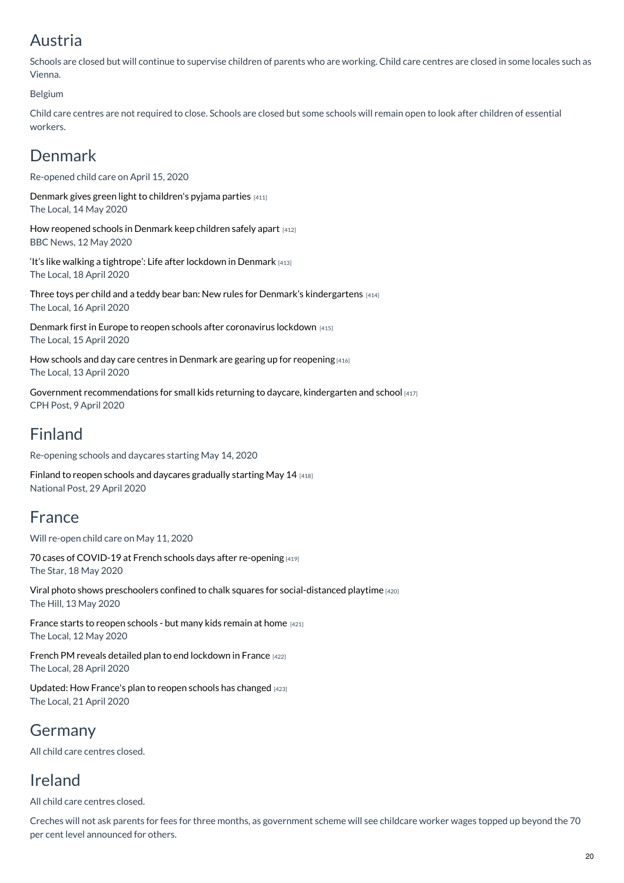### Austria

Schools are closed but will continue to supervise children of parents who are working. Child care centres are closed in some locales such as Vienna.

#### Belgium

Child care centres are not required to close. Schools are closed but some schools will remain open to look after children of essential workers.

### Denmark

Re-opened child care on April 15, 2020

Denmark gives green light to [children's](https://www.childcarecanada.org/documents/child-care-news/20/05/denmark-gives-green-light-childrens-pyjama-parties%25C2%25A0) pyjama parties [411] The Local, 14 May 2020

How [reopened](https://www.childcarecanada.org/documents/child-care-news/20/05/how-reopened-schools-denmark-keep-children-safely-apart) schools in Denmark keep children safely apart [412] BBC News, 12 May 2020

'It's like walking a [tightrope':](https://www.childcarecanada.org/documents/child-care-news/20/04/its-walking-tightrope-life-after-lockdown-denmark) Life after lockdown in Denmark [413] The Local, 18 April 2020

Three toys per child and a teddy bear ban: New rules for Denmark's [kindergartens](https://www.childcarecanada.org/documents/child-care-news/20/04/three-toys-child-and-teddy-bear-ban-new-rules-denmarks-kindergartens) [414] The Local, 16 April 2020

Denmark first in Europe to reopen schools after [coronavirus](https://www.childcarecanada.org/documents/child-care-news/20/04/denmark-first-europe-reopen-schools-after-coronavirus-lockdown) lockdown [415] The Local, 15 April 2020

How schools and day care centres in Denmark are gearing up for [reopening](https://www.childcarecanada.org/documents/child-care-news/20/04/how-schools-and-day-care-centres-denmark-are-gearing-reopening) [416] The Local, 13 April 2020

Government [recommendations](https://www.childcarecanada.org/documents/child-care-news/20/05/government-recommendations-small-kids-returning-daycare-kindergarten) for small kids returning to daycare, kindergarten and school [417] CPH Post, 9 April 2020

### Finland

Re-opening schools and daycares starting May 14, 2020

Finland to reopen schools and daycares [gradually](https://www.childcarecanada.org/documents/child-care-news/20/05/finland-reopen-schools-and-daycares-gradually-starting-may-14) starting May 14 [418] National Post, 29 April 2020

### France

Will re-open child care on May 11, 2020

70 cases of COVID-19 at French schools days after [re-opening](https://www.childcarecanada.org/documents/child-care-news/20/05/70-cases-covid-19-french-schools-days-after-re-opening%25C2%25A0) [419] The Star, 18 May 2020

Viral photo shows preschoolers confined to chalk squares for [social-distanced](https://www.childcarecanada.org/documents/child-care-news/20/05/viral-photo-shows-preschoolers-confined-chalk-squares-social-distanc) playtime [420] The Hill, 13 May 2020

France starts to reopen [schools](https://www.childcarecanada.org/documents/child-care-news/20/05/france-starts-reopen-schools-many-kids-remain-home) - but many kids remain at home [421] The Local, 12 May 2020

French PM reveals detailed plan to end [lockdown](https://www.childcarecanada.org/documents/child-care-news/20/04/french-pm-reveals-detailed-plan-end-lockdown-france) in France [422] The Local, 28 April 2020

[Updated:](https://www.childcarecanada.org/documents/child-care-news/20/04/how-frances-plan-reopen-schools-has-changed) How France's plan to reopen schools has changed [423] The Local, 21 April 2020

### Germany

All child care centres closed.

### Ireland

All child care centres closed.

Creches will not ask parents for fees for three months, as government scheme will see childcare worker wages topped up beyond the 70 per cent level announced for others.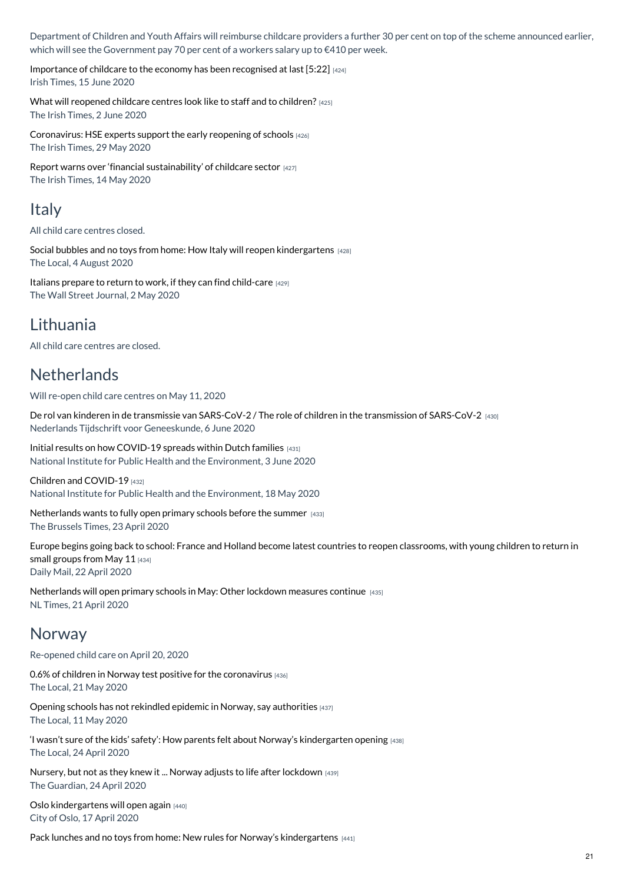Department of Children and Youth Affairs will reimburse childcare providers a further 30 per cent on top of the scheme announced earlier, which will see the Government pay 70 per cent of a workers salary up to €410 per week.

[Importance](https://www.childcarecanada.org/documents/child-care-news/20/06/importance-childcare-economy-has-been-recognised-last) of childcare to the economy has been recognised at last [5:22] [424] Irish Times, 15 June 2020

What will [reopened](https://www.childcarecanada.org/documents/child-care-news/20/06/what-will-reopened-childcare-centres-look-staff-and-children) childcare centres look like to staff and to children? [425] The Irish Times, 2 June 2020

[Coronavirus:](https://www.childcarecanada.org/documents/child-care-news/20/06/coronavirus-hse-experts-support-early-reopening-schools) HSE experts support the early reopening of schools [426] The Irish Times, 29 May 2020

Report warns over 'financial [sustainability'](https://www.childcarecanada.org/documents/child-care-news/20/05/coronavirus-report-warns-over-%25E2%2580%2598financial-sustainability%25E2%2580%2599-childcare-s) of childcare sector [427] The Irish Times, 14 May 2020

### **Italy**

All child care centres closed.

Social bubbles and no toys from home: How Italy will reopen [kindergartens](https://www.childcarecanada.org/documents/child-care-news/20/08/social-bubbles-and-no-toys-home-how-italy-will-reopen-kindergartens) [428] The Local, 4 August 2020

Italians prepare to return to work, if they can find [child-care](https://www.childcarecanada.org/documents/child-care-news/20/05/italians-prepare-return-work-if-they-can-find-child-care) [429] The Wall Street Journal, 2 May 2020

### Lithuania

All child care centres are closed.

### **Netherlands**

Will re-open child care centres on May 11, 2020

De rol van kinderen in de transmissie van SARS-CoV-2 / The role of children in the [transmission](https://www.childcarecanada.org/documents/research-policy-practice/20/06/de-rol-van-kinderen-de-transmissie-van-sars-cov-2-role-chil) of SARS-CoV-2 [430] Nederlands Tijdschrift voor Geneeskunde, 6 June 2020

Initial results on how [COVID-19](https://www.childcarecanada.org/documents/child-care-news/20/06/initial-results-how-covid-19-spreads-within-dutch-families) spreads within Dutch families [431] National Institute for Public Health and the Environment, 3 June 2020

Children and [COVID-19](https://www.childcarecanada.org/documents/research-policy-practice/20/04/children-and-covid-19%20%25C2%25A0) [432] National Institute for Public Health and the Environment, 18 May 2020

[Netherlands](https://www.childcarecanada.org/documents/child-care-news/20/04/netherlands-wants-fully-open-primary-schools-summer) wants to fully open primary schools before the summer [433] The Brussels Times, 23 April 2020

Europe begins going back to school: France and Holland become latest countries to reopen [classrooms,](https://www.childcarecanada.org/documents/child-care-news/20/04/europe-begins-going-back-school-france-and-holland-become-latest-cou) with young children to return in small groups from May 11 [434] Daily Mail, 22 April 2020

[Netherlands](https://www.childcarecanada.org/documents/child-care-news/20/04/netherlands-will-open-primary-schools-may-other-lockdown-measures-co) will open primary schools in May: Other lockdown measures continue [435] NL Times, 21 April 2020

### Norway

Re-opened child care on April 20, 2020

0.6% of children in Norway test positive for the [coronavirus](https://www.childcarecanada.org/documents/child-care-news/20/05/06-children-norway-test-positive-coronavirus) [436] The Local, 21 May 2020

Opening schools has not rekindled epidemic in Norway, say [authorities](https://www.childcarecanada.org/documents/child-care-news/20/05/opening-schools-has-not-rekindled-epidemic-norway-say-authorities%25C2%25A0) [437] The Local, 11 May 2020

'I wasn't sure of the kids' safety': How parents felt about Norway's [kindergarten](https://www.childcarecanada.org/documents/child-care-news/20/04/i-wasn%25E2%2580%2599t-sure-kids%25E2%2580%2599-safety%25E2%2580%2599-how-parents-felt-about-norway%25E2%2580%2599s-kinderga) opening [438] The Local, 24 April 2020

Nursery, but not as they knew it ... Norway adjusts to life after [lockdown](https://www.childcarecanada.org/documents/child-care-news/20/04/nursery-not-they-knew-it-norway-adjusts-life-after-lockdown) [439] The Guardian, 24 April 2020

Oslo [kindergartens](https://www.childcarecanada.org/documents/child-care-news/20/04/oslo-kindergartens-will-open-again) will open again [440] City of Oslo, 17 April 2020

Pack lunches and no toys from home: New rules for Norway's [kindergartens](https://www.childcarecanada.org/documents/child-care-news/20/04/pack-lunches-and-no-toys-home-new-rules-norway%25E2%2580%2599s-kindergartens) [441]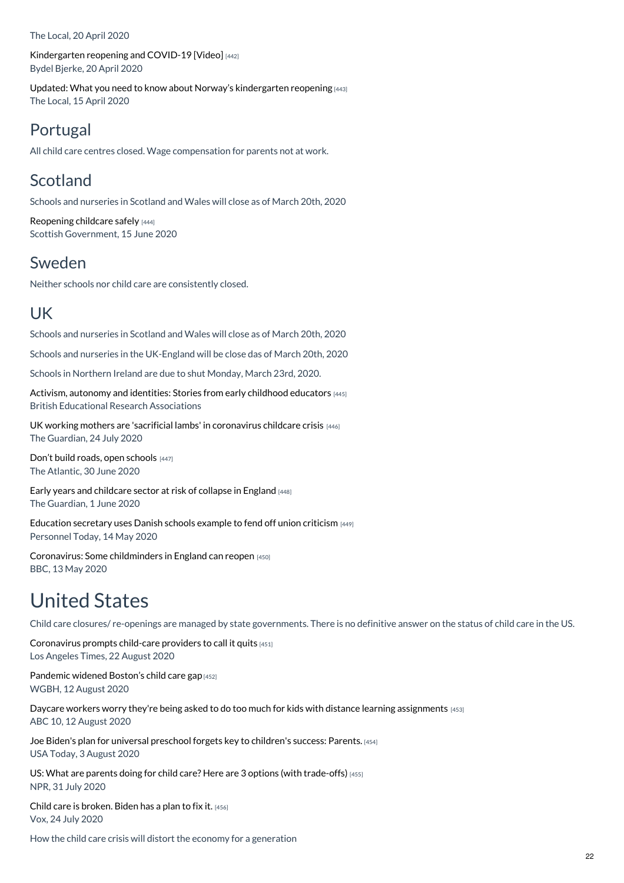The Local, 20 April 2020

[Kindergarten](https://www.childcarecanada.org/documents/child-care-news/20/04/kindergarten-reopening-and-covid-19-video) reopening and COVID-19 [Video] [442] Bydel Bjerke, 20 April 2020

Updated: What you need to know about Norway's [kindergarten](https://www.childcarecanada.org/documents/child-care-news/20/05/updated-what-you-need-know-about-norways-kindergarten-reopening) reopening [443] The Local, 15 April 2020

### Portugal

All child care centres closed. Wage compensation for parents not at work.

### Scotland

Schools and nurseries in Scotland and Wales will close as of March 20th, 2020

[Reopening](https://www.childcarecanada.org/documents/child-care-news/20/06/reopening-childcare-safely) childcare safely [444] Scottish Government, 15 June 2020

### Sweden

Neither schools nor child care are consistently closed.

### UK

Schools and nurseries in Scotland and Wales will close as of March 20th, 2020

Schools and nurseries in the UK-England will be close das of March 20th, 2020

Schools in Northern Ireland are due to shut Monday, March 23rd, 2020.

Activism, [autonomy](https://www.childcarecanada.org/documents/child-care-news/20/08/activism-autonomy-and-identities-stories-early-childhood-educators) and identities: Stories from early childhood educators [445] British Educational Research Associations

UK working mothers are 'sacrificial lambs' in [coronavirus](https://www.childcarecanada.org/documents/child-care-news/20/08/uk-working-mothers-are-sacrificial-lambs-coronavirus-childcare-crisi) childcare crisis [446] The Guardian, 24 July 2020

Don't build roads, open [schools](https://www.childcarecanada.org/documents/child-care-news/20/07/dont-build-roads-open-schools) [447] The Atlantic, 30 June 2020

Early years and [childcare](https://www.childcarecanada.org/documents/child-care-news/20/06/early-years-and-childcare-sector-risk-collapse-england) sector at risk of collapse in England [448] The Guardian, 1 June 2020

[Education](https://www.childcarecanada.org/documents/child-care-news/20/05/education-secretary-uses-danish-schools-example-fend-union-criticism) secretary uses Danish schools example to fend off union criticism [449] Personnel Today, 14 May 2020

[Coronavirus:](https://www.childcarecanada.org/documents/child-care-news/20/05/some-childminders-england-can-reopen) Some childminders in England can reopen [450] BBC, 13 May 2020

## United States

Child care closures/ re-openings are managed by state governments. There is no definitive answer on the status of child care in the US.

[Coronavirus](https://www.childcarecanada.org/documents/child-care-news/20/08/coronavirus-prompts-child-care-providers-call-it-quits) prompts child-care providers to call it quits [451] Los Angeles Times, 22 August 2020

[Pandemic](https://www.childcarecanada.org/documents/child-care-news/20/08/pandemic-widened-boston%25E2%2580%2599s-child-care-gap) widened Boston's child care gap [452] WGBH, 12 August 2020

Daycare workers worry they're being asked to do too much for kids with distance learning [assignments](https://www.childcarecanada.org/documents/child-care-news/20/08/daycare-workers-worry-theyre-being-asked-do-too-much-kids-distance-l) [453] ABC 10, 12 August 2020

Joe Biden's plan for universal [preschool](https://www.childcarecanada.org/documents/child-care-news/20/08/joe-bidens-plan-universal-preschool-forgets-key-childrens-success-pa) forgets key to children's success: Parents. [454] USA Today, 3 August 2020

US: What are parents doing for child care? Here are 3 options (with [trade-offs\)](https://www.childcarecanada.org/documents/child-care-news/20/08/what-are-parents-doing-child-care-here-are-3-options-trade-offs) [455] NPR, 31 July 2020

Child care is [broken.](https://www.childcarecanada.org/documents/child-care-news/20/07/child-care-broken-biden-has-plan-fix-it) Biden has a plan to fix it. [456] Vox, 24 July 2020

How the child care crisis will distort the economy for a generation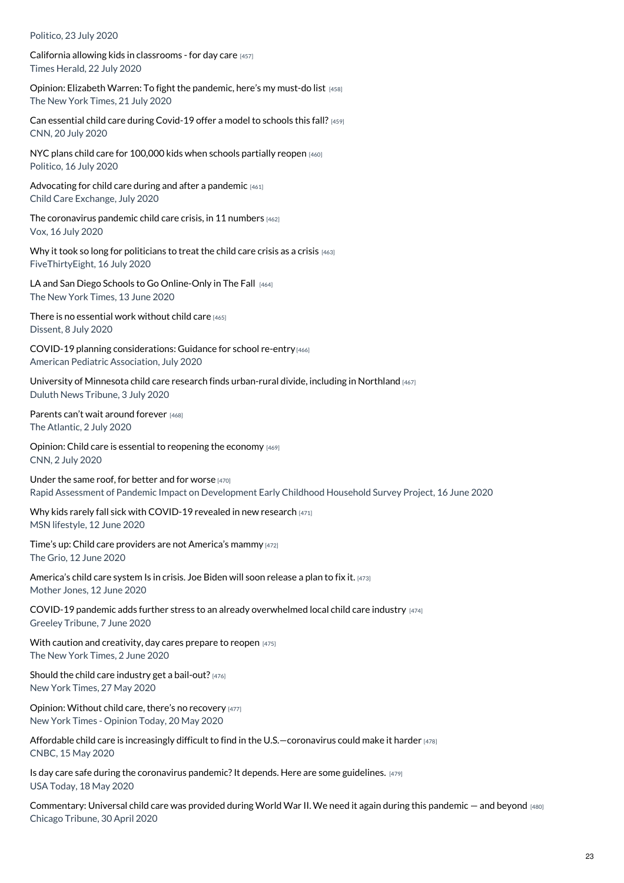#### Politico, 23 July 2020

California allowing kids in [classrooms](https://www.childcarecanada.org/documents/child-care-news/20/07/california-allowing-kids-classrooms-day-care) - for day care [457] Times Herald, 22 July 2020

Opinion: Elizabeth Warren: To fight the [pandemic,](https://www.childcarecanada.org/documents/child-care-news/20/07/elizabeth-warren-fight-pandemic-here%25E2%2580%2599s-my-must-do-list) here's my must-do list [458] The New York Times, 21 July 2020

Can essential child care during [Covid-19](https://www.childcarecanada.org/documents/child-care-news/20/07/can-essential-child-care-during-covid-19-offer-model-schools-fall) offer a model to schools this fall? [459] CNN, 20 July 2020

NYC plans child care for [100,000](https://www.childcarecanada.org/documents/child-care-news/20/07/nyc-plans-child-care-100000-kids-when-schools-partially-reopen) kids when schools partially reopen [460] Politico, 16 July 2020

[Advocating](https://www.childcarecanada.org/documents/child-care-news/20/07/advocating-child-care-during-and-after-pandemic) for child care during and after a pandemic [461] Child Care Exchange, July 2020

The [coronavirus](https://www.childcarecanada.org/documents/child-care-news/20/07/america%25E2%2580%2599s-child-care-problem-economic-problem) pandemic child care crisis, in 11 numbers [462] Vox, 16 July 2020

Why it took so long for [politicians](https://www.childcarecanada.org/documents/child-care-news/20/07/why-it-took-so-long-politicians-treat-child-care-crisis-crisis) to treat the child care crisis as a crisis [463] FiveThirtyEight, 16 July 2020

LA and San Diego Schools to Go [Online-Only](https://www.childcarecanada.org/documents/child-care-news/20/07/los-angeles-and-san-diego-schools-go-online-only-fall) in The Fall [464] The New York Times, 13 June 2020

There is no [essential](https://www.childcarecanada.org/documents/child-care-news/20/07/there-no-essential-work-without-child-care) work without child care [465] Dissent, 8 July 2020

COVID-19 planning [considerations:](https://www.childcarecanada.org/documents/research-policy-practice/20/07/covid-19-planning-considerations-guidance-school-re-entry) Guidance for school re-entry [466] American Pediatric Association, July 2020

University of Minnesota child care research finds [urban-rural](https://www.childcarecanada.org/documents/child-care-news/20/07/university-minnesota-child-care-research-finds-urban-rural-divide-in) divide, including in Northland [467] Duluth News Tribune, 3 July 2020

[Parents](https://www.childcarecanada.org/documents/child-care-news/20/07/parents-can%25E2%2580%2599t-wait-around-forever) can't wait around forever [468] The Atlantic, 2 July 2020

Opinion: Child care is essential to [reopening](https://www.childcarecanada.org/documents/child-care-news/20/07/opinion-child-care-essential-reopening-economy) the economy [469] CNN, 2 July 2020

[Under](https://www.childcarecanada.org/documents/research-policy-practice/20/08/under-same-roof-better-and-worse) the same roof, for better and for worse  $[470]$ Rapid Assessment of Pandemic Impact on Development Early Childhood Household Survey Project, 16 June 2020

Why kids rarely fall sick with [COVID-19](https://www.childcarecanada.org/documents/child-care-news/20/06/why-kids-rarely-fall-sick-covid-19-revealed-new-research) revealed in new research [471]

MSN lifestyle, 12 June 2020

Time's up: Child care providers are not [America's](https://www.childcarecanada.org/documents/child-care-news/20/06/time%25E2%2580%2599s-child-care-providers-are-not-america%25E2%2580%2599s-mammy) mammy [472] The Grio, 12 June 2020

[America's](https://www.childcarecanada.org/documents/child-care-news/20/06/america%25E2%2580%2599s-child-care-system-crisis-joe-biden-will-soon-release-plan-) child care system Is in crisis. Joe Biden will soon release a plan to fix it. [473] Mother Jones, 12 June 2020

COVID-19 pandemic adds further stress to an already [overwhelmed](https://www.childcarecanada.org/documents/child-care-news/20/06/covid-19-pandemic-adds-further-stress-already-overwhelmed-local-chil) local child care industry [474] Greeley Tribune, 7 June 2020

With caution and [creativity,](https://www.childcarecanada.org/documents/child-care-news/20/06/caution-and-creativity-day-cares-prepare-reopen) day cares prepare to reopen [475] The New York Times, 2 June 2020

Should the child care industry get a [bail-out?](https://www.childcarecanada.org/documents/child-care-news/20/06/should-child-care-industry-get-bailout) [476] New York Times, 27 May 2020

Opinion: Without child care, there's no [recovery](https://www.childcarecanada.org/documents/child-care-news/20/05/opinion-without-child-care-there%25E2%2580%2599s-no-recovery) [477] New York Times - Opinion Today, 20 May 2020

Affordable child care is increasingly difficult to find in the U.S. - coronavirus could make it harder [478] CNBC, 15 May 2020

Is day care safe during the coronavirus pandemic? It depends. Here are some guidelines.  $[479]$ USA Today, 18 May 2020

[Commentary:](https://www.childcarecanada.org/documents/child-care-news/20/05/commentary-universal-child-care-was-provided-during-world-war-ii-we-) Universal child care was provided during World War II. We need it again during this pandemic – and beyond [480] Chicago Tribune, 30 April 2020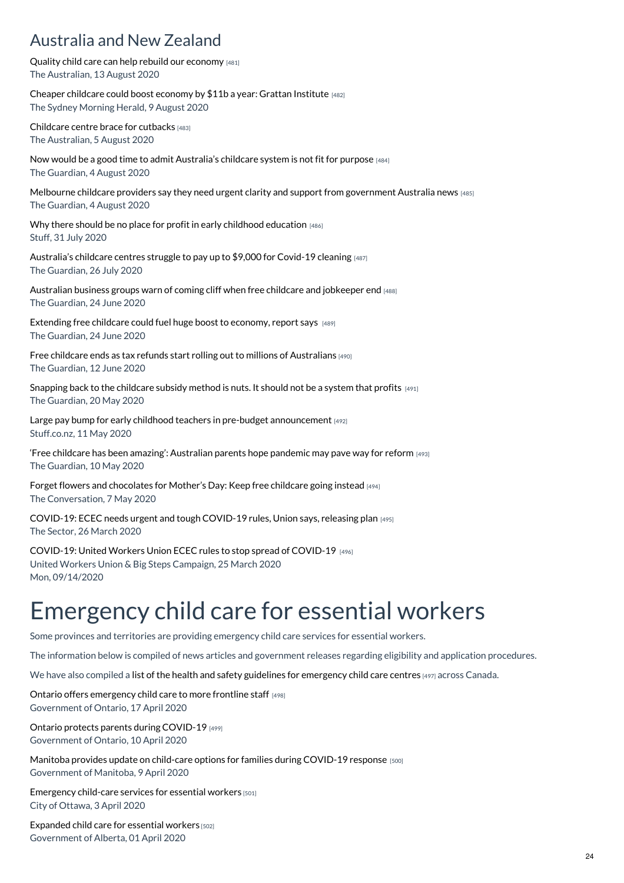### Australia and New Zealand

Quality child care can help rebuild our [economy](https://www.childcarecanada.org/documents/child-care-news/20/08/quality-child-care-can-help-rebuild-our-economy) [481] The Australian, 13 August 2020

Cheaper [childcare](https://www.childcarecanada.org/documents/child-care-news/20/08/cheaper-childcare-could-boost-economy-11b-year-grattan-institute) could boost economy by \$11b a year: Grattan Institute [482] The Sydney Morning Herald, 9 August 2020

[Childcare](https://www.childcarecanada.org/documents/child-care-news/20/08/childcare-centres-brace-cutbacks-%25E2%2580%2598we-don%25E2%2580%2599t-have-choice%25E2%2580%2599%25C2%25A0) centre brace for cutbacks [483] The Australian, 5 August 2020

Now would be a good time to admit [Australia's](https://www.childcarecanada.org/documents/child-care-news/20/08/now-would-be-good-time-admit-australias-childcare-system-not-fit-pur) childcare system is not fit for purpose [484] The Guardian, 4 August 2020

Melbourne childcare providers say they need urgent clarity and support from [government](https://www.childcarecanada.org/documents/child-care-news/20/08/melbourne-childcare-providers-say-they-need-urgent-clarity-and-suppo) Australia news [485] The Guardian, 4 August 2020

Why there should be no place for profit in early childhood [education](https://www.childcarecanada.org/documents/child-care-news/20/08/why-there-should-be-no-place-profit-early-childhood-education) [486] Stuff, 31 July 2020

[Australia's](https://www.childcarecanada.org/documents/child-care-news/20/07/australias-childcare-centres-struggle-pay-9000-covid-19-cleaning) childcare centres struggle to pay up to \$9,000 for Covid-19 cleaning [487] The Guardian, 26 July 2020

[Australian](https://www.childcarecanada.org/documents/child-care-news/20/07/australian-business-groups-warn-coming-cliff-when-free-childcare-and) business groups warn of coming cliff when free childcare and jobkeeper end [488] The Guardian, 24 June 2020

[Extending](https://www.childcarecanada.org/documents/child-care-news/20/07/extending-free-childcare-could-fuel-huge-boost-economy-report-says) free childcare could fuel huge boost to economy, report says [489] The Guardian, 24 June 2020

Free childcare ends as tax refunds start rolling out to millions of [Australians](https://www.childcarecanada.org/documents/child-care-news/20/07/free-childcare-ends-tax-refunds-start-rolling-out-millions-australia) [490] The Guardian, 12 June 2020

[Snapping](https://www.childcarecanada.org/documents/child-care-news/20/05/snapping-back-childcare-subsidy-method-nuts-it-should-not-be-system-) back to the childcare subsidy method is nuts. It should not be a system that profits  $[491]$ The Guardian, 20 May 2020

Large pay bump for early childhood teachers in pre-budget [announcement](https://www.childcarecanada.org/documents/child-care-news/20/05/large-pay-bump-early-childhood-teachers-pre-budget-announcement)  $[492]$ Stuff.co.nz, 11 May 2020

'Free childcare has been amazing': [Australian](https://www.childcarecanada.org/documents/child-care-news/20/05/%25E2%2580%2598free-childcare-has-been-amazing%25E2%2580%2599-australian-parents-hope-pandemic-m%25C2%25A0) parents hope pandemic may pave way for reform [493] The Guardian, 10 May 2020

Forget flowers and [chocolates](https://www.childcarecanada.org/documents/child-care-news/20/05/forget-flowers-and-chocolates-mother%25E2%2580%2599s-day-keep-free-childcare-going%25C2%25A0) for Mother's Day: Keep free childcare going instead [494] The Conversation, 7 May 2020

[COVID-19:](https://www.childcarecanada.org/documents/child-care-news/20/03/ecec-needs-urgent-and-tough-covid-19-rules-union-says-releasing-plan) ECEC needs urgent and tough COVID-19 rules, Union says, releasing plan [495] The Sector, 26 March 2020

[COVID-19:](https://www.childcarecanada.org/documents/child-care-news/20/03/united-workers-union-ecec-rules-stop-spread-covid-19) United Workers Union ECEC rules to stop spread of COVID-19 [496] United Workers Union & Big Steps Campaign, 25 March 2020 Mon, 09/14/2020

# Emergency child care for essential workers

Some provinces and territories are providing emergency child care services for essential workers.

The information below is compiled of news articles and government releases regarding eligibility and application procedures.

We have also compiled a list of the health and safety guidelines for [emergency](https://childcarecanada.org/resources/issue-files/child-care-and-covid-19-canada/emergency-child-care-essential-workers/health) child care centres [497] across Canada.

Ontario offers [emergency](https://www.childcarecanada.org/documents/child-care-news/20/04/ontario-offers-emergency-child-care-more-frontline-staff) child care to more frontline staff [498] Government of Ontario, 17 April 2020

Ontario protects parents during [COVID-19](https://www.childcarecanada.org/documents/child-care-news/20/04/ontario-protects-parents-during-covid-19) [499]

Government of Ontario, 10 April 2020

Manitoba provides update on child-care options for families during [COVID-19](https://www.childcarecanada.org/documents/child-care-news/20/04/manitoba-provides-update-child-care-options-families-during-covid-19) response [500] Government of Manitoba, 9 April 2020

[Emergency](https://www.childcarecanada.org/documents/child-care-news/20/04/emergency-child-care-services-essential-workers) child-care services for essential workers [501] City of Ottawa, 3 April 2020

[Expanded](https://www.childcarecanada.org/documents/child-care-news/20/04/expanded-child-care-essential-workers) child care for essential workers [502] Government of Alberta, 01 April 2020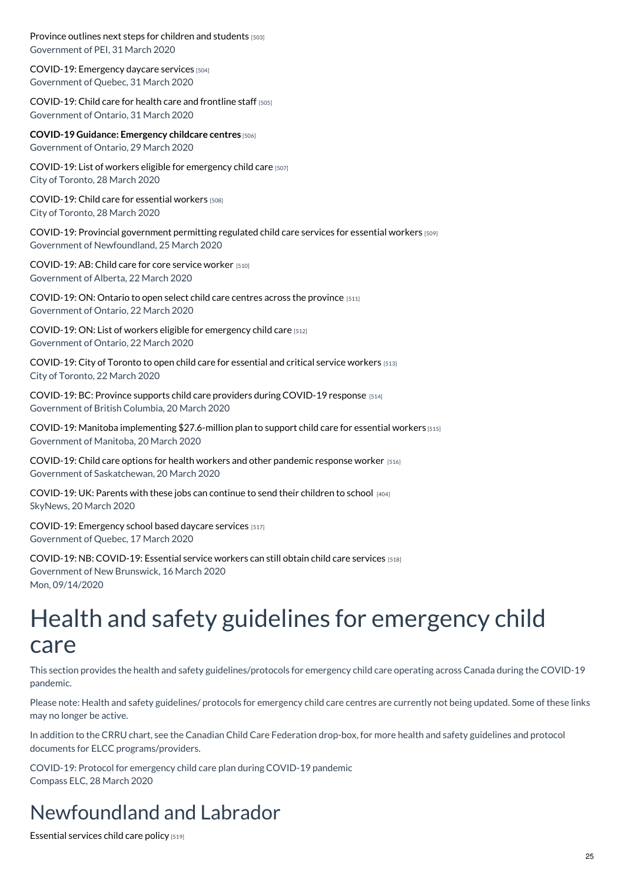[Province](https://www.childcarecanada.org/documents/child-care-news/20/04/province-outlines-next-steps-children-and-students) outlines next steps for children and students [503] Government of PEI, 31 March 2020

[COVID-19:](https://www.childcarecanada.org/documents/child-care-news/20/04/emergency-daycare-services) Emergency daycare services [504] Government of Quebec, 31 March 2020

[COVID-19:](https://www.childcarecanada.org/documents/child-care-news/20/04/child-care-health-care-and-frontline-staff%25C2%25A0%25C2%25A0%25C2%25A0) Child care for health care and frontline staff [505] Government of Ontario, 31 March 2020

**COVID-19 Guidance: [Emergency](https://www.childcarecanada.org/documents/child-care-news/20/04/covid-19-guidance-emergency-childcare-centres%25C2%25A0) childcare centres** [506]

Government of Ontario, 29 March 2020

[COVID-19:](https://www.childcarecanada.org/documents/child-care-news/20/03/covid-19-list-worker-eligible-emergency-child-care) List of workers eligible for emergency child care [507] City of Toronto, 28 March 2020

[COVID-19:](https://www.childcarecanada.org/documents/child-care-news/20/03/covid-19-child-care-essential-workers) Child care for essential workers [508] City of Toronto, 28 March 2020

COVID-19: Provincial [government](https://www.childcarecanada.org/documents/child-care-news/20/03/provincial-government-permitting-regulated-child-care-services-essen) permitting regulated child care services for essential workers [509] Government of Newfoundland, 25 March 2020

[COVID-19:](https://www.childcarecanada.org/documents/child-care-news/20/03/child-care-core-service-workers) AB: Child care for core service worker [510] Government of Alberta, 22 March 2020

[COVID-19:](https://www.childcarecanada.org/documents/child-care-news/20/03/ontario-open-select-child-care-centres-across-province) ON: Ontario to open select child care centres across the province [511] Government of Ontario, 22 March 2020

[COVID-19:](https://assets.documentcloud.org/documents/6816945/Appendix-a-List-of-Eligible-Workers-En.pdf) ON: List of workers eligible for emergency child care [512] Government of Ontario, 22 March 2020

[COVID-19:](https://www.childcarecanada.org/documents/child-care-news/20/03/city-toronto-open-child-care-essential-and-critical-service-workers) City of Toronto to open child care for essential and critical service workers [513] City of Toronto, 22 March 2020

[COVID-19:](https://www.childcarecanada.org/documents/child-care-news/20/03/province-supports-child-care-providers-during-covid-19-response) BC: Province supports child care providers during COVID-19 response [514] Government of British Columbia, 20 March 2020

COVID-19: Manitoba [implementing](https://www.childcarecanada.org/documents/manitoba/20/03/manitoba-implementing-276-million-plan-support-child-care-essential-workers) \$27.6-million plan to support child care for essential workers [515] Government of Manitoba, 20 March 2020

[COVID-19:](https://www.childcarecanada.org/documents/child-care-news/20/03/child-care-options-health-workers-and-other-pandemic-response-worker) Child care options for health workers and other pandemic response worker  $1516$ ] Government of Saskatchewan, 20 March 2020

[COVID-19:](https://www.childcarecanada.org/documents/child-care-news/20/03/parents-these-jobs-can-continue-send-their-children-school) UK: Parents with these jobs can continue to send their children to school  $_{[404]}$ SkyNews, 20 March 2020

[COVID-19:](https://www.childcarecanada.org/documents/research-policy-practice/20/03/covid-19-emergency-school-daycare-services%20) Emergency school based daycare services [517] Government of Quebec, 17 March 2020

COVID-19: NB: [COVID-19:](https://www.childcarecanada.org/documents/child-care-news/20/03/essential-service-workers-can-still-obtain-child-care-services) Essential service workers can still obtain child care services [518] Government of New Brunswick, 16 March 2020 Mon, 09/14/2020

## Health and safety guidelines for emergency child care

This section provides the health and safety guidelines/protocols for emergency child care operating across Canada during the COVID-19 pandemic.

Please note: Health and safety guidelines/ protocols for emergency child care centres are currently not being updated. Some of these links may no longer be active.

In addition to the CRRU chart, see the Canadian Child Care Federation drop-box, for more health and safety guidelines and protocol documents for ELCC programs/providers.

COVID-19: Protocol for emergency child care plan during COVID-19 pandemic Compass ELC, 28 March 2020

### Newfoundland and Labrador

[Essential](https://childcarecanada.org/documents/child-care-news/20/05/essential-services-child-care-policy) services child care policy [519]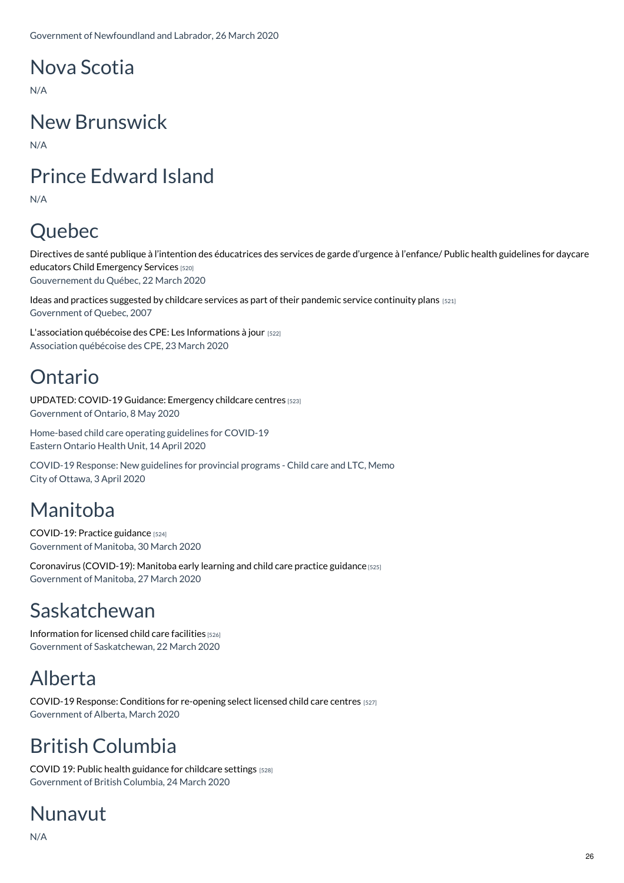## Nova Scotia

N/A

## New Brunswick

N/A

## Prince Edward Island

N/A

## Quebec

Directives de santé publique à l'intention des [éducatrices](https://childcarecanada.org/documents/child-care-news/20/05/directives-de-sant%25C3%25A9-publique-%25C3%25A0-l%25E2%2580%2599intention-des-%25C3%25A9ducatrices-des) des services de garde d'urgence à l'enfance/ Public health guidelines for daycare educators Child Emergency Services [520] Gouvernement du Québec, 22 March 2020

Ideas and practices suggested by childcare services as part of their pandemic service [continuity](https://childcarecanada.org/documents/child-care-news/20/04/ideas-and-practices-suggested-childcare-services-part-their-pandemic) plans [521] Government of Quebec, 2007

L'association québécoise des CPE: Les [Informations](https://childcarecanada.org/documents/child-care-news/20/03/covid-19-les-informations-%25C3%25A0-jour) à jour [522] Association québécoise des CPE, 23 March 2020

## Ontario

[UPDATED:](https://childcarecanada.org/documents/child-care-news/20/04/covid-19-guidance-emergency-childcare-centres-0) COVID-19 Guidance: Emergency childcare centres [523] Government of Ontario, 8 May 2020

Home-based child care operating guidelines for COVID-19 Eastern Ontario Health Unit, 14 April 2020

COVID-19 Response: New guidelines for provincial programs - Child care and LTC, Memo City of Ottawa, 3 April 2020

## Manitoba

[COVID-19:](https://childcarecanada.org/documents/child-care-news/20/05/covid-19-practice-guidance) Practice guidance [524] Government of Manitoba, 30 March 2020

Coronavirus [\(COVID-19\):](https://childcarecanada.org/documents/child-care-news/20/04/coronavirus-covid-19-manitoba-early-learning-and-child-care-practice) Manitoba early learning and child care practice guidance [525] Government of Manitoba, 27 March 2020

### Saskatchewan

[Information](https://childcarecanada.org/documents/child-care-news/20/05/information-licensed-child-care-faciltiies-covd-19) for licensed child care facilities [526] Government of Saskatchewan, 22 March 2020

### Alberta

COVID-19 Response: [Conditions](https://childcarecanada.org/documents/child-care-news/20/05/covid-19-response-conditions-re-opening-select-licensed-child-care) for re-opening select licensed child care centres [527] Government of Alberta, March 2020

## British Columbia

COVID 19: Public health guidance for [childcare](https://childcarecanada.org/documents/child-care-news/20/05/covid-19-public-health-guidance-childcare-settings) settings [528] Government of British Columbia, 24 March 2020

## Nunavut

N/A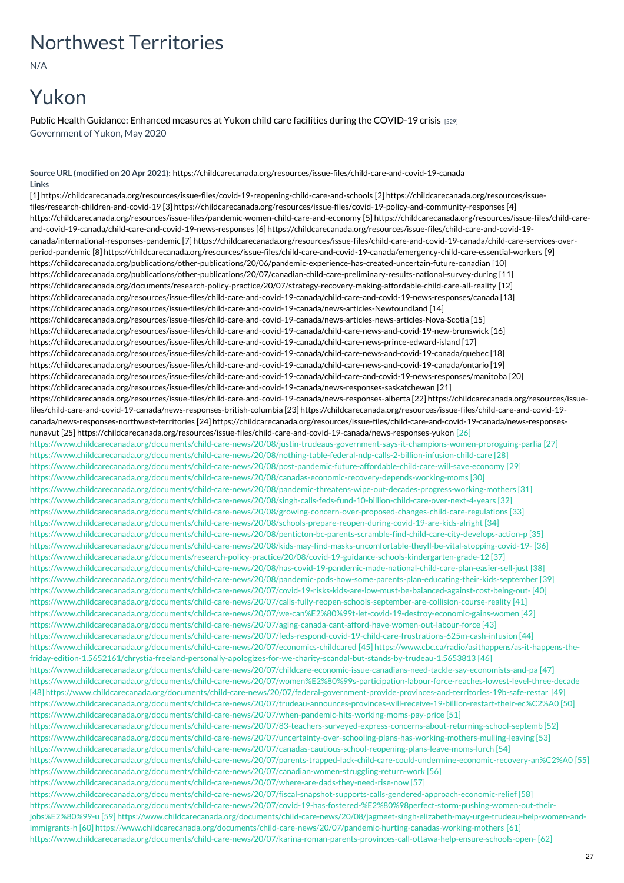## Northwest Territories

N/A

## Yukon

Public Health Guidance: Enhanced measures at Yukon child care facilities during the [COVID-19](https://childcarecanada.org/documents/child-care-news/20/05/public-health-guidance-enhanced-measures-yukon-child-care-facilities) crisis [529] Government of Yukon, May 2020

**Source URL (modified on 20 Apr 2021):** <https://childcarecanada.org/resources/issue-files/child-care-and-covid-19-canada> **Links**

[1] [https://childcarecanada.org/resources/issue-files/covid-19-reopening-child-care-and-schools](https://childcarecanada.org/resources/issue-files/research-children-and-covid-19) [2] https://childcarecanada.org/resources/issuefiles/research-children-and-covid-19 [3] [https://childcarecanada.org/resources/issue-files/covid-19-policy-and-community-responses](https://childcarecanada.org/resources/issue-files/pandemic-women-child-care-and-economy) [4] [https://childcarecanada.org/resources/issue-files/pandemic-women-child-care-and-economy](https://childcarecanada.org/resources/issue-files/child-care-and-covid-19-canada/child-care-and-covid-19-news-responses) [5] https://childcarecanada.org/resources/issue-files/child-careand-covid-19-canada/child-care-and-covid-19-news-responses [6] https://childcarecanada.org/resources/issue-files/child-care-and-covid-19 canada/international-responses-pandemic [7] [https://childcarecanada.org/resources/issue-files/child-care-and-covid-19-canada/child-care-se](https://childcarecanada.org/resources/issue-files/child-care-and-covid-19-canada/international-responses-pandemic)rvices-overperiod-pandemic [8] [https://childcarecanada.org/resources/issue-files/child-care-and-covid-19-canada/emergency-child-care-essential-workers](https://childcarecanada.org/publications/other-publications/20/06/pandemic-experience-has-created-uncertain-future-canadian) [9] [https://childcarecanada.org/publications/other-publications/20/06/pandemic-experience-has-created-uncertain-future-canadian](https://childcarecanada.org/publications/other-publications/20/07/canadian-child-care-preliminary-results-national-survey-during) [10] [https://childcarecanada.org/publications/other-publications/20/07/canadian-child-care-preliminary-results-national-survey-during](https://childcarecanada.org/documents/research-policy-practice/20/07/strategy-recovery-making-affordable-child-care-all-reality) [11] https://childcarecanada.org/documents/research-policy-practice/20/07/strategy-recovery-making-affordable-child-care-all-reality [12] <https://childcarecanada.org/resources/issue-files/child-care-and-covid-19-canada/child-care-and-covid-19-news-responses/canada> [13] https://childcarecanada.org/resources/issue-files/child-care-and-covid-19-canada/news-articles-Newfoundland [14] <https://childcarecanada.org/resources/issue-files/child-care-and-covid-19-canada/news-articles-news-articles-Nova-Scotia> [15] [https://childcarecanada.org/resources/issue-files/child-care-and-covid-19-canada/child-care-news-and-covid-19-new-brunswic](https://childcarecanada.org/resources/issue-files/child-care-and-covid-19-canada/child-care-news-and-covid-19-new-brunswick)[k](https://childcarecanada.org/resources/issue-files/child-care-and-covid-19-canada/child-care-news-prince-edward-island) [16] [https://childcarecanada.org/resources/issue-files/child-care-and-covid-19-canada/child-care-news-prince-edward-island](https://childcarecanada.org/resources/issue-files/child-care-and-covid-19-canada/child-care-news-and-covid-19-canada/quebec) [17] [https://childcarecanada.org/resources/issue-files/child-care-and-covid-19-canada/child-care-news-and-covid-19-canada/quebec](https://childcarecanada.org/resources/issue-files/child-care-and-covid-19-canada/child-care-news-and-covid-19-canada/ontario) [18] https://childcarecanada.org/resources/issue-files/child-care-and-covid-19-canada/child-care-news-and-covid-19-canada/ontario [19] [https://childcarecanada.org/resources/issue-files/child-care-and-covid-19-canada/child-care-and-covid-19-news-responses/manitoba](https://childcarecanada.org/resources/issue-files/child-care-and-covid-19-canada/news-responses-saskatchewan) [20] [https://childcarecanada.org/resources/issue-files/child-care-and-covid-19-canada/news-responses-saskatchewan](https://childcarecanada.org/resources/issue-files/child-care-and-covid-19-canada/news-responses-alberta) [21] [https://childcarecanada.org/resources/issue-files/child-care-and-covid-19-canada/news-responses-alberta](https://childcarecanada.org/resources/issue-files/child-care-and-covid-19-canada/news-responses-british-columbia) [22] https://childcarecanada.org/resources/issuefiles/child-care-and-covid-19-canada/news-responses-british-columbia [23] https://childcarecanada.org/resources/issue-files/child-care-and-covid-19 canada/news-responses-northwest-territories [24] [https://childcarecanada.org/resources/issue-files/child-care-and-covid-19-canada/news-responses](https://childcarecanada.org/resources/issue-files/child-care-and-covid-19-canada/news-responses-northwest-territories)nunavut [25] [https://childcarecanada.org/resources/issue-files/child-care-and-covid-19-canada/news-responses-yukon](https://childcarecanada.org/resources/issue-files/child-care-and-covid-19-canada/news-responses-nunavut) [26] https://www.childcarecanada.org/documents/child-care-news/20/08/justin-trudeaus-government-says-it-champions-women-proroguing-parlia [27] https://www.childcarecanada.org/documents/child-care-news/20/08/nothing-table-federal-ndp-calls-2-billion-infusion-child-care [28] https://www.childcarecanada.org/documents/child-care-news/20/08/post-pandemic-future-affordable-child-care-will-save-economy [29] https://www.childcarecanada.org/documents/child-care-news/20/08/canadas-economic-recovery-depends-working-moms [30] https://www.childcarecanada.org/documents/child-care-news/20/08/pandemic-threatens-wipe-out-decades-progress-working-mothers [31] https://www.childcarecanada.org/documents/child-care-news/20/08/singh-calls-feds-fund-10-billion-child-care-over-next-4-years [32] https://www.childcarecanada.org/documents/child-care-news/20/08/growing-concern-over-proposed-changes-child-care-regulations [33] https://www.childcarecanada.org/documents/child-care-news/20/08/schools-prepare-reopen-during-covid-19-are-kids-alright [34] https://www.childcarecanada.org/documents/child-care-news/20/08/penticton-bc-parents-scramble-find-child-care-city-develops-action-p [35] https://www.childcarecanada.org/documents/child-care-news/20/08/kids-may-find-masks-uncomfortable-theyll-be-vital-stopping-covid-19- [36] https://www.childcarecanada.org/documents/research-policy-practice/20/08/covid-19-guidance-schools-kindergarten-grade-12 [37] https://www.childcarecanada.org/documents/child-care-news/20/08/has-covid-19-pandemic-made-national-child-care-plan-easier-sell-just [38] https://www.childcarecanada.org/documents/child-care-news/20/08/pandemic-pods-how-some-parents-plan-educating-their-kids-september [39] https://www.childcarecanada.org/documents/child-care-news/20/07/covid-19-risks-kids-are-low-must-be-balanced-against-cost-being-out- [40] https://www.childcarecanada.org/documents/child-care-news/20/07/calls-fully-reopen-schools-september-are-collision-course-reality [41] https://www.childcarecanada.org/documents/child-care-news/20/07/we-can%E2%80%99t-let-covid-19-destroy-economic-gains-women [42] https://www.childcarecanada.org/documents/child-care-news/20/07/aging-canada-cant-afford-have-women-out-labour-force [43] https://www.childcarecanada.org/documents/child-care-news/20/07/feds-respond-covid-19-child-care-frustrations-625m-cash-infusion [44] https://www.childcarecanada.org/documents/child-care-news/20/07/economics-childcared [45] https://www.cbc.ca/radio/asithappens/as-it-happens-thefriday-edition-1.5652161/chrystia-freeland-personally-apologizes-for-we-charity-scandal-but-stands-by-trudeau-1.5653813 [46] https://www.childcarecanada.org/documents/child-care-news/20/07/childcare-economic-issue-canadians-need-tackle-say-economists-and-pa [47] https://www.childcarecanada.org/documents/child-care-news/20/07/women%E2%80%99s-participation-labour-force-reaches-lowest-level-three-decade [48] https://www.childcarecanada.org/documents/child-care-news/20/07/federal-government-provide-provinces-and-territories-19b-safe-restar [49] https://www.childcarecanada.org/documents/child-care-news/20/07/trudeau-announces-provinces-will-receive-19-billion-restart-their-ec%C2%A0 [50] https://www.childcarecanada.org/documents/child-care-news/20/07/when-pandemic-hits-working-moms-pay-price [51] https://www.childcarecanada.org/documents/child-care-news/20/07/83-teachers-surveyed-express-concerns-about-returning-school-septemb [52] https://www.childcarecanada.org/documents/child-care-news/20/07/uncertainty-over-schooling-plans-has-working-mothers-mulling-leaving [53] https://www.childcarecanada.org/documents/child-care-news/20/07/canadas-cautious-school-reopening-plans-leave-moms-lurch [54] https://www.childcarecanada.org/documents/child-care-news/20/07/parents-trapped-lack-child-care-could-undermine-economic-recovery-an%C2%A0 [55] https://www.childcarecanada.org/documents/child-care-news/20/07/canadian-women-struggling-return-work [56] https://www.childcarecanada.org/documents/child-care-news/20/07/where-are-dads-they-need-rise-now [57] https://www.childcarecanada.org/documents/child-care-news/20/07/fiscal-snapshot-supports-calls-gendered-approach-economic-relief [58] https://www.childcarecanada.org/documents/child-care-news/20/07/covid-19-has-fostered-%E2%80%98perfect-storm-pushing-women-out-theirjobs%E2%80%99-u [59] https://www.childcarecanada.org/documents/child-care-news/20/08/jagmeet-singh-elizabeth-may-urge-trudeau-help-women-andimmigrants-h [60] https://www.childcarecanada.org/documents/child-care-news/20/07/pandemic-hurting-canadas-working-mothers [61]

https://www.childcarecanada.org/documents/child-care-news/20/07/karina-roman-parents-provinces-call-ottawa-help-ensure-schools-open- [62]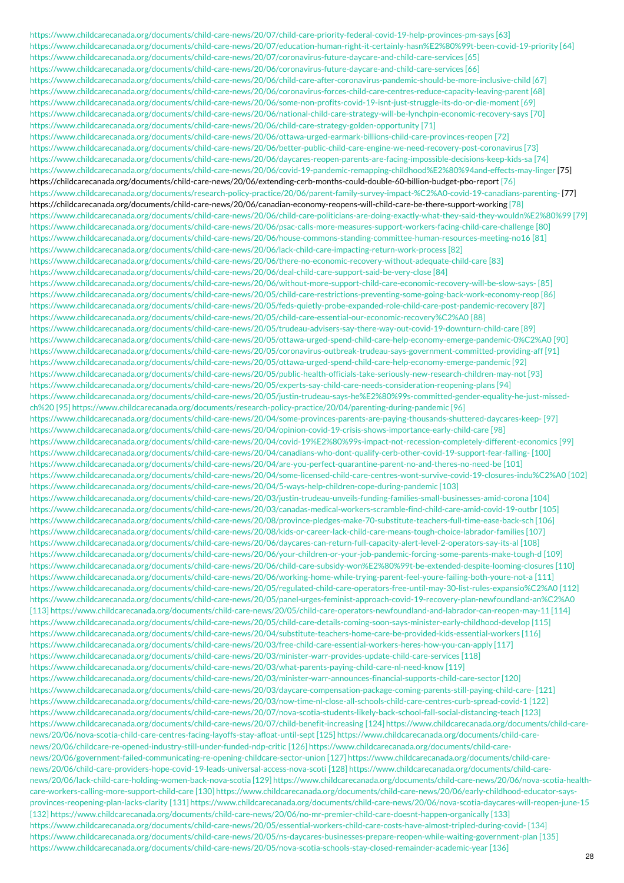https://www.childcarecanada.org/documents/child-care-news/20/07/child-care-priority-federal-covid-19-help-provinces-pm-says [63] https://www.childcarecanada.org/documents/child-care-news/20/07/education-human-right-it-certainly-hasn%E2%80%99t-been-covid-19-priority [64] https://www.childcarecanada.org/documents/child-care-news/20/07/coronavirus-future-daycare-and-child-care-services [65] https://www.childcarecanada.org/documents/child-care-news/20/06/coronavirus-future-daycare-and-child-care-services [66] https://www.childcarecanada.org/documents/child-care-news/20/06/child-care-after-coronavirus-pandemic-should-be-more-inclusive-child [67] https://www.childcarecanada.org/documents/child-care-news/20/06/coronavirus-forces-child-care-centres-reduce-capacity-leaving-parent [68] https://www.childcarecanada.org/documents/child-care-news/20/06/some-non-profits-covid-19-isnt-just-struggle-its-do-or-die-moment [69] https://www.childcarecanada.org/documents/child-care-news/20/06/national-child-care-strategy-will-be-lynchpin-economic-recovery-says [70] https://www.childcarecanada.org/documents/child-care-news/20/06/child-care-strategy-golden-opportunity [71] https://www.childcarecanada.org/documents/child-care-news/20/06/ottawa-urged-earmark-billions-child-care-provinces-reopen [72] https://www.childcarecanada.org/documents/child-care-news/20/06/better-public-child-care-engine-we-need-recovery-post-coronavirus [73] https://www.childcarecanada.org/documents/child-care-news/20/06/daycares-reopen-parents-are-facing-impossible-decisions-keep-kids-sa [74] [https://www.childcarecanada.org/documents/child-care-news/20/06/covid-19-pandemic-remapping-childhood%E2%80%94and-effects-may-linger](https://childcarecanada.org/documents/child-care-news/20/06/extending-cerb-months-could-double-60-billion-budget-pbo-report) [75] https://childcarecanada.org/documents/child-care-news/20/06/extending-cerb-months-could-double-60-billion-budget-pbo-report [76] [https://www.childcarecanada.org/documents/research-policy-practice/20/06/parent-family-survey-impact-%C2%A0-covid-19-canadians-parenting-](https://childcarecanada.org/documents/child-care-news/20/06/canadian-economy-reopens-will-child-care-be-there-support-working) [77] https://childcarecanada.org/documents/child-care-news/20/06/canadian-economy-reopens-will-child-care-be-there-support-working [78] https://www.childcarecanada.org/documents/child-care-news/20/06/child-care-politicians-are-doing-exactly-what-they-said-they-wouldn%E2%80%99 [79] https://www.childcarecanada.org/documents/child-care-news/20/06/psac-calls-more-measures-support-workers-facing-child-care-challenge [80] https://www.childcarecanada.org/documents/child-care-news/20/06/house-commons-standing-committee-human-resources-meeting-no16 [81] https://www.childcarecanada.org/documents/child-care-news/20/06/lack-child-care-impacting-return-work-process [82] https://www.childcarecanada.org/documents/child-care-news/20/06/there-no-economic-recovery-without-adequate-child-care [83] https://www.childcarecanada.org/documents/child-care-news/20/06/deal-child-care-support-said-be-very-close [84] https://www.childcarecanada.org/documents/child-care-news/20/06/without-more-support-child-care-economic-recovery-will-be-slow-says- [85] https://www.childcarecanada.org/documents/child-care-news/20/05/child-care-restrictions-preventing-some-going-back-work-economy-reop [86] https://www.childcarecanada.org/documents/child-care-news/20/05/feds-quietly-probe-expanded-role-child-care-post-pandemic-recovery [87] https://www.childcarecanada.org/documents/child-care-news/20/05/child-care-essential-our-economic-recovery%C2%A0 [88] https://www.childcarecanada.org/documents/child-care-news/20/05/trudeau-advisers-say-there-way-out-covid-19-downturn-child-care [89] https://www.childcarecanada.org/documents/child-care-news/20/05/ottawa-urged-spend-child-care-help-economy-emerge-pandemic-0%C2%A0 [90] https://www.childcarecanada.org/documents/child-care-news/20/05/coronavirus-outbreak-trudeau-says-government-committed-providing-aff [91] https://www.childcarecanada.org/documents/child-care-news/20/05/ottawa-urged-spend-child-care-help-economy-emerge-pandemic [92] https://www.childcarecanada.org/documents/child-care-news/20/05/public-health-officials-take-seriously-new-research-children-may-not [93] https://www.childcarecanada.org/documents/child-care-news/20/05/experts-say-child-care-needs-consideration-reopening-plans [94] https://www.childcarecanada.org/documents/child-care-news/20/05/justin-trudeau-says-he%E2%80%99s-committed-gender-equality-he-just-missedch%20 [95] https://www.childcarecanada.org/documents/research-policy-practice/20/04/parenting-during-pandemic [96] https://www.childcarecanada.org/documents/child-care-news/20/04/some-provinces-parents-are-paying-thousands-shuttered-daycares-keep- [97] https://www.childcarecanada.org/documents/child-care-news/20/04/opinion-covid-19-crisis-shows-importance-early-child-care [98] https://www.childcarecanada.org/documents/child-care-news/20/04/covid-19%E2%80%99s-impact-not-recession-completely-different-economics [99] https://www.childcarecanada.org/documents/child-care-news/20/04/canadians-who-dont-qualify-cerb-other-covid-19-support-fear-falling- [100] https://www.childcarecanada.org/documents/child-care-news/20/04/are-you-perfect-quarantine-parent-no-and-theres-no-need-be [101] https://www.childcarecanada.org/documents/child-care-news/20/04/some-licensed-child-care-centres-wont-survive-covid-19-closures-indu%C2%A0 [102] https://www.childcarecanada.org/documents/child-care-news/20/04/5-ways-help-children-cope-during-pandemic [103] https://www.childcarecanada.org/documents/child-care-news/20/03/justin-trudeau-unveils-funding-families-small-businesses-amid-corona [104] https://www.childcarecanada.org/documents/child-care-news/20/03/canadas-medical-workers-scramble-find-child-care-amid-covid-19-outbr [105] https://www.childcarecanada.org/documents/child-care-news/20/08/province-pledges-make-70-substitute-teachers-full-time-ease-back-sch [106] https://www.childcarecanada.org/documents/child-care-news/20/08/kids-or-career-lack-child-care-means-tough-choice-labrador-families [107] https://www.childcarecanada.org/documents/child-care-news/20/06/daycares-can-return-full-capacity-alert-level-2-operators-say-its-al [108] https://www.childcarecanada.org/documents/child-care-news/20/06/your-children-or-your-job-pandemic-forcing-some-parents-make-tough-d [109] https://www.childcarecanada.org/documents/child-care-news/20/06/child-care-subsidy-won%E2%80%99t-be-extended-despite-looming-closures [110] https://www.childcarecanada.org/documents/child-care-news/20/06/working-home-while-trying-parent-feel-youre-failing-both-youre-not-a [111] https://www.childcarecanada.org/documents/child-care-news/20/05/regulated-child-care-operators-free-until-may-30-list-rules-expansio%C2%A0 [112] https://www.childcarecanada.org/documents/child-care-news/20/05/panel-urges-feminist-approach-covid-19-recovery-plan-newfoundland-an%C2%A0 [113] https://www.childcarecanada.org/documents/child-care-news/20/05/child-care-operators-newfoundland-and-labrador-can-reopen-may-11 [114] https://www.childcarecanada.org/documents/child-care-news/20/05/child-care-details-coming-soon-says-minister-early-childhood-develop [115] https://www.childcarecanada.org/documents/child-care-news/20/04/substitute-teachers-home-care-be-provided-kids-essential-workers [116] https://www.childcarecanada.org/documents/child-care-news/20/03/free-child-care-essential-workers-heres-how-you-can-apply [117] https://www.childcarecanada.org/documents/child-care-news/20/03/minister-warr-provides-update-child-care-services [118] https://www.childcarecanada.org/documents/child-care-news/20/03/what-parents-paying-child-care-nl-need-know [119] https://www.childcarecanada.org/documents/child-care-news/20/03/minister-warr-announces-financial-supports-child-care-sector [120] https://www.childcarecanada.org/documents/child-care-news/20/03/daycare-compensation-package-coming-parents-still-paying-child-care- [121] https://www.childcarecanada.org/documents/child-care-news/20/03/now-time-nl-close-all-schools-child-care-centres-curb-spread-covid-1 [122] https://www.childcarecanada.org/documents/child-care-news/20/07/nova-scotia-students-likely-back-school-fall-social-distancing-teach [123] https://www.childcarecanada.org/documents/child-care-news/20/07/child-benefit-increasing [124] https://www.childcarecanada.org/documents/child-carenews/20/06/nova-scotia-child-care-centres-facing-layoffs-stay-afloat-until-sept [125] https://www.childcarecanada.org/documents/child-carenews/20/06/childcare-re-opened-industry-still-under-funded-ndp-critic [126] https://www.childcarecanada.org/documents/child-carenews/20/06/government-failed-communicating-re-opening-childcare-sector-union [127] https://www.childcarecanada.org/documents/child-carenews/20/06/child-care-providers-hope-covid-19-leads-universal-access-nova-scoti [128] https://www.childcarecanada.org/documents/child-carenews/20/06/lack-child-care-holding-women-back-nova-scotia [129] https://www.childcarecanada.org/documents/child-care-news/20/06/nova-scotia-healthcare-workers-calling-more-support-child-care [130] https://www.childcarecanada.org/documents/child-care-news/20/06/early-childhood-educator-saysprovinces-reopening-plan-lacks-clarity [131] https://www.childcarecanada.org/documents/child-care-news/20/06/nova-scotia-daycares-will-reopen-june-15 [132] https://www.childcarecanada.org/documents/child-care-news/20/06/no-mr-premier-child-care-doesnt-happen-organically [133] https://www.childcarecanada.org/documents/child-care-news/20/05/essential-workers-child-care-costs-have-almost-tripled-during-covid- [134] https://www.childcarecanada.org/documents/child-care-news/20/05/ns-daycares-businesses-prepare-reopen-while-waiting-government-plan [135] https://www.childcarecanada.org/documents/child-care-news/20/05/nova-scotia-schools-stay-closed-remainder-academic-year [136]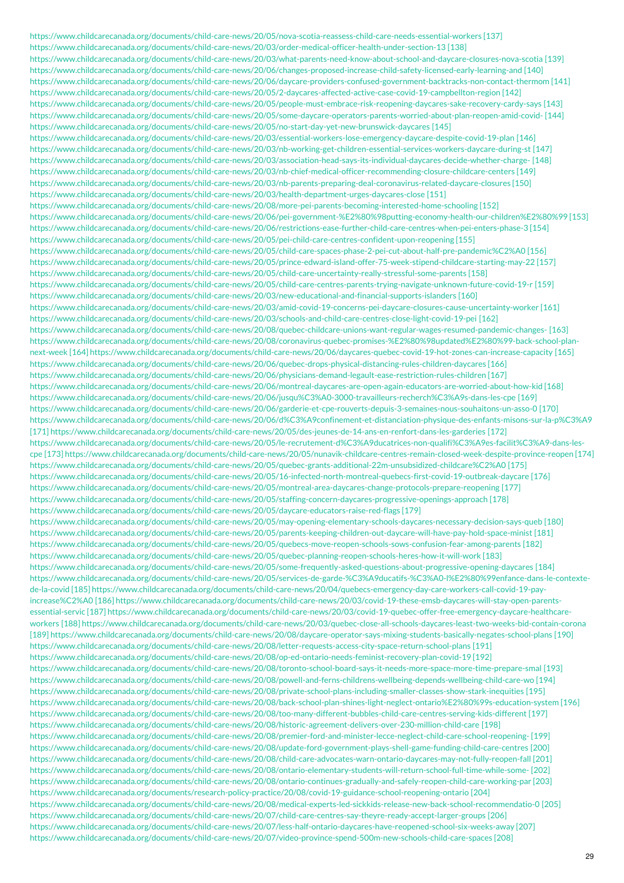https://www.childcarecanada.org/documents/child-care-news/20/05/nova-scotia-reassess-child-care-needs-essential-workers [137] https://www.childcarecanada.org/documents/child-care-news/20/03/order-medical-officer-health-under-section-13 [138] https://www.childcarecanada.org/documents/child-care-news/20/03/what-parents-need-know-about-school-and-daycare-closures-nova-scotia [139] https://www.childcarecanada.org/documents/child-care-news/20/06/changes-proposed-increase-child-safety-licensed-early-learning-and [140] https://www.childcarecanada.org/documents/child-care-news/20/06/daycare-providers-confused-government-backtracks-non-contact-thermom [141] https://www.childcarecanada.org/documents/child-care-news/20/05/2-daycares-affected-active-case-covid-19-campbellton-region [142] https://www.childcarecanada.org/documents/child-care-news/20/05/people-must-embrace-risk-reopening-daycares-sake-recovery-cardy-says [143] https://www.childcarecanada.org/documents/child-care-news/20/05/some-daycare-operators-parents-worried-about-plan-reopen-amid-covid- [144] https://www.childcarecanada.org/documents/child-care-news/20/05/no-start-day-yet-new-brunswick-daycares [145] https://www.childcarecanada.org/documents/child-care-news/20/03/essential-workers-lose-emergency-daycare-despite-covid-19-plan [146] https://www.childcarecanada.org/documents/child-care-news/20/03/nb-working-get-children-essential-services-workers-daycare-during-st [147] https://www.childcarecanada.org/documents/child-care-news/20/03/association-head-says-its-individual-daycares-decide-whether-charge- [148] https://www.childcarecanada.org/documents/child-care-news/20/03/nb-chief-medical-officer-recommending-closure-childcare-centers [149] https://www.childcarecanada.org/documents/child-care-news/20/03/nb-parents-preparing-deal-coronavirus-related-daycare-closures [150] https://www.childcarecanada.org/documents/child-care-news/20/03/health-department-urges-daycares-close [151] https://www.childcarecanada.org/documents/child-care-news/20/08/more-pei-parents-becoming-interested-home-schooling [152] https://www.childcarecanada.org/documents/child-care-news/20/06/pei-government-%E2%80%98putting-economy-health-our-children%E2%80%99 [153] https://www.childcarecanada.org/documents/child-care-news/20/06/restrictions-ease-further-child-care-centres-when-pei-enters-phase-3 [154] https://www.childcarecanada.org/documents/child-care-news/20/05/pei-child-care-centres-confident-upon-reopening [155] https://www.childcarecanada.org/documents/child-care-news/20/05/child-care-spaces-phase-2-pei-cut-about-half-pre-pandemic%C2%A0 [156] https://www.childcarecanada.org/documents/child-care-news/20/05/prince-edward-island-offer-75-week-stipend-childcare-starting-may-22 [157] https://www.childcarecanada.org/documents/child-care-news/20/05/child-care-uncertainty-really-stressful-some-parents [158] https://www.childcarecanada.org/documents/child-care-news/20/05/child-care-centres-parents-trying-navigate-unknown-future-covid-19-r [159] https://www.childcarecanada.org/documents/child-care-news/20/03/new-educational-and-financial-supports-islanders [160] https://www.childcarecanada.org/documents/child-care-news/20/03/amid-covid-19-concerns-pei-daycare-closures-cause-uncertainty-worker [161] https://www.childcarecanada.org/documents/child-care-news/20/03/schools-and-child-care-centres-close-light-covid-19-pei [162] https://www.childcarecanada.org/documents/child-care-news/20/08/quebec-childcare-unions-want-regular-wages-resumed-pandemic-changes- [163] https://www.childcarecanada.org/documents/child-care-news/20/08/coronavirus-quebec-promises-%E2%80%98updated%E2%80%99-back-school-plannext-week [164] https://www.childcarecanada.org/documents/child-care-news/20/06/daycares-quebec-covid-19-hot-zones-can-increase-capacity [165] https://www.childcarecanada.org/documents/child-care-news/20/06/quebec-drops-physical-distancing-rules-children-daycares [166] https://www.childcarecanada.org/documents/child-care-news/20/06/physicians-demand-legault-ease-restriction-rules-children [167] https://www.childcarecanada.org/documents/child-care-news/20/06/montreal-daycares-are-open-again-educators-are-worried-about-how-kid [168] https://www.childcarecanada.org/documents/child-care-news/20/06/jusqu%C3%A0-3000-travailleurs-recherch%C3%A9s-dans-les-cpe [169] https://www.childcarecanada.org/documents/child-care-news/20/06/garderie-et-cpe-rouverts-depuis-3-semaines-nous-souhaitons-un-asso-0 [170] https://www.childcarecanada.org/documents/child-care-news/20/06/d%C3%A9confinement-et-distanciation-physique-des-enfants-misons-sur-la-p%C3%A9 [171] https://www.childcarecanada.org/documents/child-care-news/20/05/des-jeunes-de-14-ans-en-renfort-dans-les-garderies [172] https://www.childcarecanada.org/documents/child-care-news/20/05/le-recrutement-d%C3%A9ducatrices-non-qualifi%C3%A9es-facilit%C3%A9-dans-lescpe [173] https://www.childcarecanada.org/documents/child-care-news/20/05/nunavik-childcare-centres-remain-closed-week-despite-province-reopen [174] https://www.childcarecanada.org/documents/child-care-news/20/05/quebec-grants-additional-22m-unsubsidized-childcare%C2%A0 [175] https://www.childcarecanada.org/documents/child-care-news/20/05/16-infected-north-montreal-quebecs-first-covid-19-outbreak-daycare [176] https://www.childcarecanada.org/documents/child-care-news/20/05/montreal-area-daycares-change-protocols-prepare-reopening [177] https://www.childcarecanada.org/documents/child-care-news/20/05/staffing-concern-daycares-progressive-openings-approach [178] https://www.childcarecanada.org/documents/child-care-news/20/05/daycare-educators-raise-red-flags [179] https://www.childcarecanada.org/documents/child-care-news/20/05/may-opening-elementary-schools-daycares-necessary-decision-says-queb [180] https://www.childcarecanada.org/documents/child-care-news/20/05/parents-keeping-children-out-daycare-will-have-pay-hold-space-minist [181] https://www.childcarecanada.org/documents/child-care-news/20/05/quebecs-move-reopen-schools-sows-confusion-fear-among-parents [182] https://www.childcarecanada.org/documents/child-care-news/20/05/quebec-planning-reopen-schools-heres-how-it-will-work [183] https://www.childcarecanada.org/documents/child-care-news/20/05/some-frequently-asked-questions-about-progressive-opening-daycares [184] https://www.childcarecanada.org/documents/child-care-news/20/05/services-de-garde-%C3%A9ducatifs-%C3%A0-l%E2%80%99enfance-dans-le-contextede-la-covid [185] https://www.childcarecanada.org/documents/child-care-news/20/04/quebecs-emergency-day-care-workers-call-covid-19-payincrease%C2%A0 [186] https://www.childcarecanada.org/documents/child-care-news/20/03/covid-19-these-emsb-daycares-will-stay-open-parentsessential-servic [187] https://www.childcarecanada.org/documents/child-care-news/20/03/covid-19-quebec-offer-free-emergency-daycare-healthcareworkers [188] https://www.childcarecanada.org/documents/child-care-news/20/03/quebec-close-all-schools-daycares-least-two-weeks-bid-contain-corona [189] https://www.childcarecanada.org/documents/child-care-news/20/08/daycare-operator-says-mixing-students-basically-negates-school-plans [190] https://www.childcarecanada.org/documents/child-care-news/20/08/letter-requests-access-city-space-return-school-plans [191] https://www.childcarecanada.org/documents/child-care-news/20/08/op-ed-ontario-needs-feminist-recovery-plan-covid-19 [192] https://www.childcarecanada.org/documents/child-care-news/20/08/toronto-school-board-says-it-needs-more-space-more-time-prepare-smal [193] https://www.childcarecanada.org/documents/child-care-news/20/08/powell-and-ferns-childrens-wellbeing-depends-wellbeing-child-care-wo [194] https://www.childcarecanada.org/documents/child-care-news/20/08/private-school-plans-including-smaller-classes-show-stark-inequities [195] https://www.childcarecanada.org/documents/child-care-news/20/08/back-school-plan-shines-light-neglect-ontario%E2%80%99s-education-system [196] https://www.childcarecanada.org/documents/child-care-news/20/08/too-many-different-bubbles-child-care-centres-serving-kids-different [197] https://www.childcarecanada.org/documents/child-care-news/20/08/historic-agreement-delivers-over-230-million-child-care [198] https://www.childcarecanada.org/documents/child-care-news/20/08/premier-ford-and-minister-lecce-neglect-child-care-school-reopening- [199] https://www.childcarecanada.org/documents/child-care-news/20/08/update-ford-government-plays-shell-game-funding-child-care-centres [200] https://www.childcarecanada.org/documents/child-care-news/20/08/child-care-advocates-warn-ontario-daycares-may-not-fully-reopen-fall [201] https://www.childcarecanada.org/documents/child-care-news/20/08/ontario-elementary-students-will-return-school-full-time-while-some- [202] https://www.childcarecanada.org/documents/child-care-news/20/08/ontario-continues-gradually-and-safely-reopen-child-care-working-par [203] https://www.childcarecanada.org/documents/research-policy-practice/20/08/covid-19-guidance-school-reopening-ontario [204] https://www.childcarecanada.org/documents/child-care-news/20/08/medical-experts-led-sickkids-release-new-back-school-recommendatio-0 [205] https://www.childcarecanada.org/documents/child-care-news/20/07/child-care-centres-say-theyre-ready-accept-larger-groups [206] https://www.childcarecanada.org/documents/child-care-news/20/07/less-half-ontario-daycares-have-reopened-school-six-weeks-away [207] https://www.childcarecanada.org/documents/child-care-news/20/07/video-province-spend-500m-new-schools-child-care-spaces [208]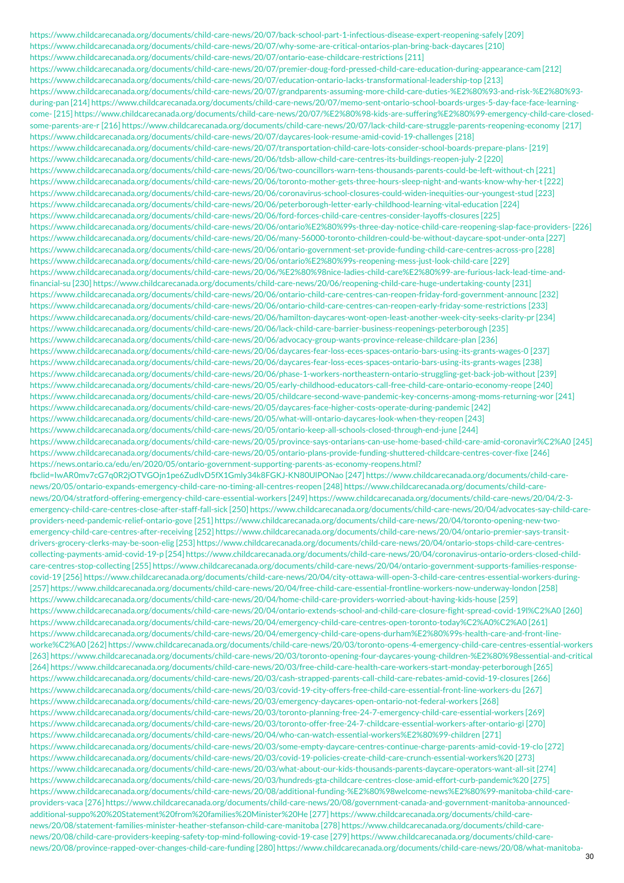https://www.childcarecanada.org/documents/child-care-news/20/07/back-school-part-1-infectious-disease-expert-reopening-safely [209] https://www.childcarecanada.org/documents/child-care-news/20/07/why-some-are-critical-ontarios-plan-bring-back-daycares [210] https://www.childcarecanada.org/documents/child-care-news/20/07/ontario-ease-childcare-restrictions [211] https://www.childcarecanada.org/documents/child-care-news/20/07/premier-doug-ford-pressed-child-care-education-during-appearance-cam [212] https://www.childcarecanada.org/documents/child-care-news/20/07/education-ontario-lacks-transformational-leadership-top [213] https://www.childcarecanada.org/documents/child-care-news/20/07/grandparents-assuming-more-child-care-duties-%E2%80%93-and-risk-%E2%80%93 during-pan [214] https://www.childcarecanada.org/documents/child-care-news/20/07/memo-sent-ontario-school-boards-urges-5-day-face-face-learningcome- [215] https://www.childcarecanada.org/documents/child-care-news/20/07/%E2%80%98-kids-are-suffering%E2%80%99-emergency-child-care-closedsome-parents-are-r [216] https://www.childcarecanada.org/documents/child-care-news/20/07/lack-child-care-struggle-parents-reopening-economy [217] https://www.childcarecanada.org/documents/child-care-news/20/07/daycares-look-resume-amid-covid-19-challenges [218] https://www.childcarecanada.org/documents/child-care-news/20/07/transportation-child-care-lots-consider-school-boards-prepare-plans- [219] https://www.childcarecanada.org/documents/child-care-news/20/06/tdsb-allow-child-care-centres-its-buildings-reopen-july-2 [220] https://www.childcarecanada.org/documents/child-care-news/20/06/two-councillors-warn-tens-thousands-parents-could-be-left-without-ch [221] https://www.childcarecanada.org/documents/child-care-news/20/06/toronto-mother-gets-three-hours-sleep-night-and-wants-know-why-her-t [222] https://www.childcarecanada.org/documents/child-care-news/20/06/coronavirus-school-closures-could-widen-inequities-our-youngest-stud [223] https://www.childcarecanada.org/documents/child-care-news/20/06/peterborough-letter-early-childhood-learning-vital-education [224] https://www.childcarecanada.org/documents/child-care-news/20/06/ford-forces-child-care-centres-consider-layoffs-closures [225] https://www.childcarecanada.org/documents/child-care-news/20/06/ontario%E2%80%99s-three-day-notice-child-care-reopening-slap-face-providers- [226] https://www.childcarecanada.org/documents/child-care-news/20/06/many-56000-toronto-children-could-be-without-daycare-spot-under-onta [227] https://www.childcarecanada.org/documents/child-care-news/20/06/ontario-government-set-provide-funding-child-care-centres-across-pro [228] https://www.childcarecanada.org/documents/child-care-news/20/06/ontario%E2%80%99s-reopening-mess-just-look-child-care [229] https://www.childcarecanada.org/documents/child-care-news/20/06/%E2%80%98nice-ladies-child-care%E2%80%99-are-furious-lack-lead-time-andfinancial-su [230] https://www.childcarecanada.org/documents/child-care-news/20/06/reopening-child-care-huge-undertaking-county [231] https://www.childcarecanada.org/documents/child-care-news/20/06/ontario-child-care-centres-can-reopen-friday-ford-government-announc [232] https://www.childcarecanada.org/documents/child-care-news/20/06/ontario-child-care-centres-can-reopen-early-friday-some-restrictions [233] https://www.childcarecanada.org/documents/child-care-news/20/06/hamilton-daycares-wont-open-least-another-week-city-seeks-clarity-pr [234] https://www.childcarecanada.org/documents/child-care-news/20/06/lack-child-care-barrier-business-reopenings-peterborough [235] https://www.childcarecanada.org/documents/child-care-news/20/06/advocacy-group-wants-province-release-childcare-plan [236] https://www.childcarecanada.org/documents/child-care-news/20/06/daycares-fear-loss-eces-spaces-ontario-bars-using-its-grants-wages-0 [237] https://www.childcarecanada.org/documents/child-care-news/20/06/daycares-fear-loss-eces-spaces-ontario-bars-using-its-grants-wages [238] https://www.childcarecanada.org/documents/child-care-news/20/06/phase-1-workers-northeastern-ontario-struggling-get-back-job-without [239] https://www.childcarecanada.org/documents/child-care-news/20/05/early-childhood-educators-call-free-child-care-ontario-economy-reope [240] https://www.childcarecanada.org/documents/child-care-news/20/05/childcare-second-wave-pandemic-key-concerns-among-moms-returning-wor [241] https://www.childcarecanada.org/documents/child-care-news/20/05/daycares-face-higher-costs-operate-during-pandemic [242] https://www.childcarecanada.org/documents/child-care-news/20/05/what-will-ontario-daycares-look-when-they-reopen [243] https://www.childcarecanada.org/documents/child-care-news/20/05/ontario-keep-all-schools-closed-through-end-june [244] https://www.childcarecanada.org/documents/child-care-news/20/05/province-says-ontarians-can-use-home-based-child-care-amid-coronavir%C2%A0 [245] https://www.childcarecanada.org/documents/child-care-news/20/05/ontario-plans-provide-funding-shuttered-childcare-centres-cover-fixe [246] https://news.ontario.ca/edu/en/2020/05/ontario-government-supporting-parents-as-economy-reopens.html? fbclid=IwAR0mv7cG7q0R2jOTVGOjn1pe6ZudlvD5fX1Gmly34k8FGKJ-KN80UlPONao [247] https://www.childcarecanada.org/documents/child-carenews/20/05/ontario-expands-emergency-child-care-no-timing-all-centres-reopen [248] https://www.childcarecanada.org/documents/child-carenews/20/04/stratford-offering-emergency-child-care-essential-workers [249] https://www.childcarecanada.org/documents/child-care-news/20/04/2-3 emergency-child-care-centres-close-after-staff-fall-sick [250] https://www.childcarecanada.org/documents/child-care-news/20/04/advocates-say-child-careproviders-need-pandemic-relief-ontario-gove [251] https://www.childcarecanada.org/documents/child-care-news/20/04/toronto-opening-new-twoemergency-child-care-centres-after-receiving [252] https://www.childcarecanada.org/documents/child-care-news/20/04/ontario-premier-says-transitdrivers-grocery-clerks-may-be-soon-elig [253] https://www.childcarecanada.org/documents/child-care-news/20/04/ontario-stops-child-care-centrescollecting-payments-amid-covid-19-p [254] https://www.childcarecanada.org/documents/child-care-news/20/04/coronavirus-ontario-orders-closed-childcare-centres-stop-collecting [255] https://www.childcarecanada.org/documents/child-care-news/20/04/ontario-government-supports-families-responsecovid-19 [256] https://www.childcarecanada.org/documents/child-care-news/20/04/city-ottawa-will-open-3-child-care-centres-essential-workers-during- [257] https://www.childcarecanada.org/documents/child-care-news/20/04/free-child-care-essential-frontline-workers-now-underway-london [258] https://www.childcarecanada.org/documents/child-care-news/20/04/home-child-care-providers-worried-about-having-kids-house [259] https://www.childcarecanada.org/documents/child-care-news/20/04/ontario-extends-school-and-child-care-closure-fight-spread-covid-19l%C2%A0 [260] https://www.childcarecanada.org/documents/child-care-news/20/04/emergency-child-care-centres-open-toronto-today%C2%A0%C2%A0 [261] https://www.childcarecanada.org/documents/child-care-news/20/04/emergency-child-care-opens-durham%E2%80%99s-health-care-and-front-lineworke%C2%A0 [262] https://www.childcarecanada.org/documents/child-care-news/20/03/toronto-opens-4-emergency-child-care-centres-essential-workers [263] https://www.childcarecanada.org/documents/child-care-news/20/03/toronto-opening-four-daycares-young-children-%E2%80%98essential-and-critical [264] https://www.childcarecanada.org/documents/child-care-news/20/03/free-child-care-health-care-workers-start-monday-peterborough [265] https://www.childcarecanada.org/documents/child-care-news/20/03/cash-strapped-parents-call-child-care-rebates-amid-covid-19-closures [266] https://www.childcarecanada.org/documents/child-care-news/20/03/covid-19-city-offers-free-child-care-essential-front-line-workers-du [267] https://www.childcarecanada.org/documents/child-care-news/20/03/emergency-daycares-open-ontario-not-federal-workers [268] https://www.childcarecanada.org/documents/child-care-news/20/03/toronto-planning-free-24-7-emergency-child-care-essential-workers [269] https://www.childcarecanada.org/documents/child-care-news/20/03/toronto-offer-free-24-7-childcare-essential-workers-after-ontario-gi [270] https://www.childcarecanada.org/documents/child-care-news/20/04/who-can-watch-essential-workers%E2%80%99-children [271] https://www.childcarecanada.org/documents/child-care-news/20/03/some-empty-daycare-centres-continue-charge-parents-amid-covid-19-clo [272] https://www.childcarecanada.org/documents/child-care-news/20/03/covid-19-policies-create-child-care-crunch-essential-workers%20 [273] https://www.childcarecanada.org/documents/child-care-news/20/03/what-about-our-kids-thousands-parents-daycare-operators-want-all-sit [274] https://www.childcarecanada.org/documents/child-care-news/20/03/hundreds-gta-childcare-centres-close-amid-effort-curb-pandemic%20 [275] https://www.childcarecanada.org/documents/child-care-news/20/08/additional-funding-%E2%80%98welcome-news%E2%80%99-manitoba-child-careproviders-vaca [276] https://www.childcarecanada.org/documents/child-care-news/20/08/government-canada-and-government-manitoba-announcedadditional-suppo%20%20Statement%20from%20families%20Minister%20He [277] https://www.childcarecanada.org/documents/child-carenews/20/08/statement-families-minister-heather-stefanson-child-care-manitoba [278] https://www.childcarecanada.org/documents/child-carenews/20/08/child-care-providers-keeping-safety-top-mind-following-covid-19-case [279] https://www.childcarecanada.org/documents/child-carenews/20/08/province-rapped-over-changes-child-care-funding [280] https://www.childcarecanada.org/documents/child-care-news/20/08/what-manitoba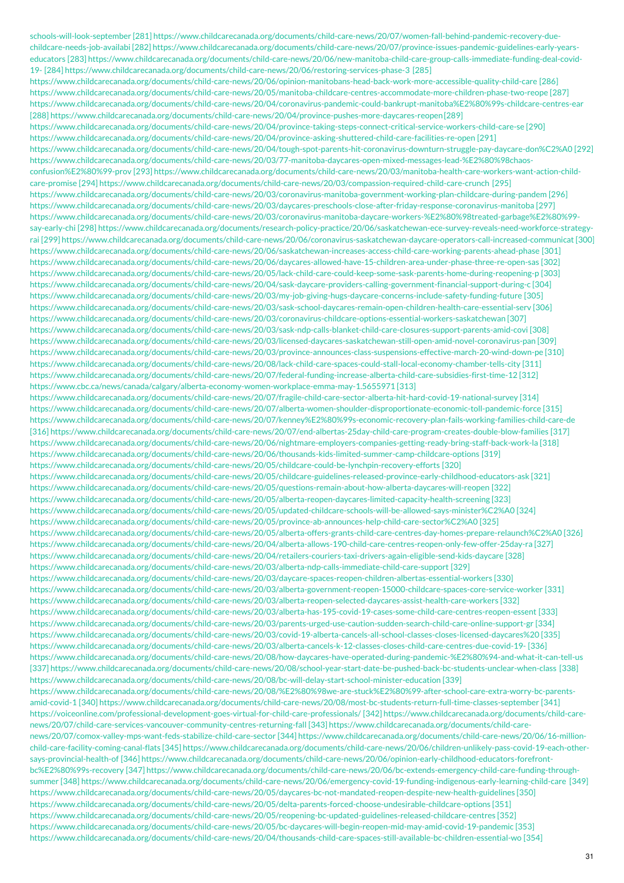schools-will-look-september [281] https://www.childcarecanada.org/documents/child-care-news/20/07/women-fall-behind-pandemic-recovery-duechildcare-needs-job-availabi [282] https://www.childcarecanada.org/documents/child-care-news/20/07/province-issues-pandemic-guidelines-early-yearseducators [283] https://www.childcarecanada.org/documents/child-care-news/20/06/new-manitoba-child-care-group-calls-immediate-funding-deal-covid-19- [284] https://www.childcarecanada.org/documents/child-care-news/20/06/restoring-services-phase-3 [285] https://www.childcarecanada.org/documents/child-care-news/20/06/opinion-manitobans-head-back-work-more-accessible-quality-child-care [286] https://www.childcarecanada.org/documents/child-care-news/20/05/manitoba-childcare-centres-accommodate-more-children-phase-two-reope [287] https://www.childcarecanada.org/documents/child-care-news/20/04/coronavirus-pandemic-could-bankrupt-manitoba%E2%80%99s-childcare-centres-ear [288] https://www.childcarecanada.org/documents/child-care-news/20/04/province-pushes-more-daycares-reopen[289] https://www.childcarecanada.org/documents/child-care-news/20/04/province-taking-steps-connect-critical-service-workers-child-care-se [290] https://www.childcarecanada.org/documents/child-care-news/20/04/province-asking-shuttered-child-care-facilities-re-open [291] https://www.childcarecanada.org/documents/child-care-news/20/04/tough-spot-parents-hit-coronavirus-downturn-struggle-pay-daycare-don%C2%A0 [292] https://www.childcarecanada.org/documents/child-care-news/20/03/77-manitoba-daycares-open-mixed-messages-lead-%E2%80%98chaosconfusion%E2%80%99-prov [293] https://www.childcarecanada.org/documents/child-care-news/20/03/manitoba-health-care-workers-want-action-childcare-promise [294] https://www.childcarecanada.org/documents/child-care-news/20/03/compassion-required-child-care-crunch [295] https://www.childcarecanada.org/documents/child-care-news/20/03/coronavirus-manitoba-government-working-plan-childcare-during-pandem [296] https://www.childcarecanada.org/documents/child-care-news/20/03/daycares-preschools-close-after-friday-response-coronavirus-manitoba [297] https://www.childcarecanada.org/documents/child-care-news/20/03/coronavirus-manitoba-daycare-workers-%E2%80%98treated-garbage%E2%80%99 say-early-chi [298] https://www.childcarecanada.org/documents/research-policy-practice/20/06/saskatchewan-ece-survey-reveals-need-workforce-strategyrai [299] https://www.childcarecanada.org/documents/child-care-news/20/06/coronavirus-saskatchewan-daycare-operators-call-increased-communicat [300] https://www.childcarecanada.org/documents/child-care-news/20/06/saskatchewan-increases-access-child-care-working-parents-ahead-phase [301] https://www.childcarecanada.org/documents/child-care-news/20/06/daycares-allowed-have-15-children-area-under-phase-three-re-open-sas [302] https://www.childcarecanada.org/documents/child-care-news/20/05/lack-child-care-could-keep-some-sask-parents-home-during-reopening-p [303] https://www.childcarecanada.org/documents/child-care-news/20/04/sask-daycare-providers-calling-government-financial-support-during-c [304] https://www.childcarecanada.org/documents/child-care-news/20/03/my-job-giving-hugs-daycare-concerns-include-safety-funding-future [305] https://www.childcarecanada.org/documents/child-care-news/20/03/sask-school-daycares-remain-open-children-health-care-essential-serv [306] https://www.childcarecanada.org/documents/child-care-news/20/03/coronavirus-childcare-options-essential-workers-saskatchewan [307] https://www.childcarecanada.org/documents/child-care-news/20/03/sask-ndp-calls-blanket-child-care-closures-support-parents-amid-covi [308] https://www.childcarecanada.org/documents/child-care-news/20/03/licensed-daycares-saskatchewan-still-open-amid-novel-coronavirus-pan [309] https://www.childcarecanada.org/documents/child-care-news/20/03/province-announces-class-suspensions-effective-march-20-wind-down-pe [310] https://www.childcarecanada.org/documents/child-care-news/20/08/lack-child-care-spaces-could-stall-local-economy-chamber-tells-city [311] https://www.childcarecanada.org/documents/child-care-news/20/07/federal-funding-increase-alberta-child-care-subsidies-first-time-12 [312] https://www.cbc.ca/news/canada/calgary/alberta-economy-women-workplace-emma-may-1.5655971 [313] https://www.childcarecanada.org/documents/child-care-news/20/07/fragile-child-care-sector-alberta-hit-hard-covid-19-national-survey [314] https://www.childcarecanada.org/documents/child-care-news/20/07/alberta-women-shoulder-disproportionate-economic-toll-pandemic-force [315] https://www.childcarecanada.org/documents/child-care-news/20/07/kenney%E2%80%99s-economic-recovery-plan-fails-working-families-child-care-de [316] https://www.childcarecanada.org/documents/child-care-news/20/07/end-albertas-25day-child-care-program-creates-double-blow-families [317] https://www.childcarecanada.org/documents/child-care-news/20/06/nightmare-employers-companies-getting-ready-bring-staff-back-work-la [318] https://www.childcarecanada.org/documents/child-care-news/20/06/thousands-kids-limited-summer-camp-childcare-options [319] https://www.childcarecanada.org/documents/child-care-news/20/05/childcare-could-be-lynchpin-recovery-efforts [320] https://www.childcarecanada.org/documents/child-care-news/20/05/childcare-guidelines-released-province-early-childhood-educators-ask [321] https://www.childcarecanada.org/documents/child-care-news/20/05/questions-remain-about-how-alberta-daycares-will-reopen [322] https://www.childcarecanada.org/documents/child-care-news/20/05/alberta-reopen-daycares-limited-capacity-health-screening [323] https://www.childcarecanada.org/documents/child-care-news/20/05/updated-childcare-schools-will-be-allowed-says-minister%C2%A0 [324] https://www.childcarecanada.org/documents/child-care-news/20/05/province-ab-announces-help-child-care-sector%C2%A0 [325] https://www.childcarecanada.org/documents/child-care-news/20/05/alberta-offers-grants-child-care-centres-day-homes-prepare-relaunch%C2%A0 [326] https://www.childcarecanada.org/documents/child-care-news/20/04/alberta-allows-190-child-care-centres-reopen-only-few-offer-25day-ra [327] https://www.childcarecanada.org/documents/child-care-news/20/04/retailers-couriers-taxi-drivers-again-eligible-send-kids-daycare [328] https://www.childcarecanada.org/documents/child-care-news/20/03/alberta-ndp-calls-immediate-child-care-support [329] https://www.childcarecanada.org/documents/child-care-news/20/03/daycare-spaces-reopen-children-albertas-essential-workers [330] https://www.childcarecanada.org/documents/child-care-news/20/03/alberta-government-reopen-15000-childcare-spaces-core-service-worker [331] https://www.childcarecanada.org/documents/child-care-news/20/03/alberta-reopen-selected-daycares-assist-health-care-workers [332] https://www.childcarecanada.org/documents/child-care-news/20/03/alberta-has-195-covid-19-cases-some-child-care-centres-reopen-essent [333] https://www.childcarecanada.org/documents/child-care-news/20/03/parents-urged-use-caution-sudden-search-child-care-online-support-gr [334] https://www.childcarecanada.org/documents/child-care-news/20/03/covid-19-alberta-cancels-all-school-classes-closes-licensed-daycares%20 [335] https://www.childcarecanada.org/documents/child-care-news/20/03/alberta-cancels-k-12-classes-closes-child-care-centres-due-covid-19- [336] https://www.childcarecanada.org/documents/child-care-news/20/08/how-daycares-have-operated-during-pandemic-%E2%80%94-and-what-it-can-tell-us [337] https://www.childcarecanada.org/documents/child-care-news/20/08/school-year-start-date-be-pushed-back-bc-students-unclear-when-class [338] https://www.childcarecanada.org/documents/child-care-news/20/08/bc-will-delay-start-school-minister-education [339] https://www.childcarecanada.org/documents/child-care-news/20/08/%E2%80%98we-are-stuck%E2%80%99-after-school-care-extra-worry-bc-parentsamid-covid-1 [340] https://www.childcarecanada.org/documents/child-care-news/20/08/most-bc-students-return-full-time-classes-september [341] https://voiceonline.com/professional-development-goes-virtual-for-child-care-professionals/ [342] https://www.childcarecanada.org/documents/child-carenews/20/07/child-care-services-vancouver-community-centres-returning-fall [343] https://www.childcarecanada.org/documents/child-carenews/20/07/comox-valley-mps-want-feds-stabilize-child-care-sector [344] https://www.childcarecanada.org/documents/child-care-news/20/06/16-millionchild-care-facility-coming-canal-flats [345] https://www.childcarecanada.org/documents/child-care-news/20/06/children-unlikely-pass-covid-19-each-othersays-provincial-health-of [346] https://www.childcarecanada.org/documents/child-care-news/20/06/opinion-early-childhood-educators-forefrontbc%E2%80%99s-recovery [347] https://www.childcarecanada.org/documents/child-care-news/20/06/bc-extends-emergency-child-care-funding-throughsummer [348] https://www.childcarecanada.org/documents/child-care-news/20/06/emergency-covid-19-funding-indigenous-early-learning-child-care [349] https://www.childcarecanada.org/documents/child-care-news/20/05/daycares-bc-not-mandated-reopen-despite-new-health-guidelines [350] https://www.childcarecanada.org/documents/child-care-news/20/05/delta-parents-forced-choose-undesirable-childcare-options [351] https://www.childcarecanada.org/documents/child-care-news/20/05/reopening-bc-updated-guidelines-released-childcare-centres [352] https://www.childcarecanada.org/documents/child-care-news/20/05/bc-daycares-will-begin-reopen-mid-may-amid-covid-19-pandemic [353] https://www.childcarecanada.org/documents/child-care-news/20/04/thousands-child-care-spaces-still-available-bc-children-essential-wo [354]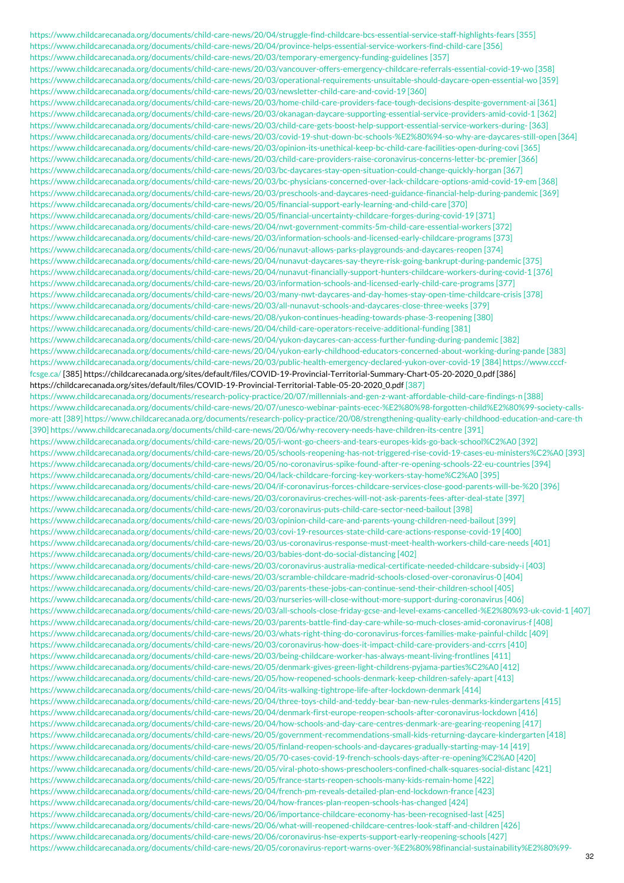https://www.childcarecanada.org/documents/child-care-news/20/04/struggle-find-childcare-bcs-essential-service-staff-highlights-fears [355] https://www.childcarecanada.org/documents/child-care-news/20/04/province-helps-essential-service-workers-find-child-care [356] https://www.childcarecanada.org/documents/child-care-news/20/03/temporary-emergency-funding-guidelines [357] https://www.childcarecanada.org/documents/child-care-news/20/03/vancouver-offers-emergency-childcare-referrals-essential-covid-19-wo [358] https://www.childcarecanada.org/documents/child-care-news/20/03/operational-requirements-unsuitable-should-daycare-open-essential-wo [359] https://www.childcarecanada.org/documents/child-care-news/20/03/newsletter-child-care-and-covid-19 [360] https://www.childcarecanada.org/documents/child-care-news/20/03/home-child-care-providers-face-tough-decisions-despite-government-ai [361] https://www.childcarecanada.org/documents/child-care-news/20/03/okanagan-daycare-supporting-essential-service-providers-amid-covid-1 [362] https://www.childcarecanada.org/documents/child-care-news/20/03/child-care-gets-boost-help-support-essential-service-workers-during- [363] https://www.childcarecanada.org/documents/child-care-news/20/03/covid-19-shut-down-bc-schools-%E2%80%94-so-why-are-daycares-still-open [364] https://www.childcarecanada.org/documents/child-care-news/20/03/opinion-its-unethical-keep-bc-child-care-facilities-open-during-covi [365] https://www.childcarecanada.org/documents/child-care-news/20/03/child-care-providers-raise-coronavirus-concerns-letter-bc-premier [366] https://www.childcarecanada.org/documents/child-care-news/20/03/bc-daycares-stay-open-situation-could-change-quickly-horgan [367] https://www.childcarecanada.org/documents/child-care-news/20/03/bc-physicians-concerned-over-lack-childcare-options-amid-covid-19-em [368] https://www.childcarecanada.org/documents/child-care-news/20/03/preschools-and-daycares-need-guidance-financial-help-during-pandemic [369] https://www.childcarecanada.org/documents/child-care-news/20/05/financial-support-early-learning-and-child-care [370] https://www.childcarecanada.org/documents/child-care-news/20/05/financial-uncertainty-childcare-forges-during-covid-19 [371] https://www.childcarecanada.org/documents/child-care-news/20/04/nwt-government-commits-5m-child-care-essential-workers [372] https://www.childcarecanada.org/documents/child-care-news/20/03/information-schools-and-licensed-early-childcare-programs [373] https://www.childcarecanada.org/documents/child-care-news/20/06/nunavut-allows-parks-playgrounds-and-daycares-reopen [374] https://www.childcarecanada.org/documents/child-care-news/20/04/nunavut-daycares-say-theyre-risk-going-bankrupt-during-pandemic [375] https://www.childcarecanada.org/documents/child-care-news/20/04/nunavut-financially-support-hunters-childcare-workers-during-covid-1 [376] https://www.childcarecanada.org/documents/child-care-news/20/03/information-schools-and-licensed-early-child-care-programs [377] https://www.childcarecanada.org/documents/child-care-news/20/03/many-nwt-daycares-and-day-homes-stay-open-time-childcare-crisis [378] https://www.childcarecanada.org/documents/child-care-news/20/03/all-nunavut-schools-and-daycares-close-three-weeks [379] https://www.childcarecanada.org/documents/child-care-news/20/08/yukon-continues-heading-towards-phase-3-reopening [380] https://www.childcarecanada.org/documents/child-care-news/20/04/child-care-operators-receive-additional-funding [381] https://www.childcarecanada.org/documents/child-care-news/20/04/yukon-daycares-can-access-further-funding-during-pandemic [382] https://www.childcarecanada.org/documents/child-care-news/20/04/yukon-early-childhood-educators-concerned-about-working-during-pande [383] https://www.childcarecanada.org/documents/child-care-news/20/03/public-health-emergency-declared-yukon-over-covid-19 [384] https://www.cccffcsge.ca/ [385] [https://childcarecanada.org/sites/default/files/COVID-19-Provincial-Territorial-Summary-Chart-05-20-2020\\_0.pdf](https://childcarecanada.org/sites/default/files/COVID-19-Provincial-Territorial-Table-05-20-2020_0.pdf) [386] https://childcarecanada.org/sites/default/files/COVID-19-Provincial-Territorial-Table-05-20-2020\_0.pdf [387] https://www.childcarecanada.org/documents/research-policy-practice/20/07/millennials-and-gen-z-want-affordable-child-care-findings-n [388] https://www.childcarecanada.org/documents/child-care-news/20/07/unesco-webinar-paints-ecec-%E2%80%98-forgotten-child%E2%80%99-society-callsmore-att [389] https://www.childcarecanada.org/documents/research-policy-practice/20/08/strengthening-quality-early-childhood-education-and-care-th [390] https://www.childcarecanada.org/documents/child-care-news/20/06/why-recovery-needs-have-children-its-centre [391] https://www.childcarecanada.org/documents/child-care-news/20/05/i-wont-go-cheers-and-tears-europes-kids-go-back-school%C2%A0 [392] https://www.childcarecanada.org/documents/child-care-news/20/05/schools-reopening-has-not-triggered-rise-covid-19-cases-eu-ministers%C2%A0 [393] https://www.childcarecanada.org/documents/child-care-news/20/05/no-coronavirus-spike-found-after-re-opening-schools-22-eu-countries [394] https://www.childcarecanada.org/documents/child-care-news/20/04/lack-childcare-forcing-key-workers-stay-home%C2%A0 [395] https://www.childcarecanada.org/documents/child-care-news/20/04/if-coronavirus-forces-childcare-services-close-good-parents-will-be-%20 [396] https://www.childcarecanada.org/documents/child-care-news/20/03/coronavirus-creches-will-not-ask-parents-fees-after-deal-state [397] https://www.childcarecanada.org/documents/child-care-news/20/03/coronavirus-puts-child-care-sector-need-bailout [398] https://www.childcarecanada.org/documents/child-care-news/20/03/opinion-child-care-and-parents-young-children-need-bailout [399] https://www.childcarecanada.org/documents/child-care-news/20/03/covi-19-resources-state-child-care-actions-response-covid-19 [400] https://www.childcarecanada.org/documents/child-care-news/20/03/us-coronavirus-response-must-meet-health-workers-child-care-needs [401] https://www.childcarecanada.org/documents/child-care-news/20/03/babies-dont-do-social-distancing [402] https://www.childcarecanada.org/documents/child-care-news/20/03/coronavirus-australia-medical-certificate-needed-childcare-subsidy-i [403] https://www.childcarecanada.org/documents/child-care-news/20/03/scramble-childcare-madrid-schools-closed-over-coronavirus-0 [404] https://www.childcarecanada.org/documents/child-care-news/20/03/parents-these-jobs-can-continue-send-their-children-school [405] https://www.childcarecanada.org/documents/child-care-news/20/03/nurseries-will-close-without-more-support-during-coronavirus [406] https://www.childcarecanada.org/documents/child-care-news/20/03/all-schools-close-friday-gcse-and-level-exams-cancelled-%E2%80%93-uk-covid-1 [407] https://www.childcarecanada.org/documents/child-care-news/20/03/parents-battle-find-day-care-while-so-much-closes-amid-coronavirus-f [408] https://www.childcarecanada.org/documents/child-care-news/20/03/whats-right-thing-do-coronavirus-forces-families-make-painful-childc [409] https://www.childcarecanada.org/documents/child-care-news/20/03/coronavirus-how-does-it-impact-child-care-providers-and-ccrrs [410] https://www.childcarecanada.org/documents/child-care-news/20/03/being-childcare-worker-has-always-meant-living-frontlines [411] https://www.childcarecanada.org/documents/child-care-news/20/05/denmark-gives-green-light-childrens-pyjama-parties%C2%A0 [412] https://www.childcarecanada.org/documents/child-care-news/20/05/how-reopened-schools-denmark-keep-children-safely-apart [413] https://www.childcarecanada.org/documents/child-care-news/20/04/its-walking-tightrope-life-after-lockdown-denmark [414] https://www.childcarecanada.org/documents/child-care-news/20/04/three-toys-child-and-teddy-bear-ban-new-rules-denmarks-kindergartens [415] https://www.childcarecanada.org/documents/child-care-news/20/04/denmark-first-europe-reopen-schools-after-coronavirus-lockdown [416] https://www.childcarecanada.org/documents/child-care-news/20/04/how-schools-and-day-care-centres-denmark-are-gearing-reopening [417] https://www.childcarecanada.org/documents/child-care-news/20/05/government-recommendations-small-kids-returning-daycare-kindergarten [418] https://www.childcarecanada.org/documents/child-care-news/20/05/finland-reopen-schools-and-daycares-gradually-starting-may-14 [419] https://www.childcarecanada.org/documents/child-care-news/20/05/70-cases-covid-19-french-schools-days-after-re-opening%C2%A0 [420] https://www.childcarecanada.org/documents/child-care-news/20/05/viral-photo-shows-preschoolers-confined-chalk-squares-social-distanc [421] https://www.childcarecanada.org/documents/child-care-news/20/05/france-starts-reopen-schools-many-kids-remain-home [422] https://www.childcarecanada.org/documents/child-care-news/20/04/french-pm-reveals-detailed-plan-end-lockdown-france [423] https://www.childcarecanada.org/documents/child-care-news/20/04/how-frances-plan-reopen-schools-has-changed [424] https://www.childcarecanada.org/documents/child-care-news/20/06/importance-childcare-economy-has-been-recognised-last [425] https://www.childcarecanada.org/documents/child-care-news/20/06/what-will-reopened-childcare-centres-look-staff-and-children [426] https://www.childcarecanada.org/documents/child-care-news/20/06/coronavirus-hse-experts-support-early-reopening-schools [427] https://www.childcarecanada.org/documents/child-care-news/20/05/coronavirus-report-warns-over-%E2%80%98financial-sustainability%E2%80%99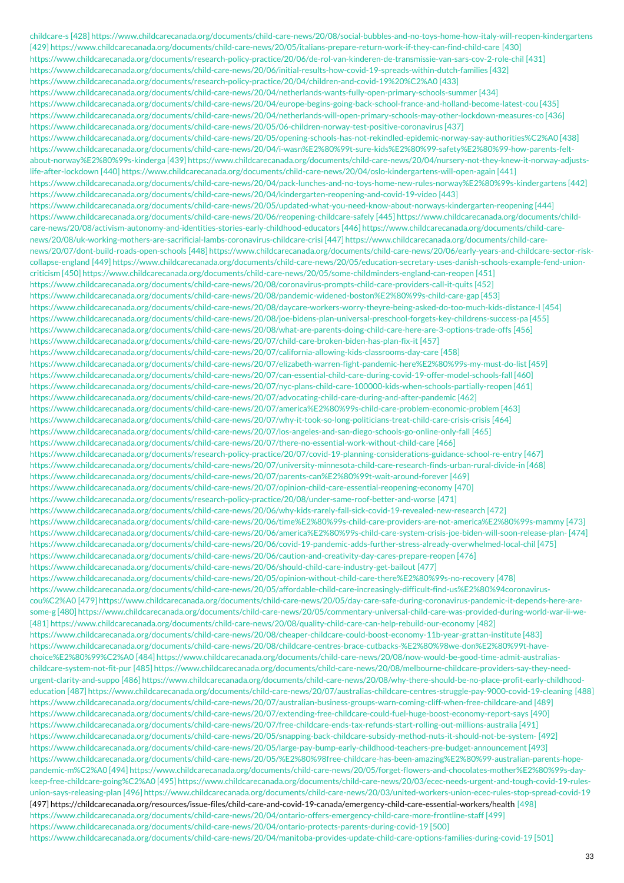childcare-s [428] https://www.childcarecanada.org/documents/child-care-news/20/08/social-bubbles-and-no-toys-home-how-italy-will-reopen-kindergartens [429] https://www.childcarecanada.org/documents/child-care-news/20/05/italians-prepare-return-work-if-they-can-find-child-care [430] https://www.childcarecanada.org/documents/research-policy-practice/20/06/de-rol-van-kinderen-de-transmissie-van-sars-cov-2-role-chil [431] https://www.childcarecanada.org/documents/child-care-news/20/06/initial-results-how-covid-19-spreads-within-dutch-families [432] https://www.childcarecanada.org/documents/research-policy-practice/20/04/children-and-covid-19%20%C2%A0 [433] https://www.childcarecanada.org/documents/child-care-news/20/04/netherlands-wants-fully-open-primary-schools-summer [434] https://www.childcarecanada.org/documents/child-care-news/20/04/europe-begins-going-back-school-france-and-holland-become-latest-cou [435] https://www.childcarecanada.org/documents/child-care-news/20/04/netherlands-will-open-primary-schools-may-other-lockdown-measures-co [436] https://www.childcarecanada.org/documents/child-care-news/20/05/06-children-norway-test-positive-coronavirus [437] https://www.childcarecanada.org/documents/child-care-news/20/05/opening-schools-has-not-rekindled-epidemic-norway-say-authorities%C2%A0 [438] https://www.childcarecanada.org/documents/child-care-news/20/04/i-wasn%E2%80%99t-sure-kids%E2%80%99-safety%E2%80%99-how-parents-feltabout-norway%E2%80%99s-kinderga [439] https://www.childcarecanada.org/documents/child-care-news/20/04/nursery-not-they-knew-it-norway-adjustslife-after-lockdown [440] https://www.childcarecanada.org/documents/child-care-news/20/04/oslo-kindergartens-will-open-again [441] https://www.childcarecanada.org/documents/child-care-news/20/04/pack-lunches-and-no-toys-home-new-rules-norway%E2%80%99s-kindergartens [442] https://www.childcarecanada.org/documents/child-care-news/20/04/kindergarten-reopening-and-covid-19-video [443] https://www.childcarecanada.org/documents/child-care-news/20/05/updated-what-you-need-know-about-norways-kindergarten-reopening [444] https://www.childcarecanada.org/documents/child-care-news/20/06/reopening-childcare-safely [445] https://www.childcarecanada.org/documents/childcare-news/20/08/activism-autonomy-and-identities-stories-early-childhood-educators [446] https://www.childcarecanada.org/documents/child-carenews/20/08/uk-working-mothers-are-sacrificial-lambs-coronavirus-childcare-crisi [447] https://www.childcarecanada.org/documents/child-carenews/20/07/dont-build-roads-open-schools [448] https://www.childcarecanada.org/documents/child-care-news/20/06/early-years-and-childcare-sector-riskcollapse-england [449] https://www.childcarecanada.org/documents/child-care-news/20/05/education-secretary-uses-danish-schools-example-fend-unioncriticism [450] https://www.childcarecanada.org/documents/child-care-news/20/05/some-childminders-england-can-reopen [451] https://www.childcarecanada.org/documents/child-care-news/20/08/coronavirus-prompts-child-care-providers-call-it-quits [452] https://www.childcarecanada.org/documents/child-care-news/20/08/pandemic-widened-boston%E2%80%99s-child-care-gap [453] https://www.childcarecanada.org/documents/child-care-news/20/08/daycare-workers-worry-theyre-being-asked-do-too-much-kids-distance-l [454] https://www.childcarecanada.org/documents/child-care-news/20/08/joe-bidens-plan-universal-preschool-forgets-key-childrens-success-pa [455] https://www.childcarecanada.org/documents/child-care-news/20/08/what-are-parents-doing-child-care-here-are-3-options-trade-offs [456] https://www.childcarecanada.org/documents/child-care-news/20/07/child-care-broken-biden-has-plan-fix-it [457] https://www.childcarecanada.org/documents/child-care-news/20/07/california-allowing-kids-classrooms-day-care [458] https://www.childcarecanada.org/documents/child-care-news/20/07/elizabeth-warren-fight-pandemic-here%E2%80%99s-my-must-do-list [459] https://www.childcarecanada.org/documents/child-care-news/20/07/can-essential-child-care-during-covid-19-offer-model-schools-fall [460] https://www.childcarecanada.org/documents/child-care-news/20/07/nyc-plans-child-care-100000-kids-when-schools-partially-reopen [461] https://www.childcarecanada.org/documents/child-care-news/20/07/advocating-child-care-during-and-after-pandemic [462] https://www.childcarecanada.org/documents/child-care-news/20/07/america%E2%80%99s-child-care-problem-economic-problem [463] https://www.childcarecanada.org/documents/child-care-news/20/07/why-it-took-so-long-politicians-treat-child-care-crisis-crisis [464] https://www.childcarecanada.org/documents/child-care-news/20/07/los-angeles-and-san-diego-schools-go-online-only-fall [465] https://www.childcarecanada.org/documents/child-care-news/20/07/there-no-essential-work-without-child-care [466] https://www.childcarecanada.org/documents/research-policy-practice/20/07/covid-19-planning-considerations-guidance-school-re-entry [467] https://www.childcarecanada.org/documents/child-care-news/20/07/university-minnesota-child-care-research-finds-urban-rural-divide-in [468] https://www.childcarecanada.org/documents/child-care-news/20/07/parents-can%E2%80%99t-wait-around-forever [469] https://www.childcarecanada.org/documents/child-care-news/20/07/opinion-child-care-essential-reopening-economy [470] https://www.childcarecanada.org/documents/research-policy-practice/20/08/under-same-roof-better-and-worse [471] https://www.childcarecanada.org/documents/child-care-news/20/06/why-kids-rarely-fall-sick-covid-19-revealed-new-research [472] https://www.childcarecanada.org/documents/child-care-news/20/06/time%E2%80%99s-child-care-providers-are-not-america%E2%80%99s-mammy [473] https://www.childcarecanada.org/documents/child-care-news/20/06/america%E2%80%99s-child-care-system-crisis-joe-biden-will-soon-release-plan- [474] https://www.childcarecanada.org/documents/child-care-news/20/06/covid-19-pandemic-adds-further-stress-already-overwhelmed-local-chil [475] https://www.childcarecanada.org/documents/child-care-news/20/06/caution-and-creativity-day-cares-prepare-reopen [476] https://www.childcarecanada.org/documents/child-care-news/20/06/should-child-care-industry-get-bailout [477] https://www.childcarecanada.org/documents/child-care-news/20/05/opinion-without-child-care-there%E2%80%99s-no-recovery [478] https://www.childcarecanada.org/documents/child-care-news/20/05/affordable-child-care-increasingly-difficult-find-us%E2%80%94coronaviruscou%C2%A0 [479] https://www.childcarecanada.org/documents/child-care-news/20/05/day-care-safe-during-coronavirus-pandemic-it-depends-here-aresome-g [480] https://www.childcarecanada.org/documents/child-care-news/20/05/commentary-universal-child-care-was-provided-during-world-war-ii-we- [481] https://www.childcarecanada.org/documents/child-care-news/20/08/quality-child-care-can-help-rebuild-our-economy [482] https://www.childcarecanada.org/documents/child-care-news/20/08/cheaper-childcare-could-boost-economy-11b-year-grattan-institute [483] https://www.childcarecanada.org/documents/child-care-news/20/08/childcare-centres-brace-cutbacks-%E2%80%98we-don%E2%80%99t-havechoice%E2%80%99%C2%A0 [484] https://www.childcarecanada.org/documents/child-care-news/20/08/now-would-be-good-time-admit-australiaschildcare-system-not-fit-pur [485] https://www.childcarecanada.org/documents/child-care-news/20/08/melbourne-childcare-providers-say-they-needurgent-clarity-and-suppo [486] https://www.childcarecanada.org/documents/child-care-news/20/08/why-there-should-be-no-place-profit-early-childhoodeducation [487] https://www.childcarecanada.org/documents/child-care-news/20/07/australias-childcare-centres-struggle-pay-9000-covid-19-cleaning [488] https://www.childcarecanada.org/documents/child-care-news/20/07/australian-business-groups-warn-coming-cliff-when-free-childcare-and [489] https://www.childcarecanada.org/documents/child-care-news/20/07/extending-free-childcare-could-fuel-huge-boost-economy-report-says [490] https://www.childcarecanada.org/documents/child-care-news/20/07/free-childcare-ends-tax-refunds-start-rolling-out-millions-australia [491] https://www.childcarecanada.org/documents/child-care-news/20/05/snapping-back-childcare-subsidy-method-nuts-it-should-not-be-system- [492] https://www.childcarecanada.org/documents/child-care-news/20/05/large-pay-bump-early-childhood-teachers-pre-budget-announcement [493] https://www.childcarecanada.org/documents/child-care-news/20/05/%E2%80%98free-childcare-has-been-amazing%E2%80%99-australian-parents-hopepandemic-m%C2%A0 [494] https://www.childcarecanada.org/documents/child-care-news/20/05/forget-flowers-and-chocolates-mother%E2%80%99s-daykeep-free-childcare-going%C2%A0 [495] https://www.childcarecanada.org/documents/child-care-news/20/03/ecec-needs-urgent-and-tough-covid-19-rulesunion-says-releasing-plan [496] https://www.childcarecanada.org/documents/child-care-news/20/03/united-workers-union-ecec-rules-stop-spread-covid-19 [497] <https://childcarecanada.org/resources/issue-files/child-care-and-covid-19-canada/emergency-child-care-essential-workers/health> [498] https://www.childcarecanada.org/documents/child-care-news/20/04/ontario-offers-emergency-child-care-more-frontline-staff [499] https://www.childcarecanada.org/documents/child-care-news/20/04/ontario-protects-parents-during-covid-19 [500] https://www.childcarecanada.org/documents/child-care-news/20/04/manitoba-provides-update-child-care-options-families-during-covid-19 [501]